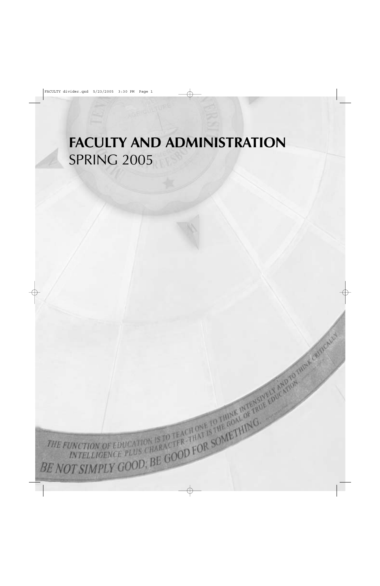# **FACULTY AND ADMINISTRATION** SPRING 2005

THE FUNCTION OF EDUCATION IS TO TEACH ONE TO THINK INTERSPECTIVE FOR A 2019 IN THE CRIMINAL CONDENSATION OF THE COLLECTIVE CONDENSATION CO.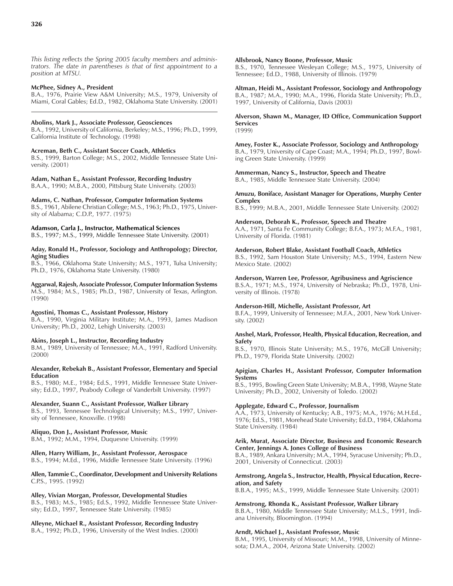*This listing reflects the Spring 2005 faculty members and administrators. The date in parentheses is that of first appointment to a position at MTSU.*

#### **McPhee, Sidney A., President**

B.A., 1976, Prairie View A&M University; M.S., 1979, University of Miami, Coral Gables; Ed.D., 1982, Oklahoma State University. (2001)

### **Abolins, Mark J., Associate Professor, Geosciences**

B.A., 1992, University of California, Berkeley; M.S., 1996; Ph.D., 1999, California Institute of Technology. (1998)

#### **Acreman, Beth C., Assistant Soccer Coach, Athletics**

B.S., 1999, Barton College; M.S., 2002, Middle Tennessee State University. (2001)

#### **Adam, Nathan E., Assistant Professor, Recording Industry**

B.A.A., 1990; M.B.A., 2000, Pittsburg State University. (2003)

### **Adams, C. Nathan, Professor, Computer Information Systems**

B.S., 1961, Abilene Christian College; M.S., 1963; Ph.D., 1975, University of Alabama; C.D.P., 1977. (1975)

### **Adamson, Carla J., Instructor, Mathematical Sciences**

B.S., 1997; M.S., 1999, Middle Tennessee State University. (2001)

#### **Aday, Ronald H., Professor, Sociology and Anthropology; Director, Aging Studies**

B.S., 1966, Oklahoma State University; M.S., 1971, Tulsa University; Ph.D., 1976, Oklahoma State University. (1980)

**Aggarwal, Rajesh, Associate Professor, Computer Information Systems** M.S., 1984; M.S., 1985; Ph.D., 1987, University of Texas, Arlington. (1990)

### **Agostini, Thomas C., Assistant Professor, History**

B.A., 1990, Virginia Military Institute; M.A., 1993, James Madison University; Ph.D., 2002, Lehigh University. (2003)

#### **Akins, Joseph L., Instructor, Recording Industry**

B.M., 1989, University of Tennessee; M.A., 1991, Radford University. (2000)

#### **Alexander, Rebekah B., Assistant Professor, Elementary and Special Education**

B.S., 1980; M.E., 1984; Ed.S., 1991, Middle Tennessee State University; Ed.D., 1997, Peabody College of Vanderbilt University. (1997)

#### **Alexander, Suann C., Assistant Professor, Walker Library**

B.S., 1993, Tennessee Technological University; M.S., 1997, University of Tennessee, Knoxville. (1998)

#### **Aliquo, Don J., Assistant Professor, Music**

B.M., 1992; M.M., 1994, Duquesne University. (1999)

### **Allen, Harry William, Jr., Assistant Professor, Aerospace**

B.S., 1994; M.Ed., 1996, Middle Tennessee State University. (1996)

#### **Allen, Tammie C., Coordinator, Development and University Relations** C.P.S., 1995. (1992)

#### **Alley, Vivian Morgan, Professor, Developmental Studies**

B.S., 1983; M.S., 1985; Ed.S., 1992, Middle Tennessee State University; Ed.D., 1997, Tennessee State University. (1985)

### **Alleyne, Michael R., Assistant Professor, Recording Industry**

B.A., 1992; Ph.D., 1996, University of the West Indies. (2000)

#### **Allsbrook, Nancy Boone, Professor, Music**

B.S., 1970, Tennessee Wesleyan College; M.S., 1975, University of Tennessee; Ed.D., 1988, University of Illinois. (1979)

#### **Altman, Heidi M., Assistant Professor, Sociology and Anthropology** B.A., 1987; M.A., 1990; M.A., 1996, Florida State University; Ph.D., 1997, University of California, Davis (2003)

#### **Alverson, Shawn M., Manager, ID Office, Communication Support Services** (1999)

#### **Amey, Foster K., Associate Professor, Sociology and Anthropology**

B.A., 1979, University of Cape Coast; M.A., 1994; Ph.D., 1997, Bowling Green State University. (1999)

#### **Ammerman, Nancy S., Instructor, Speech and Theatre** B.A., 1985, Middle Tennessee State University. (2004)

### **Amuzu, Boniface, Assistant Manager for Operations, Murphy Center Complex**

B.S., 1999; M.B.A., 2001, Middle Tennessee State University. (2002)

#### **Anderson, Deborah K., Professor, Speech and Theatre**

A.A., 1971, Santa Fe Community College; B.F.A., 1973; M.F.A., 1981, University of Florida. (1981)

#### **Anderson, Robert Blake, Assistant Football Coach, Athletics**

B.S., 1992, Sam Houston State University; M.S., 1994, Eastern New Mexico State. (2002)

#### **Anderson, Warren Lee, Professor, Agribusiness and Agriscience**

B.S.A., 1971; M.S., 1974, University of Nebraska; Ph.D., 1978, University of Illinois. (1978)

#### **Anderson-Hill, Michelle, Assistant Professor, Art**

B.F.A., 1999, University of Tennessee; M.F.A., 2001, New York University. (2002)

#### **Anshel, Mark, Professor, Health, Physical Education, Recreation, and Safety**

B.S., 1970, Illinois State University; M.S., 1976, McGill University; Ph.D., 1979, Florida State University. (2002)

#### **Apigian, Charles H., Assistant Professor, Computer Information Systems**

B.S., 1995, Bowling Green State University; M.B.A., 1998, Wayne State University; Ph.D., 2002, University of Toledo. (2002)

#### **Applegate, Edward C., Professor, Journalism**

A.A., 1973, University of Kentucky; A.B., 1975; M.A., 1976; M.H.Ed., 1976; Ed.S., 1981, Morehead State University; Ed.D., 1984, Oklahoma State University. (1984)

#### **Arik, Murat, Associate Director, Business and Economic Research Center, Jennings A. Jones College of Business**

B.A., 1989, Ankara University; M.A., 1994, Syracuse University; Ph.D., 2001, University of Connecticut. (2003)

#### **Armstrong, Angela S., Instructor, Health, Physical Education, Recreation, and Safety**

B.B.A., 1995; M.S., 1999, Middle Tennessee State University. (2001)

#### **Armstrong, Rhonda K., Assistant Professor, Walker Library**

B.B.A., 1980, Middle Tennessee State University; M.L.S., 1991, Indiana University, Bloomington. (1994)

### **Arndt, Michael J., Assistant Professor, Music**

B.M., 1995, University of Missouri; M.M., 1998, University of Minnesota; D.M.A., 2004, Arizona State University. (2002)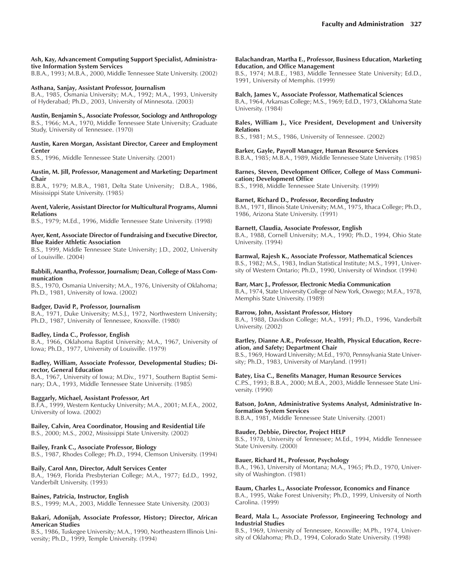#### **Ash, Kay, Advancement Computing Support Specialist, Administrative Information System Services**

B.B.A., 1993; M.B.A., 2000, Middle Tennessee State University. (2002)

### **Asthana, Sanjay, Assistant Professor, Journalism**

B.A., 1985, Osmania University; M.A., 1992; M.A., 1993, University of Hyderabad; Ph.D., 2003, University of Minnesota. (2003)

**Austin, Benjamin S., Associate Professor, Sociology and Anthropology** B.S., 1966; M.A., 1970, Middle Tennessee State University; Graduate Study, University of Tennessee. (1970)

#### **Austin, Karen Morgan, Assistant Director, Career and Employment Center**

B.S., 1996, Middle Tennessee State University. (2001)

#### **Austin, M. Jill, Professor, Management and Marketing; Department Chair**

B.B.A., 1979; M.B.A., 1981, Delta State University; D.B.A., 1986, Mississippi State University. (1985)

#### **Avent, Valerie, Assistant Director for Multicultural Programs, Alumni Relations**

B.S., 1979; M.Ed., 1996, Middle Tennessee State University. (1998)

#### **Ayer, Kent, Associate Director of Fundraising and Executive Director, Blue Raider Athletic Association**

B.S., 1999, Middle Tennessee State University; J.D., 2002, University of Louisville. (2004)

#### **Babbili, Anantha, Professor, Journalism; Dean, College of Mass Communication**

B.S., 1970, Osmania University; M.A., 1976, University of Oklahoma; Ph.D., 1981, University of Iowa. (2002)

### **Badger, David P., Professor, Journalism**

B.A., 1971, Duke University; M.S.J., 1972, Northwestern University; Ph.D., 1987, University of Tennessee, Knoxville. (1980)

#### **Badley, Linda C., Professor, English**

B.A., 1966, Oklahoma Baptist University; M.A., 1967, University of Iowa; Ph.D., 1977, University of Louisville. (1979)

#### **Badley, William, Associate Professor, Developmental Studies; Director, General Education**

B.A., 1967, University of Iowa; M.Div., 1971, Southern Baptist Seminary; D.A., 1993, Middle Tennessee State University. (1985)

### **Baggarly, Michael, Assistant Professor, Art**

B.F.A., 1999, Western Kentucky University; M.A., 2001; M.F.A., 2002, University of Iowa. (2002)

# **Bailey, Calvin, Area Coordinator, Housing and Residential Life**

B.S., 2000; M.S., 2002, Mississippi State University. (2002)

### **Bailey, Frank C., Associate Professor, Biology**

B.S., 1987, Rhodes College; Ph.D., 1994, Clemson University. (1994)

#### **Baily, Carol Ann, Director, Adult Services Center**

B.A., 1969, Florida Presbyterian College; M.A., 1977; Ed.D., 1992, Vanderbilt University. (1993)

#### **Baines, Patricia, Instructor, English**

B.S., 1999; M.A., 2003, Middle Tennessee State University. (2003)

#### **Bakari, Adonijah, Associate Professor, History; Director, African American Studies**

B.S., 1986, Tuskegee University; M.A., 1990, Northeastern Illinois University; Ph.D., 1999, Temple University. (1994)

#### **Balachandran, Martha E., Professor, Business Education, Marketing Education, and Office Management**

B.S., 1974; M.B.E., 1983, Middle Tennessee State University; Ed.D., 1991, University of Memphis. (1999)

#### **Balch, James V., Associate Professor, Mathematical Sciences** B.A., 1964, Arkansas College; M.S., 1969; Ed.D., 1973, Oklahoma State University. (1984)

### **Bales, William J., Vice President, Development and University Relations**

B.S., 1981; M.S., 1986, University of Tennessee. (2002)

#### **Barker, Gayle, Payroll Manager, Human Resource Services** B.B.A., 1985; M.B.A., 1989, Middle Tennessee State University. (1985)

**Barnes, Steven, Development Officer, College of Mass Communication; Development Office**

B.S., 1998, Middle Tennessee State University. (1999)

### **Barnet, Richard D., Professor, Recording Industry**

B.M., 1971, Illinois State University; M.M., 1975, Ithaca College; Ph.D., 1986, Arizona State University. (1991)

### **Barnett, Claudia, Associate Professor, English**

B.A., 1988, Cornell University; M.A., 1990; Ph.D., 1994, Ohio State University. (1994)

### **Barnwal, Rajesh K., Associate Professor, Mathematical Sciences**

B.S., 1982; M.S., 1983, Indian Statistical Institute; M.S., 1991, University of Western Ontario; Ph.D., 1990, University of Windsor. (1994)

### **Barr, Marc J., Professor, Electronic Media Communication**

B.A., 1974, State University College of New York, Oswego; M.F.A., 1978, Memphis State University. (1989)

#### **Barrow, John, Assistant Professor, History**

B.A., 1988, Davidson College; M.A., 1991; Ph.D., 1996, Vanderbilt University. (2002)

#### **Bartley, Dianne A.R., Professor, Health, Physical Education, Recreation, and Safety; Department Chair**

B.S., 1969, Howard University; M.Ed., 1970, Pennsylvania State University; Ph.D., 1983, University of Maryland. (1991)

#### **Batey, Lisa C., Benefits Manager, Human Resource Services**

C.P.S., 1993; B.B.A., 2000; M.B.A., 2003, Middle Tennessee State University. (1990)

#### **Batson, JoAnn, Administrative Systems Analyst, Administrative Information System Services**

B.B.A., 1981, Middle Tennessee State University. (2001)

### **Bauder, Debbie, Director, Project HELP**

B.S., 1978, University of Tennessee; M.Ed., 1994, Middle Tennessee State University. (2000)

#### **Bauer, Richard H., Professor, Psychology**

B.A., 1963, University of Montana; M.A., 1965; Ph.D., 1970, University of Washington. (1981)

### **Baum, Charles L., Associate Professor, Economics and Finance**

B.A., 1995, Wake Forest University; Ph.D., 1999, University of North Carolina. (1999)

### **Beard, Mala L., Associate Professor, Engineering Technology and Industrial Studies**

B.S., 1969, University of Tennessee, Knoxville; M.Ph., 1974, University of Oklahoma; Ph.D., 1994, Colorado State University. (1998)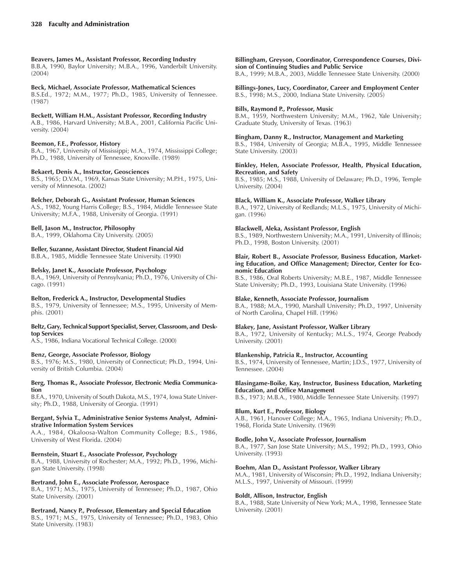### **Beavers, James M., Assistant Professor, Recording Industry**

B.B.A, 1990, Baylor University; M.B.A., 1996, Vanderbilt University. (2004)

### **Beck, Michael, Associate Professor, Mathematical Sciences**

B.S.Ed., 1972; M.M., 1977; Ph.D., 1985, University of Tennessee. (1987)

### **Beckett, William H.M., Assistant Professor, Recording Industry**

A.B., 1986, Harvard University; M.B.A., 2001, California Pacific University. (2004)

### **Beemon, F.E., Professor, History**

B.A., 1967, University of Mississippi; M.A., 1974, Mississippi College; Ph.D., 1988, University of Tennessee, Knoxville. (1989)

### **Bekaert, Denis A., Instructor, Geosciences**

B.S., 1965; D.V.M., 1969, Kansas State University; M.P.H., 1975, University of Minnesota. (2002)

### **Belcher, Deborah G., Assistant Professor, Human Sciences**

A.S., 1982, Young Harris College; B.S., 1984, Middle Tennessee State University; M.F.A., 1988, University of Georgia. (1991)

### **Bell, Jason M., Instructor, Philosophy**

B.A., 1999, Oklahoma City University. (2005)

### **Beller, Suzanne, Assistant Director, Student Financial Aid**

B.B.A., 1985, Middle Tennessee State University. (1990)

### **Belsky, Janet K., Associate Professor, Psychology**

B.A., 1969, University of Pennsylvania; Ph.D., 1976, University of Chicago. (1991)

### **Belton, Frederick A., Instructor, Developmental Studies**

B.S., 1979, University of Tennessee; M.S., 1995, University of Memphis. (2001)

### **Beltz, Gary, Technical Support Specialist, Server, Classroom, and Desktop Services**

A.S., 1986, Indiana Vocational Technical College. (2000)

### **Benz, George, Associate Professor, Biology**

B.S., 1976; M.S., 1980, University of Connecticut; Ph.D., 1994, University of British Columbia. (2004)

### **Berg, Thomas R., Associate Professor, Electronic Media Communication**

B.F.A., 1970, University of South Dakota, M.S., 1974, Iowa State University; Ph.D., 1988, University of Georgia. (1991)

### **Bergant, Sylvia T., Administrative Senior Systems Analyst, Administrative Information System Services**

A.A., 1984, Okaloosa-Walton Community College; B.S., 1986, University of West Florida. (2004)

### **Bernstein, Stuart E., Associate Professor, Psychology**

B.A., 1988, University of Rochester; M.A., 1992; Ph.D., 1996, Michigan State University. (1998)

### **Bertrand, John E., Associate Professor, Aerospace**

B.A., 1971; M.S., 1975, University of Tennessee; Ph.D., 1987, Ohio State University. (2001)

### **Bertrand, Nancy P., Professor, Elementary and Special Education**

B.S., 1971; M.S., 1975, University of Tennessee; Ph.D., 1983, Ohio State University. (1983)

### **Billingham, Greyson, Coordinator, Correspondence Courses, Division of Continuing Studies and Public Service**

B.A., 1999; M.B.A., 2003, Middle Tennessee State University. (2000)

**Billings-Jones, Lucy, Coordinator, Career and Employment Center** B.S., 1998; M.S., 2000, Indiana State University. (2005)

### **Bills, Raymond P., Professor, Music**

B.M., 1959, Northwestern University; M.M., 1962, Yale University; Graduate Study, University of Texas. (1963)

### **Bingham, Danny R., Instructor, Management and Marketing**

B.S., 1984, University of Georgia; M.B.A., 1995, Middle Tennessee State University. (2003)

#### **Binkley, Helen, Associate Professor, Health, Physical Education, Recreation, and Safety**

B.S., 1985; M.S., 1988, University of Delaware; Ph.D., 1996, Temple University. (2004)

### **Black, William K., Associate Professor, Walker Library**

B.A., 1972, University of Redlands; M.L.S., 1975, University of Michigan. (1996)

### **Blackwell, Aleka, Assistant Professor, English**

B.S., 1989, Northwestern University; M.A., 1991, University of Illinois; Ph.D., 1998, Boston University. (2001)

### **Blair, Robert B., Associate Professor, Business Education, Marketing Education, and Office Management; Director, Center for Economic Education**

B.S., 1986, Oral Roberts University; M.B.E., 1987, Middle Tennessee State University; Ph.D., 1993, Louisiana State University. (1996)

### **Blake, Kenneth, Associate Professor, Journalism**

B.A., 1988; M.A., 1990, Marshall University; Ph.D., 1997, University of North Carolina, Chapel Hill. (1996)

### **Blakey, Jane, Assistant Professor, Walker Library**

B.A., 1972, University of Kentucky; M.L.S., 1974, George Peabody University. (2001)

### **Blankenship, Patricia R., Instructor, Accounting**

B.S., 1974, University of Tennessee, Martin; J.D.S., 1977, University of Tennessee. (2004)

### **Blasingame-Boike, Kay, Instructor, Business Education, Marketing Education, and Office Management**

B.S., 1973; M.B.A., 1980, Middle Tennessee State University. (1997)

### **Blum, Kurt E., Professor, Biology**

A.B., 1961, Hanover College; M.A., 1965, Indiana University; Ph.D., 1968, Florida State University. (1969)

### **Bodle, John V., Associate Professor, Journalism**

B.A., 1977, San Jose State University; M.S., 1992; Ph.D., 1993, Ohio University. (1993)

### **Boehm, Alan D., Assistant Professor, Walker Library**

M.A., 1981, University of Wisconsin; Ph.D., 1992, Indiana University; M.L.S., 1997, University of Missouri. (1999)

### **Boldt, Allison, Instructor, English**

B.A., 1988, State University of New York; M.A., 1998, Tennessee State University. (2001)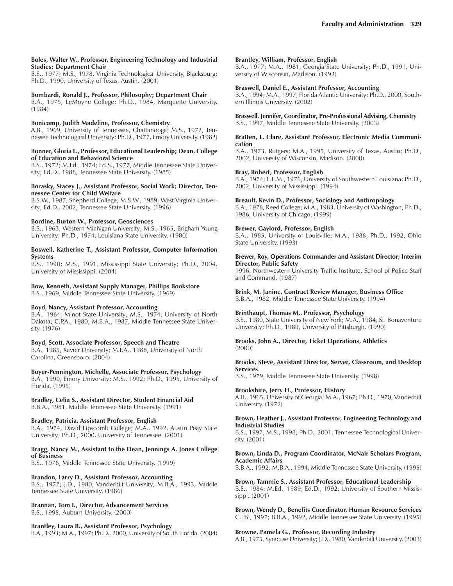#### **Boles, Walter W., Professor, Engineering Technology and Industrial Studies; Department Chair**

B.S., 1977; M.S., 1978, Virginia Technological University, Blacksburg; Ph.D., 1990, University of Texas, Austin. (2001)

### **Bombardi, Ronald J., Professor, Philosophy; Department Chair**

B.A., 1975, LeMoyne College; Ph.D., 1984, Marquette University. (1984)

### **Bonicamp, Judith Madeline, Professor, Chemistry**

A.B., 1969, University of Tennessee, Chattanooga; M.S., 1972, Tennessee Technological University; Ph.D., 1977, Emory University. (1982)

#### **Bonner, Gloria L., Professor, Educational Leadership; Dean, College of Education and Behavioral Science**

B.S., 1972; M.Ed., 1974; Ed.S., 1977, Middle Tennessee State University; Ed.D., 1988, Tennessee State University. (1985)

#### **Borasky, Stacey J., Assistant Professor, Social Work; Director, Tennessee Center for Child Welfare**

B.S.W., 1987, Shepherd College; M.S.W., 1989, West Virginia University; Ed.D., 2002, Tennessee State University. (1996)

### **Bordine, Burton W., Professor, Geosciences**

B.S., 1963, Western Michigan University; M.S., 1965, Brigham Young University; Ph.D., 1974, Louisiana State University. (1980)

#### **Boswell, Katherine T., Assistant Professor, Computer Information Systems**

B.S., 1990; M.S., 1991, Mississippi State University; Ph.D., 2004, University of Mississippi. (2004)

### **Bow, Kenneth, Assistant Supply Manager, Phillips Bookstore**

B.S., 1969, Middle Tennessee State University. (1969)

### **Boyd, Nancy, Assistant Professor, Accounting**

B.A., 1964, Minot State University; M.S., 1974, University of North Dakota; C.P.A., 1980; M.B.A., 1987, Middle Tennessee State University. (1976)

### **Boyd, Scott, Associate Professor, Speech and Theatre**

B.A., 1985, Xavier University; M.F.A., 1988, University of North Carolina, Greensboro. (2004)

#### **Boyer-Pennington, Michelle, Associate Professor, Psychology** B.A., 1990, Emory University; M.S., 1992; Ph.D., 1995, University of Florida. (1995)

### **Bradley, Celia S., Assistant Director, Student Financial Aid**

B.B.A., 1981, Middle Tennessee State University. (1991)

### **Bradley, Patricia, Assistant Professor, English**

B.A., 1974, David Lipscomb College; M.A., 1992, Austin Peay State University; Ph.D., 2000, University of Tennessee. (2001)

#### **Bragg, Nancy M., Assistant to the Dean, Jennings A. Jones College of Business**

B.S., 1976, Middle Tennessee State University. (1999)

#### **Brandon, Larry D., Assistant Professor, Accounting** B.S., 1977; J.D., 1980, Vanderbilt University; M.B.A., 1993, Middle Tennessee State University. (1986)

### **Brannan, Tom I., Director, Advancement Services**

B.S., 1995, Auburn University. (2000)

### **Brantley, Laura B., Assistant Professor, Psychology**

B.A., 1993; M.A., 1997; Ph.D., 2000, University of South Florida. (2004)

### **Brantley, William, Professor, English**

B.A., 1977; M.A., 1981, Georgia State University; Ph.D., 1991, University of Wisconsin, Madison. (1992)

#### **Braswell, Daniel E., Assistant Professor, Accounting**

B.A., 1994; M.A., 1997, Florida Atlantic University; Ph.D., 2000, Southern Illinois University. (2002)

### **Braswell, Jennifer, Coordinator, Pre-Professional Advising, Chemistry**

B.S., 1997, Middle Tennessee State University. (2003)

#### **Bratten, L. Clare, Assistant Professor, Electronic Media Communication**

B.A., 1973, Rutgers; M.A., 1995, University of Texas, Austin; Ph.D., 2002, University of Wisconsin, Madison. (2000)

### **Bray, Robert, Professor, English**

B.A., 1974; L.L.M., 1976, University of Southwestern Louisiana; Ph.D., 2002, University of Mississippi. (1994)

### **Breault, Kevin D., Professor, Sociology and Anthropology**

B.A., 1978, Reed College; M.A., 1983, University of Washington; Ph.D., 1986, University of Chicago. (1999)

### **Brewer, Gaylord, Professor, English**

B.A., 1985, University of Louisville; M.A., 1988; Ph.D., 1992, Ohio State University. (1993)

#### **Brewer, Roy, Operations Commander and Assistant Director; Interim Director, Public Safety**

1996, Northwestern University Traffic Institute, School of Police Staff and Command. (1987)

**Brink, M. Janine, Contract Review Manager, Business Office** B.B.A., 1982, Middle Tennessee State University. (1994)

### **Brinthaupt, Thomas M., Professor, Psychology**

B.S., 1980, State University of New York; M.A., 1984, St. Bonaventure University; Ph.D., 1989, University of Pittsburgh. (1990)

### **Brooks, John A., Director, Ticket Operations, Athletics** (2000)

### **Brooks, Steve, Assistant Director, Server, Classroom, and Desktop Services**

B.S., 1979, Middle Tennessee State University. (1998)

### **Brookshire, Jerry H., Professor, History**

A.B., 1965, University of Georgia; M.A., 1967; Ph.D., 1970, Vanderbilt University. (1972)

#### **Brown, Heather J., Assistant Professor, Engineering Technology and Industrial Studies**

B.S., 1997; M.S., 1998; Ph.D., 2001, Tennessee Technological University. (2001)

### **Brown, Linda D., Program Coordinator, McNair Scholars Program, Academic Affairs**

B.B.A., 1992; M.B.A., 1994, Middle Tennessee State University. (1995)

### **Brown, Tammie S., Assistant Professor, Educational Leadership** B.S., 1984; M.Ed., 1989; Ed.D., 1992, University of Southern Missis-

sippi. (2001) **Brown, Wendy D., Benefits Coordinator, Human Resource Services**

### C.P.S., 1997; B.B.A., 1992, Middle Tennessee State University. (1995)

### **Browne, Pamela G., Professor, Recording Industry**

A.B., 1975, Syracuse University; J.D., 1980, Vanderbilt University. (2003)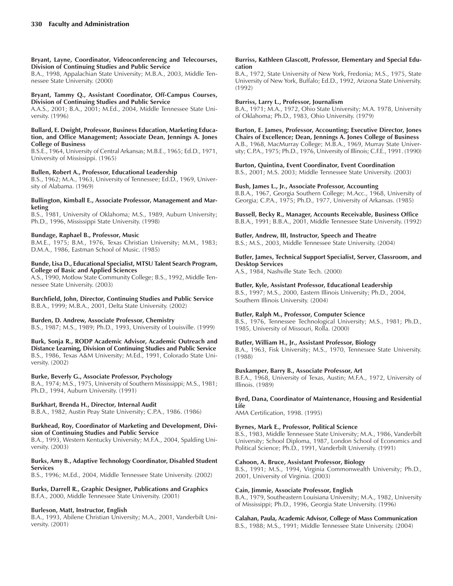#### **Bryant, Layne, Coordinator, Videoconferencing and Telecourses, Division of Continuing Studies and Public Service**

B.A., 1998, Appalachian State University; M.B.A., 2003, Middle Tennessee State University. (2000)

### **Bryant, Tammy Q., Assistant Coordinator, Off-Campus Courses, Division of Continuing Studies and Public Service**

A.A.S., 2001; B.A., 2001; M.Ed., 2004, Middle Tennessee State University. (1996)

#### **Bullard, E. Dwight, Professor, Business Education, Marketing Education, and Office Management; Associate Dean, Jennings A. Jones College of Business**

B.S.E., 1964, University of Central Arkansas; M.B.E., 1965; Ed.D., 1971, University of Mississippi. (1965)

### **Bullen, Robert A., Professor, Educational Leadership**

B.S., 1962; M.A., 1963, University of Tennessee; Ed.D., 1969, University of Alabama. (1969)

#### **Bullington, Kimball E., Associate Professor, Management and Marketing**

B.S., 1981, University of Oklahoma; M.S., 1989, Auburn University; Ph.D., 1996, Mississippi State University. (1998)

### **Bundage, Raphael B., Professor, Music**

B.M.E., 1975; B.M., 1976, Texas Christian University; M.M., 1983; D.M.A., 1986, Eastman School of Music. (1985)

### **Bunde, Lisa D., Educational Specialist, MTSU Talent Search Program, College of Basic and Applied Sciences**

A.S., 1990, Motlow State Community College; B.S., 1992, Middle Tennessee State University. (2003)

**Burchfield, John, Director, Continuing Studies and Public Service** B.B.A., 1999; M.B.A., 2001, Delta State University. (2002)

### **Burden, D. Andrew, Associate Professor, Chemistry**

B.S., 1987; M.S., 1989; Ph.D., 1993, University of Louisville. (1999)

**Burk, Sonja R., RODP Academic Advisor, Academic Outreach and Distance Learning, Division of Continuing Studies and Public Service** B.S., 1986, Texas A&M University; M.Ed., 1991, Colorado State University. (2002)

### **Burke, Beverly G., Associate Professor, Psychology**

B.A., 1974; M.S., 1975, University of Southern Mississippi; M.S., 1981; Ph.D., 1994, Auburn University. (1991)

### **Burkhart, Brenda H., Director, Internal Audit**

B.B.A., 1982, Austin Peay State University; C.P.A., 1986. (1986)

# **Burkhead, Roy, Coordinator of Marketing and Development, Divi-**

**sion of Continuing Studies and Public Service** B.A., 1993, Western Kentucky University; M.F.A., 2004, Spalding University. (2003)

### **Burks, Amy B., Adaptive Technology Coordinator, Disabled Student Services**

B.S., 1996; M.Ed., 2004, Middle Tennessee State University. (2002)

### **Burks, Darrell R., Graphic Designer, Publications and Graphics** B.F.A., 2000, Middle Tennessee State University. (2001)

### **Burleson, Matt, Instructor, English**

B.A., 1993, Abilene Christian University; M.A., 2001, Vanderbilt University. (2001)

#### **Burriss, Kathleen Glascott, Professor, Elementary and Special Education**

B.A., 1972, State University of New York, Fredonia; M.S., 1975, State University of New York, Buffalo; Ed.D., 1992, Arizona State University. (1992)

### **Burriss, Larry L., Professor, Journalism**

B.A., 1971; M.A., 1972, Ohio State University; M.A. 1978, University of Oklahoma; Ph.D., 1983, Ohio University. (1979)

**Burton, E. James, Professor, Accounting; Executive Director, Jones Chairs of Excellence; Dean, Jennings A. Jones College of Business** A.B., 1968, MacMurray College; M.B.A., 1969, Murray State University; C.P.A., 1975; Ph.D., 1976, University of Illinois; C.F.E., 1991. (1990)

### **Burton, Quintina, Event Coordinator, Event Coordination**

B.S., 2001; M.S. 2003; Middle Tennessee State University. (2003)

### **Bush, James L., Jr., Associate Professor, Accounting**

B.B.A., 1967, Georgia Southern College; M.Acc., 1968, University of Georgia; C.P.A., 1975; Ph.D., 1977, University of Arkansas. (1985)

**Bussell, Becky R., Manager, Accounts Receivable, Business Office** B.B.A., 1991; B.B.A., 2001, Middle Tennessee State University. (1992)

### **Butler, Andrew, III, Instructor, Speech and Theatre**

B.S.; M.S., 2003, Middle Tennessee State University. (2004)

### **Butler, James, Technical Support Specialist, Server, Classroom, and Desktop Services**

A.S., 1984, Nashville State Tech. (2000)

### **Butler, Kyle, Assistant Professor, Educational Leadership**

B.S., 1997; M.S., 2000, Eastern Illinois University; Ph.D., 2004, Southern Illinois University. (2004)

### **Butler, Ralph M., Professor, Computer Science**

B.S., 1976, Tennessee Technological University; M.S., 1981; Ph.D., 1985, University of Missouri, Rolla. (2000)

### **Butler, William H., Jr., Assistant Professor, Biology**

B.A., 1963, Fisk University; M.S., 1970, Tennessee State University. (1988)

### **Buxkamper, Barry B., Associate Professor, Art**

B.F.A., 1968, University of Texas, Austin; M.F.A., 1972, University of Illinois. (1989)

### **Byrd, Dana, Coordinator of Maintenance, Housing and Residential Life**

AMA Certification, 1998. (1995)

### **Byrnes, Mark E., Professor, Political Science**

B.S., 1983, Middle Tennessee State University; M.A., 1986, Vanderbilt University; School Diploma, 1987, London School of Economics and Political Science; Ph.D., 1991, Vanderbilt University. (1991)

### **Cahoon, A. Bruce, Assistant Professor, Biology**

B.S., 1991; M.S., 1994, Virginia Commonwealth University; Ph.D., 2001, University of Virginia. (2003)

### **Cain, Jimmie, Associate Professor, English**

B.A., 1979, Southeastern Louisiana University; M.A., 1982, University of Mississippi; Ph.D., 1996, Georgia State University. (1996)

### **Calahan, Paula, Academic Advisor, College of Mass Communication**

B.S., 1988; M.S., 1991; Middle Tennessee State University. (2004)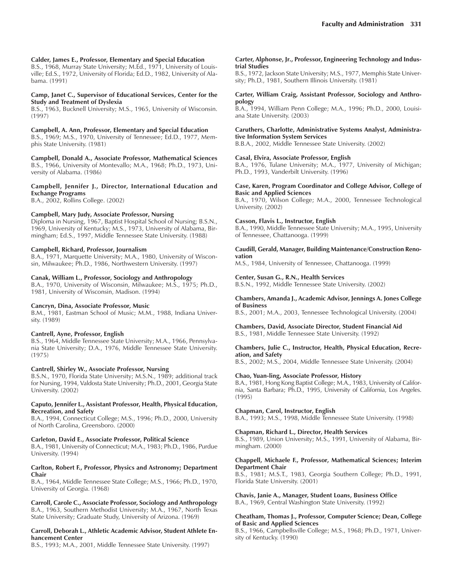#### **Calder, James E., Professor, Elementary and Special Education**

B.S., 1968, Murray State University; M.Ed., 1971, University of Louisville; Ed.S., 1972, University of Florida; Ed.D., 1982, University of Alabama. (1991)

#### **Camp, Janet C., Supervisor of Educational Services, Center for the Study and Treatment of Dyslexia**

B.S., 1963, Bucknell University; M.S., 1965, University of Wisconsin. (1997)

**Campbell, A. Ann, Professor, Elementary and Special Education**

B.S., 1969; M.S., 1970, University of Tennessee; Ed.D., 1977, Memphis State University. (1981)

**Campbell, Donald A., Associate Professor, Mathematical Sciences** B.S., 1966, University of Montevallo; M.A., 1968; Ph.D., 1973, University of Alabama. (1986)

**Campbell, Jennifer J., Director, International Education and Exchange Programs**

B.A., 2002, Rollins College. (2002)

### **Campbell, Mary Judy, Associate Professor, Nursing**

Diploma in Nursing, 1967, Baptist Hospital School of Nursing; B.S.N., 1969, University of Kentucky; M.S., 1973, University of Alabama, Birmingham; Ed.S., 1997, Middle Tennessee State University. (1988)

#### **Campbell, Richard, Professor, Journalism**

B.A., 1971, Marquette University; M.A., 1980, University of Wisconsin, Milwaukee; Ph.D., 1986, Northwestern University. (1997)

#### **Canak, William L., Professor, Sociology and Anthropology**

B.A., 1970, University of Wisconsin, Milwaukee; M.S., 1975; Ph.D., 1981, University of Wisconsin, Madison. (1994)

#### **Cancryn, Dina, Associate Professor, Music**

B.M., 1981, Eastman School of Music; M.M., 1988, Indiana University. (1989)

#### **Cantrell, Ayne, Professor, English**

B.S., 1964, Middle Tennessee State University; M.A., 1966, Pennsylvania State University; D.A., 1976, Middle Tennessee State University. (1975)

#### **Cantrell, Shirley W., Associate Professor, Nursing**

B.S.N., 1970, Florida State University; M.S.N., 1989; additional track for Nursing, 1994, Valdosta State University; Ph.D., 2001, Georgia State University. (2002)

#### **Caputo, Jennifer L., Assistant Professor, Health, Physical Education, Recreation, and Safety**

B.A., 1994, Connecticut College; M.S., 1996; Ph.D., 2000, University of North Carolina, Greensboro. (2000)

#### **Carleton, David E., Associate Professor, Political Science**

B.A., 1981, University of Connecticut; M.A., 1983; Ph.D., 1986, Purdue University. (1994)

#### **Carlton, Robert F., Professor, Physics and Astronomy; Department Chair**

B.A., 1964, Middle Tennessee State College; M.S., 1966; Ph.D., 1970, University of Georgia. (1968)

**Carroll, Carole C., Associate Professor, Sociology and Anthropology** B.A., 1963, Southern Methodist University; M.A., 1967, North Texas State University; Graduate Study, University of Arizona. (1969)

#### **Carroll, Deborah L., Athletic Academic Advisor, Student Athlete Enhancement Center**

B.S., 1993; M.A., 2001, Middle Tennessee State University. (1997)

#### **Carter, Alphonse, Jr., Professor, Engineering Technology and Industrial Studies**

B.S., 1972, Jackson State University; M.S., 1977, Memphis State University; Ph.D., 1981, Southern Illinois University. (1981)

#### **Carter, William Craig, Assistant Professor, Sociology and Anthropology**

B.A., 1994, William Penn College; M.A., 1996; Ph.D., 2000, Louisiana State University. (2003)

### **Caruthers, Charlotte, Administrative Systems Analyst, Administrative Information System Services**

B.B.A., 2002, Middle Tennessee State University. (2002)

### **Casal, Elvira, Associate Professor, English**

B.A., 1976, Tulane University; M.A., 1977, University of Michigan; Ph.D., 1993, Vanderbilt University. (1996)

#### **Case, Karen, Program Coordinator and College Advisor, College of Basic and Applied Sciences**

B.A., 1970, Wilson College; M.A., 2000, Tennessee Technological University. (2002)

#### **Casson, Flavis L., Instructor, English**

B.A., 1990, Middle Tennessee State University; M.A., 1995, University of Tennessee, Chattanooga. (1999)

**Caudill, Gerald, Manager, Building Maintenance/Construction Renovation**

M.S., 1984, University of Tennessee, Chattanooga. (1999)

#### **Center, Susan G., R.N., Health Services**

B.S.N., 1992, Middle Tennessee State University. (2002)

#### **Chambers, Amanda J., Academic Advisor, Jennings A. Jones College of Business**

B.S., 2001; M.A., 2003, Tennessee Technological University. (2004)

**Chambers, David, Associate Director, Student Financial Aid** B.S., 1981, Middle Tennessee State University. (1992)

#### **Chambers, Julie C., Instructor, Health, Physical Education, Recreation, and Safety**

B.S., 2002; M.S., 2004, Middle Tennessee State University. (2004)

#### **Chao, Yuan-ling, Associate Professor, History**

B.A., 1981, Hong Kong Baptist College; M.A., 1983, University of California, Santa Barbara; Ph.D., 1995, University of California, Los Angeles. (1995)

#### **Chapman, Carol, Instructor, English**

B.A., 1993; M.S., 1998, Middle Tennessee State University. (1998)

### **Chapman, Richard L., Director, Health Services**

B.S., 1989, Union University; M.S., 1991, University of Alabama, Birmingham. (2000)

#### **Chappell, Michaele F., Professor, Mathematical Sciences; Interim Department Chair**

B.S., 1981; M.S.T., 1983, Georgia Southern College; Ph.D., 1991, Florida State University. (2001)

**Chavis, Janie A., Manager, Student Loans, Business Office** B.A., 1969, Central Washington State University. (1992)

#### **Cheatham, Thomas J., Professor, Computer Science; Dean, College of Basic and Applied Sciences**

B.S., 1966, Campbellsville College; M.S., 1968; Ph.D., 1971, University of Kentucky. (1990)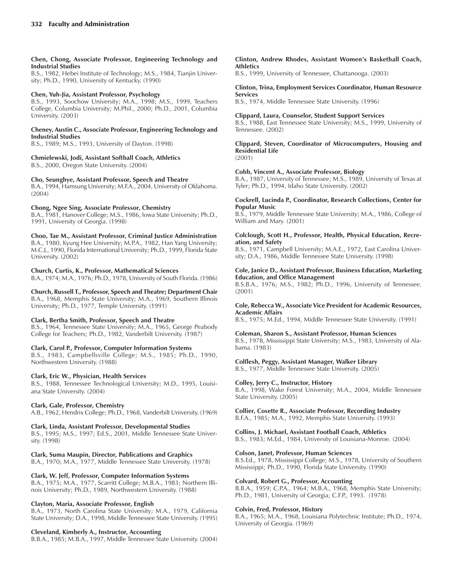#### **Chen, Chong, Associate Professor, Engineering Technology and Industrial Studies**

B.S., 1982, Hebei Institute of Technology; M.S., 1984, Tianjin University; Ph.D., 1990, University of Kentucky. (1990)

### **Chen, Yuh-Jia, Assistant Professor, Psychology**

B.S., 1993, Soochow University; M.A., 1998; M.S., 1999, Teachers College, Columbia University; M.Phil., 2000; Ph.D., 2001, Columbia University. (2003)

### **Cheney, Austin C., Associate Professor, Engineering Technology and Industrial Studies**

B.S., 1989; M.S., 1993, University of Dayton. (1998)

# **Chmielewski, Jodi, Assistant Softball Coach, Athletics**

B.S., 2000, Oregon State University. (2004)

### **Cho, Seunghye, Assistant Professor, Speech and Theatre**

B.A., 1994, Hamsung University; M.F.A., 2004, University of Oklahoma. (2004)

### **Chong, Ngee Sing, Associate Professor, Chemistry**

B.A., 1981, Hanover College; M.S., 1986, Iowa State University; Ph.D., 1991, University of Georgia. (1998)

**Choo, Tae M., Assistant Professor, Criminal Justice Administration** B.A., 1980, Kyung Hee University; M.P.A., 1982, Han Yang University; M.C.J., 1990, Florida International University; Ph.D., 1999, Florida State University. (2002)

### **Church, Curtis, K., Professor, Mathematical Sciences**

B.A., 1974; M.A., 1976; Ph.D., 1978, University of South Florida. (1986)

**Church, Russell T., Professor, Speech and Theatre; Department Chair** B.A., 1968, Memphis State University; M.A., 1969, Southern Illinois University; Ph.D., 1977, Temple University. (1991)

### **Clark, Bertha Smith, Professor, Speech and Theatre**

B.S., 1964, Tennessee State University; M.A., 1965, George Peabody College for Teachers; Ph.D., 1982, Vanderbilt University. (1987)

### **Clark, Carol P., Professor, Computer Information Systems**

B.S., 1983, Campbellsville College; M.S., 1985; Ph.D., 1990, Northwestern University. (1988)

### **Clark, Eric W., Physician, Health Services**

B.S., 1988, Tennessee Technological University; M.D., 1995, Louisiana State University. (2004)

### **Clark, Gale, Professor, Chemistry**

A.B., 1962, Hendrix College; Ph.D., 1968, Vanderbilt University. (1969)

### **Clark, Linda, Assistant Professor, Developmental Studies**

B.S., 1995; M.S., 1997; Ed.S., 2001, Middle Tennessee State University. (1998)

**Clark, Suma Maupin, Director, Publications and Graphics** B.A., 1970; M.A., 1977, Middle Tennessee State University. (1978)

### **Clark, W. Jeff, Professor, Computer Information Systems**

B.A., 1975; M.A., 1977, Scarritt College; M.B.A., 1983; Northern Illinois University; Ph.D., 1989, Northwestern University. (1988)

### **Clayton, Maria, Associate Professor, English**

B.A., 1973, North Carolina State University; M.A., 1979, California State University; D.A., 1998, Middle Tennessee State University. (1995)

### **Cleveland, Kimberly A., Instructor, Accounting**

B.B.A., 1985; M.B.A., 1997, Middle Tennessee State University. (2004)

#### **Clinton, Andrew Rhodes, Assistant Womenís Basketball Coach, Athletics**

B.S., 1999, University of Tennessee, Chattanooga. (2003)

### **Clinton, Trina, Employment Services Coordinator, Human Resource Services**

B.S., 1974, Middle Tennessee State University. (1996)

### **Clippard, Laura, Counselor, Student Support Services**

B.S., 1988, East Tennessee State University; M.S., 1999, University of Tennessee. (2002)

### **Clippard, Steven, Coordinator of Microcomputers, Housing and Residential Life**

(2001)

### **Cobb, Vincent A., Associate Professor, Biology**

B.A., 1987, University of Tennessee; M.S., 1989, University of Texas at Tyler; Ph.D., 1994, Idaho State University. (2002)

### **Cockrell, Lucinda P., Coordinator, Research Collections, Center for Popular Music**

B.S., 1979, Middle Tennessee State University; M.A., 1986, College of William and Mary. (2001)

### **Colclough, Scott H., Professor, Health, Physical Education, Recreation, and Safety**

B.S., 1971, Campbell University; M.A.E., 1972, East Carolina University; D.A., 1986, Middle Tennessee State University. (1998)

### **Cole, Janice D., Assistant Professor, Business Education, Marketing Education, and Office Management**

B.S.B.A., 1976; M.S., 1982; Ph.D., 1996, University of Tennessee. (2001)

### **Cole, Rebecca W., Associate Vice President for Academic Resources, Academic Affairs**

B.S., 1975; M.Ed., 1994, Middle Tennessee State University. (1991)

### **Coleman, Sharon S., Assistant Professor, Human Sciences**

B.S., 1978, Mississippi State University; M.S., 1983, University of Alabama. (1983)

### **Colflesh, Peggy, Assistant Manager, Walker Library**

B.S., 1977, Middle Tennessee State University. (2005)

### **Colley, Jerry C., Instructor, History**

B.A., 1998, Wake Forest University; M.A., 2004, Middle Tennessee State University. (2005)

### **Collier, Cosette R., Associate Professor, Recording Industry**

B.F.A., 1985; M.A., 1992, Memphis State University. (1993)

### **Collins, J. Michael, Assistant Football Coach, Athletics**

B.S., 1983; M.Ed., 1984, University of Louisiana-Monroe. (2004)

### **Colson, Janet, Professor, Human Sciences**

B.S.Ed., 1978, Mississippi College; M.S., 1978, University of Southern Mississippi; Ph.D., 1990, Florida State University. (1990)

### **Colvard, Robert G., Professor, Accounting**

B.B.A., 1959; C.P.A., 1964; M.B.A., 1968, Memphis State University; Ph.D., 1981, University of Georgia; C.F.P., 1993. (1978)

### **Colvin, Fred, Professor, History**

B.A., 1965; M.A., 1968, Louisiana Polytechnic Institute; Ph.D., 1974, University of Georgia. (1969)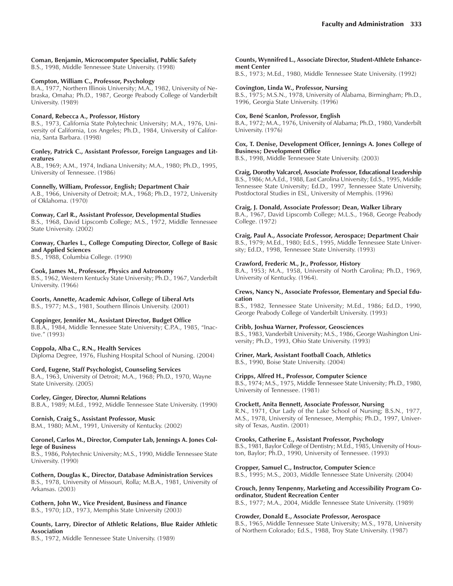### **Coman, Benjamin, Microcomputer Specialist, Public Safety**

B.S., 1998, Middle Tennessee State University. (1998)

### **Compton, William C., Professor, Psychology**

B.A., 1977, Northern Illinois University; M.A., 1982, University of Nebraska, Omaha; Ph.D., 1987, George Peabody College of Vanderbilt University. (1989)

### **Conard, Rebecca A., Professor, History**

B.S., 1973, California State Polytechnic University; M.A., 1976, University of California, Los Angeles; Ph.D., 1984, University of California, Santa Barbara. (1998)

### **Conley, Patrick C., Assistant Professor, Foreign Languages and Literatures**

A.B., 1969; A.M., 1974, Indiana University; M.A., 1980; Ph.D., 1995, University of Tennessee. (1986)

### **Connelly, William, Professor, English; Department Chair**

A.B., 1966, University of Detroit; M.A., 1968; Ph.D., 1972, University of Oklahoma. (1970)

### **Conway, Carl R., Assistant Professor, Developmental Studies**

B.S., 1968, David Lipscomb College; M.S., 1972, Middle Tennessee State University. (2002)

### **Conway, Charles L., College Computing Director, College of Basic and Applied Sciences**

B.S., 1988, Columbia College. (1990)

### **Cook, James M., Professor, Physics and Astronomy**

B.S., 1962, Western Kentucky State University; Ph.D., 1967, Vanderbilt University. (1966)

### **Coorts, Annette, Academic Advisor, College of Liberal Arts**

B.S., 1977; M.S., 1981, Southern Illinois University. (2001)

### **Coppinger, Jennifer M., Assistant Director, Budget Office**

B.B.A., 1984, Middle Tennessee State University; C.P.A., 1985, "Inactive.<sup>"</sup> (1993)

### **Coppola, Alba C., R.N., Health Services**

Diploma Degree, 1976, Flushing Hospital School of Nursing. (2004)

### **Cord, Eugene, Staff Psychologist, Counseling Services**

B.A., 1963, University of Detroit; M.A., 1968; Ph.D., 1970, Wayne State University. (2005)

### **Corley, Ginger, Director, Alumni Relations**

B.B.A., 1989; M.Ed., 1992, Middle Tennessee State University. (1990)

### **Cornish, Craig S., Assistant Professor, Music**

B.M., 1980; M.M., 1991, University of Kentucky. (2002)

#### **Coronel, Carlos M., Director, Computer Lab, Jennings A. Jones College of Business**

B.S., 1986, Polytechnic University; M.S., 1990, Middle Tennessee State University. (1990)

### **Cothern, Douglas K., Director, Database Administration Services** B.S., 1978, University of Missouri, Rolla; M.B.A., 1981, University of Arkansas. (2003)

**Cothern, John W., Vice President, Business and Finance** B.S., 1970; J.D., 1973, Memphis State University (2003)

### **Counts, Larry, Director of Athletic Relations, Blue Raider Athletic Association**

B.S., 1972, Middle Tennessee State University. (1989)

### **Counts, Wynnifred L., Associate Director, Student-Athlete Enhancement Center**

B.S., 1973; M.Ed., 1980, Middle Tennessee State University. (1992)

### **Covington, Linda W., Professor, Nursing**

B.S., 1975; M.S.N., 1978, University of Alabama, Birmingham; Ph.D., 1996, Georgia State University. (1996)

### **Cox, BenÈ Scanlon, Professor, English**

B.A., 1972; M.A., 1976, University of Alabama; Ph.D., 1980, Vanderbilt University. (1976)

### **Cox, T. Denise, Development Officer, Jennings A. Jones College of Business; Development Office**

B.S., 1998, Middle Tennessee State University. (2003)

### **Craig, Dorothy Valcarcel, Associate Professor, Educational Leadership**

B.S., 1986; M.A.Ed., 1988, East Carolina University; Ed.S., 1995, Middle Tennessee State University; Ed.D., 1997, Tennessee State University, Postdoctoral Studies in ESL, University of Memphis. (1996)

### **Craig, J. Donald, Associate Professor; Dean, Walker Library**

B.A., 1967, David Lipscomb College; M.L.S., 1968, George Peabody College. (1972)

### **Craig, Paul A., Associate Professor, Aerospace; Department Chair**

B.S., 1979; M.Ed., 1980; Ed.S., 1995, Middle Tennessee State University; Ed.D., 1998, Tennessee State University. (1993)

### **Crawford, Frederic M., Jr., Professor, History**

B.A., 1953; M.A., 1958, University of North Carolina; Ph.D., 1969, University of Kentucky. (1964).

### **Crews, Nancy N., Associate Professor, Elementary and Special Education**

B.S., 1982, Tennessee State University; M.Ed., 1986; Ed.D., 1990, George Peabody College of Vanderbilt University. (1993)

### **Cribb, Joshua Warner, Professor, Geosciences**

B.S., 1983, Vanderbilt University; M.S., 1986, George Washington University; Ph.D., 1993, Ohio State University. (1993)

#### **Criner, Mark, Assistant Football Coach, Athletics** B.S., 1990, Boise State University. (2004)

### **Cripps, Alfred H., Professor, Computer Science**

B.S., 1974; M.S., 1975, Middle Tennessee State University; Ph.D., 1980, University of Tennessee. (1981)

### **Crockett, Anita Bennett, Associate Professor, Nursing**

R.N., 1971, Our Lady of the Lake School of Nursing; B.S.N., 1977, M.S., 1978, University of Tennessee, Memphis; Ph.D., 1997, University of Texas, Austin. (2001)

### **Crooks, Catherine E., Assistant Professor, Psychology**

B.S., 1981, Baylor College of Dentistry; M.Ed., 1985, University of Houston, Baylor; Ph.D., 1990, University of Tennessee. (1993)

### **Cropper, Samuel C., Instructor, Computer Scien**ce

B.S., 1995; M.S., 2003, Middle Tennessee State University. (2004)

### **Crouch, Jenny Tenpenny, Marketing and Accessibility Program Coordinator, Student Recreation Center**

B.S., 1977; M.A., 2004, Middle Tennessee State University. (1989)

### **Crowder, Donald E., Associate Professor, Aerospace**

B.S., 1965, Middle Tennessee State University; M.S., 1978, University of Northern Colorado; Ed.S., 1988, Troy State University. (1987)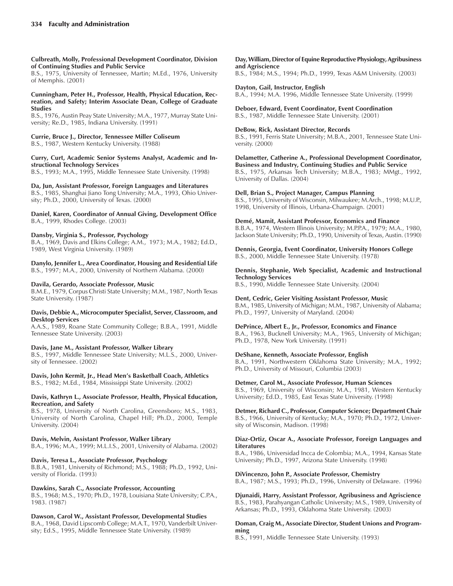**Culbreath, Molly, Professional Development Coordinator, Division of Continuing Studies and Public Service**

B.S., 1975, University of Tennessee, Martin; M.Ed., 1976, University of Memphis. (2001)

#### **Cunningham, Peter H., Professor, Health, Physical Education, Recreation, and Safety; Interim Associate Dean, College of Graduate Studies**

B.S., 1976, Austin Peay State University; M.A., 1977, Murray State University; Re.D., 1985, Indiana University. (1991)

# **Currie, Bruce J., Director, Tennessee Miller Coliseum**

B.S., 1987, Western Kentucky University. (1988)

### **Curry, Curt, Academic Senior Systems Analyst, Academic and Instructional Technology Services**

B.S., 1993; M.A., 1995, Middle Tennessee State University. (1998)

### **Da, Jun, Assistant Professor, Foreign Languages and Literatures**

B.S., 1985, Shanghai Jiano Tong University; M.A., 1993, Ohio University; Ph.D., 2000, University of Texas. (2000)

**Daniel, Karen, Coordinator of Annual Giving, Development Office** B.A., 1999, Rhodes College. (2003)

### **Dansby, Virginia S., Professor, Psychology**

B.A., 1969, Davis and Elkins College; A.M., 1973; M.A., 1982; Ed.D., 1989, West Virginia University. (1989)

**Danylo, Jennifer L., Area Coordinator, Housing and Residential Life** B.S., 1997; M.A., 2000, University of Northern Alabama. (2000)

### **Davila, Gerardo, Associate Professor, Music**

B.M.E., 1979, Corpus Christi State University; M.M., 1987, North Texas State University. (1987)

### **Davis, Debbie A., Microcomputer Specialist, Server, Classroom, and Desktop Services**

A.A.S., 1989, Roane State Community College; B.B.A., 1991, Middle Tennessee State University. (2003)

### **Davis, Jane M., Assistant Professor, Walker Library**

B.S., 1997, Middle Tennessee State University; M.L.S., 2000, University of Tennessee. (2002)

### Davis, John Kermit, Jr., Head Men's Basketball Coach, Athletics B.S., 1982; M.Ed., 1984, Mississippi State University. (2002)

### **Davis, Kathryn L., Associate Professor, Health, Physical Education, Recreation, and Safety**

B.S., 1978, University of North Carolina, Greensboro; M.S., 1983, University of North Carolina, Chapel Hill; Ph.D., 2000, Temple University. (2004)

### **Davis, Melvin, Assistant Professor, Walker Library**

B.A., 1996; M.A., 1999; M.L.I.S., 2001, University of Alabama. (2002)

### **Davis, Teresa L., Associate Professor, Psychology**

B.B.A., 1981, University of Richmond; M.S., 1988; Ph.D., 1992, University of Florida. (1993)

### **Dawkins, Sarah C., Associate Professor, Accounting**

B.S., 1968; M.S., 1970; Ph.D., 1978, Louisiana State University; C.P.A., 1983. (1987)

### **Dawson, Carol W., Assistant Professor, Developmental Studies**

B.A., 1968, David Lipscomb College; M.A.T., 1970, Vanderbilt University; Ed.S., 1995, Middle Tennessee State University. (1989)

### **Day, William, Director of Equine Reproductive Physiology, Agribusiness and Agriscience**

B.S., 1984; M.S., 1994; Ph.D., 1999, Texas A&M University. (2003)

**Dayton, Gail, Instructor, English** B.A., 1994; M.A. 1996, Middle Tennessee State University. (1999)

#### **Deboer, Edward, Event Coordinator, Event Coordination** B.S., 1987, Middle Tennessee State University. (2001)

### **DeBow, Rick, Assistant Director, Records**

B.S., 1991, Ferris State University; M.B.A., 2001, Tennessee State University. (2000)

**Delametter, Catherine A., Professional Development Coordinator, Business and Industry, Continuing Studies and Public Service**

B.S., 1975, Arkansas Tech University; M.B.A., 1983; MMgt., 1992, University of Dallas. (2004)

### **Dell, Brian S., Project Manager, Campus Planning**

B.S., 1995, University of Wisconsin, Milwaukee; M.Arch., 1998; M.U.P., 1998, University of Illinois, Urbana-Champaign. (2001)

### **DemÈ, Mamit, Assistant Professor, Economics and Finance**

B.B.A., 1974, Western Illinois University; M.P.P.A., 1979; M.A., 1980, Jackson State University; Ph.D., 1990, University of Texas, Austin. (1990)

### **Dennis, Georgia, Event Coordinator, University Honors College** B.S., 2000, Middle Tennessee State University. (1978)

### **Dennis, Stephanie, Web Specialist, Academic and Instructional Technology Services**

B.S., 1990, Middle Tennessee State University. (2004)

### **Dent, Cedric, Geier Visiting Assistant Professor, Music**

B.M., 1985, University of Michigan; M.M., 1987, University of Alabama; Ph.D., 1997, University of Maryland. (2004)

### **DePrince, Albert E., Jr., Professor, Economics and Finance**

B.A., 1963, Bucknell University; M.A., 1965, University of Michigan; Ph.D., 1978, New York University. (1991)

### **DeShane, Kenneth, Associate Professor, English**

B.A., 1991, Northwestern Oklahoma State University; M.A., 1992; Ph.D., University of Missouri, Columbia (2003)

### **Detmer, Carol M., Associate Professor, Human Sciences**

B.S., 1969, University of Wisconsin; M.A., 1981, Western Kentucky University; Ed.D., 1985, East Texas State University. (1998)

**Detmer, Richard C., Professor, Computer Science; Department Chair** B.S., 1966, University of Kentucky; M.A., 1970; Ph.D., 1972, University of Wisconsin, Madison. (1998)

### **Diaz-Ortiz, Oscar A., Associate Professor, Foreign Languages and Literatures**

B.A., 1986, Universidad Incca de Colombia; M.A., 1994, Kansas State University; Ph.D., 1997, Arizona State University. (1998)

### **DiVincenzo, John P., Associate Professor, Chemistry**

B.A., 1987; M.S., 1993; Ph.D., 1996, University of Delaware. (1996)

**Djunaidi, Harry, Assistant Professor, Agribusiness and Agriscience** B.S., 1983, Parahyangan Catholic University; M.S., 1989, University of Arkansas; Ph.D., 1993, Oklahoma State University. (2003)

### **Doman, Craig M., Associate Director, Student Unions and Programming**

B.S., 1991, Middle Tennessee State University. (1993)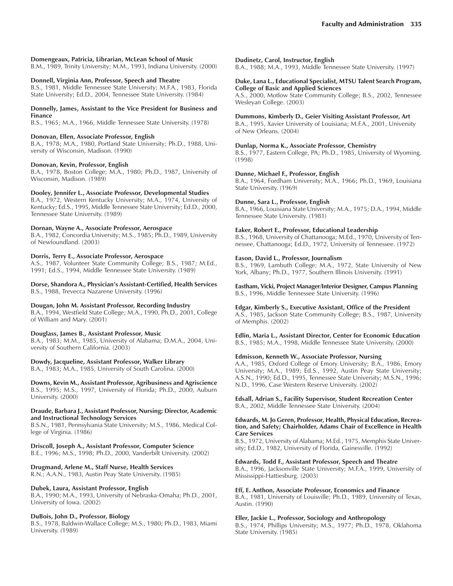### **Domengeaux, Patricia, Librarian, McLean School of Music**

B.M., 1989, Trinity University; M.M., 1993, Indiana University. (2000)

#### **Donnell, Virginia Ann, Professor, Speech and Theatre**

B.S., 1981, Middle Tennessee State University; M.F.A., 1983, Florida State University; Ed.D., 2004, Tennessee State University. (1984)

#### **Donnelly, James, Assistant to the Vice President for Business and Finance**

B.S., 1965; M.A., 1966, Middle Tennessee State University. (1978)

### **Donovan, Ellen, Associate Professor, English**

B.A., 1978; M.A., 1980, Portland State University; Ph.D., 1988, University of Wisconsin, Madison. (1990)

#### **Donovan, Kevin, Professor, English**

B.A., 1978, Boston College; M.A., 1980; Ph.D., 1987, University of Wisconsin, Madison. (1989)

#### **Dooley, Jennifer L., Associate Professor, Developmental Studies**

B.A., 1972, Western Kentucky University; M.A., 1974, University of Kentucky; Ed.S., 1995, Middle Tennessee State University; Ed.D., 2000, Tennessee State University. (1989)

### **Dornan, Wayne A., Associate Professor, Aerospace**

B.A., 1982, Concordia University; M.S., 1985; Ph.D., 1989, University of Newfoundland. (2003)

### **Dorris, Terry E., Associate Professor, Aerospace**

A.S., 1987, Volunteer State Community College; B.S., 1987; M.Ed., 1991; Ed.S., 1994, Middle Tennessee State University. (1989)

**Dorse, Shandora A., Physicianís Assistant-Certified, Health Services** B.S., 1988, Trevecca Nazarene University. (1996)

### **Dougan, John M. Assistant Professor, Recording Industry**

B.A., 1994, Westfield State College; M.A., 1990, Ph.D., 2001, College of William and Mary. (2001)

### **Douglass, James B., Assistant Professor, Music**

B.A., 1983; M.M., 1985, University of Alabama; D.M.A., 2004, University of Southern California. (2003)

### **Dowdy, Jacqueline, Assistant Professor, Walker Library**

B.A., 1983; M.A., 1985, University of South Carolina. (2000)

**Downs, Kevin M., Assistant Professor, Agribusiness and Agriscience** B.S., 1995; M.S., 1997, University of Florida; Ph.D., 2000, Auburn University. (2000)

#### **Draude, Barbara J., Assistant Professor, Nursing; Director, Academic and Instructional Technology Services**

B.S.N., 1981, Pennsylvania State University; M.S., 1986, Medical College of Virginia. (1986)

### **Driscoll, Joseph A., Assistant Professor, Computer Science**

B.E., 1996; M.S., 1998; Ph.D., 2000, Vanderbilt University. (2002)

### **Drugmand, Arlene M., Staff Nurse, Health Services**

R.N.; A.A.N., 1983, Austin Peay State University. (1985)

#### **Dubek, Laura, Assistant Professor, English**

B.A., 1990; M.A., 1993, University of Nebraska-Omaha; Ph.D., 2001, University of Iowa. (2002)

### **DuBois, John D., Professor, Biology**

B.S., 1978, Baldwin-Wallace College; M.S., 1980; Ph.D., 1983, Miami University. (1989)

### **Dudinetz, Carol, Instructor, English**

B.A., 1988; M.A., 1993, Middle Tennessee State University. (1997)

#### **Duke, Lana L., Educational Specialist, MTSU Talent Search Program, College of Basic and Applied Sciences**

A.S., 2000, Motlow State Community College; B.S., 2002, Tennessee Wesleyan College. (2003)

#### **Dummons, Kimberly D., Geier Visiting Assistant Professor, Art**

B.A., 1995, Xavier University of Louisiana; M.F.A., 2001, University of New Orleans. (2004)

### **Dunlap, Norma K., Associate Professor, Chemistry**

B.S., 1977, Eastern College, PA; Ph.D., 1985, University of Wyoming. (1998)

### **Dunne, Michael F., Professor, English**

B.A., 1964, Fordham University; M.A., 1966; Ph.D., 1969, Louisiana State University. (1969)

### **Dunne, Sara L., Professor, English**

B.A., 1966, Louisiana State University; M.A., 1975; D.A., 1994, Middle Tennessee State University. (1981)

### **Eaker, Robert E., Professor, Educational Leadership**

B.S., 1968, University of Chattanooga; M.Ed., 1970, University of Tennessee, Chattanooga; Ed.D., 1972, University of Tennessee. (1972)

### **Eason, David L., Professor, Journalism**

B.S., 1969, Lambuth College; M.A., 1972, State University of New York, Albany; Ph.D., 1977, Southern Illinois University. (1991)

#### **Eastham, Vicki, Project Manager/Interior Designer, Campus Planning** B.S., 1996, Middle Tennessee State University. (1996)

### **Edgar, Kimberly S., Executive Assistant, Office of the President**

A.S., 1985, Jackson State Community College; B.S., 1987, University of Memphis. (2002)

#### **Edlin, Maria L., Assistant Director, Center for Economic Education** B.S., 1985; M.A., 1998, Middle Tennessee State University. (2000)

### **Edmisson, Kenneth W., Associate Professor, Nursing**

A.A., 1985, Oxford College of Emory University; B.A., 1986, Emory University; M.A., 1989; Ed.S., 1992, Austin Peay State University; A.S.N., 1990; Ed.D., 1995, Tennessee State University; M.S.N., 1996; N.D., 1996, Case Western Reserve University. (2002)

#### **Edsall, Adrian S., Facility Supervisor, Student Recreation Center** B.A., 2002, Middle Tennessee State University. (2004)

#### **Edwards, M. Jo Geren, Professor, Health, Physical Education, Recreation, and Safety; Chairholder, Adams Chair of Excellence in Health Care Services**

B.S., 1972, University of Alabama; M.Ed., 1975, Memphis State University; Ed.D., 1982, University of Florida, Gainesville. (1992)

### **Edwards, Todd F., Assistant Professor, Speech and Theatre**

B.A., 1996, Jacksonville State University; M.F.A., 1999, University of Mississippi-Hattiesburg. (2003)

#### **Eff, E. Anthon, Associate Professor, Economics and Finance**

B.A., 1981, University of Louisville; Ph.D., 1989, University of Texas, Austin. (1990)

#### **Eller, Jackie L., Professor, Sociology and Anthropology**

B.S., 1974, Phillips University; M.S., 1977; Ph.D., 1978, Oklahoma State University. (1985)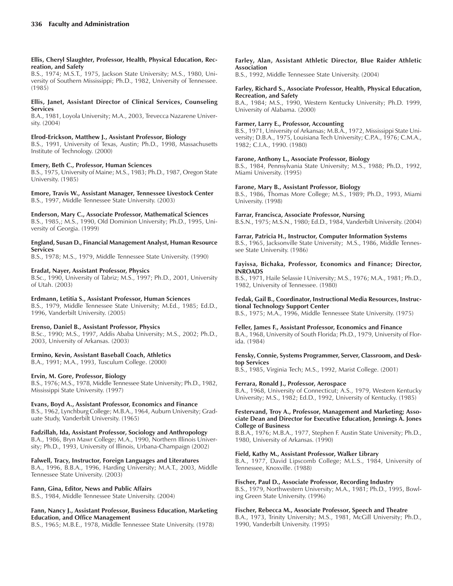### **Ellis, Cheryl Slaughter, Professor, Health, Physical Education, Recreation, and Safety**

B.S., 1974; M.S.T., 1975, Jackson State University; M.S., 1980, University of Southern Mississippi; Ph.D., 1982, University of Tennessee. (1985)

### **Ellis, Janet, Assistant Director of Clinical Services, Counseling Services**

B.A., 1981, Loyola University; M.A., 2003, Trevecca Nazarene University. (2004)

### **Elrod-Erickson, Matthew J., Assistant Professor, Biology**

B.S., 1991, University of Texas, Austin; Ph.D., 1998, Massachusetts Institute of Technology. (2000)

### **Emery, Beth C., Professor, Human Sciences**

B.S., 1975, University of Maine; M.S., 1983; Ph.D., 1987, Oregon State University. (1985)

**Emore, Travis W., Assistant Manager, Tennessee Livestock Center** B.S., 1997, Middle Tennessee State University. (2003)

# **Enderson, Mary C., Associate Professor, Mathematical Sciences**

B.S., 1985,; M.S., 1990, Old Dominion University; Ph.D., 1995, University of Georgia. (1999)

#### **England, Susan D., Financial Management Analyst, Human Resource Services**

B.S., 1978; M.S., 1979, Middle Tennessee State University. (1990)

### **Eradat, Nayer, Assistant Professor, Physics**

B.Sc., 1990, University of Tabriz; M.S., 1997; Ph.D., 2001, University of Utah. (2003)

### **Erdmann, Letitia S., Assistant Professor, Human Sciences**

B.S., 1979, Middle Tennessee State University; M.Ed., 1985; Ed.D., 1996, Vanderbilt University. (2005)

### **Erenso, Daniel B., Assistant Professor, Physics**

B.Sc., 1990; M.S., 1997, Addis Ababa University; M.S., 2002; Ph.D., 2003, University of Arkansas. (2003)

### **Ermino, Kevin, Assistant Baseball Coach, Athletics**

B.A., 1991; M.A., 1993, Tusculum College. (2000)

### **Ervin, M. Gore, Professor, Biology**

B.S., 1976; M.S., 1978, Middle Tennessee State University; Ph.D., 1982, Mississippi State University. (1997)

### **Evans, Boyd A., Assistant Professor, Economics and Finance**

B.S., 1962, Lynchburg College; M.B.A., 1964, Auburn University; Graduate Study, Vanderbilt University. (1965)

### **Fadzillah, Ida, Assistant Professor, Sociology and Anthropology**

B.A., 1986, Bryn Mawr College; M.A., 1990, Northern Illinois University; Ph.D., 1993, University of Illinois, Urbana-Champaign (2002)

### **Falwell, Tracy, Instructor, Foreign Languages and Literatures**

B.A., 1996, B.B.A., 1996, Harding University; M.A.T., 2003, Middle Tennessee State University. (2003)

### **Fann, Gina, Editor, News and Public Affairs**

B.S., 1984, Middle Tennessee State University. (2004)

### **Fann, Nancy J., Assistant Professor, Business Education, Marketing Education, and Office Management**

B.S., 1965; M.B.E., 1978, Middle Tennessee State University. (1978)

#### **Farley, Alan, Assistant Athletic Director, Blue Raider Athletic Association**

B.S., 1992, Middle Tennessee State University. (2004)

#### **Farley, Richard S., Associate Professor, Health, Physical Education, Recreation, and Safety**

B.A., 1984; M.S., 1990, Western Kentucky University; Ph.D. 1999, University of Alabama. (2000)

### **Farmer, Larry E., Professor, Accounting**

B.S., 1971, University of Arkansas; M.B.A., 1972, Mississippi State University; D.B.A., 1975, Louisiana Tech University; C.P.A., 1976; C.M.A., 1982; C.I.A., 1990. (1980)

### **Farone, Anthony L., Associate Professor, Biology**

B.S., 1984, Pennsylvania State University; M.S., 1988; Ph.D., 1992, Miami University. (1995)

### **Farone, Mary B., Assistant Professor, Biology**

B.S., 1986, Thomas More College; M.S., 1989; Ph.D., 1993, Miami University. (1998)

### **Farrar, Francisca, Associate Professor, Nursing**

B.S.N., 1975; M.S.N., 1980; Ed.D., 1984, Vanderbilt University. (2004)

### **Farrar, Patricia H., Instructor, Computer Information Systems**

B.S., 1965, Jacksonville State University; M.S., 1986, Middle Tennessee State University. (1986)

### **Fayissa, Bichaka, Professor, Economics and Finance; Director, INROADS**

B.S., 1971, Haile Selassie I University; M.S., 1976; M.A., 1981; Ph.D., 1982, University of Tennessee. (1980)

### **Fedak, Gail B., Coordinator, Instructional Media Resources, Instructional Technology Support Center**

B.S., 1975; M.A., 1996, Middle Tennessee State University. (1975)

### **Feller, James F., Assistant Professor, Economics and Finance**

B.A., 1968, University of South Florida; Ph.D., 1979, University of Florida. (1984)

### **Fensky, Connie, Systems Programmer, Server, Classroom, and Desktop Services**

B.S., 1985, Virginia Tech; M.S., 1992, Marist College. (2001)

### **Ferrara, Ronald J., Professor, Aerospace**

B.A., 1968, University of Connecticut; A.S., 1979, Western Kentucky University; M.S., 1982; Ed.D., 1992, University of Kentucky. (1985)

### **Festervand, Troy A., Professor, Management and Marketing; Associate Dean and Director for Executive Education, Jennings A. Jones College of Business**

B.B.A., 1976; M.B.A., 1977, Stephen F. Austin State University; Ph.D., 1980, University of Arkansas. (1990)

### **Field, Kathy M., Assistant Professor, Walker Library**

B.A., 1977, David Lipscomb College; M.L.S., 1984, University of Tennessee, Knoxville. (1988)

### **Fischer, Paul D., Associate Professor, Recording Industry**

B.S., 1979, Northwestern University; M.A., 1981; Ph.D., 1995, Bowling Green State University. (1996)

### **Fischer, Rebecca M., Associate Professor, Speech and Theatre**

B.A., 1973, Trinity University; M.S., 1981, McGill University; Ph.D., 1990, Vanderbilt University. (1995)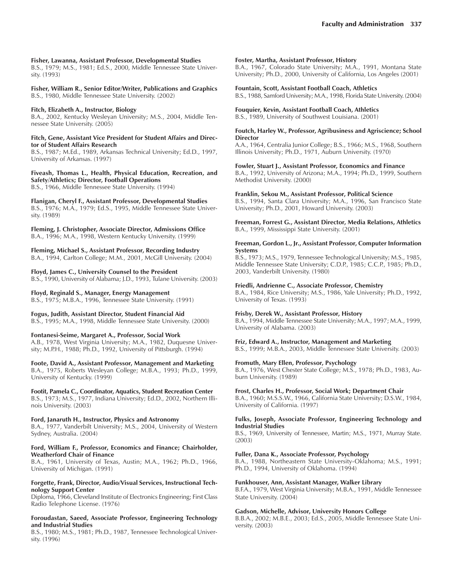#### **Fisher, Lawanna, Assistant Professor, Developmental Studies**

B.S., 1979; M.S., 1981; Ed.S., 2000, Middle Tennessee State University. (1993)

**Fisher, William R., Senior Editor/Writer, Publications and Graphics** B.S., 1980, Middle Tennessee State University. (2002)

#### **Fitch, Elizabeth A., Instructor, Biology**

B.A., 2002, Kentucky Wesleyan University; M.S., 2004, Middle Tennessee State University. (2005)

**Fitch, Gene, Assistant Vice President for Student Affairs and Director of Student Affairs Research**

B.S., 1987; M.Ed., 1989, Arkansas Technical University; Ed.D., 1997, University of Arkansas. (1997)

**Fiveash, Thomas L., Health, Physical Education, Recreation, and Safety/Athletics; Director, Football Operations** B.S., 1966, Middle Tennessee State University. (1994)

**Flanigan, Cheryl F., Assistant Professor, Developmental Studies** B.S., 1976; M.A., 1979; Ed.S., 1995, Middle Tennessee State University. (1989)

**Fleming, J. Christopher, Associate Director, Admissions Office** B.A., 1996; M.A., 1998, Western Kentucky University. (1999)

**Fleming, Michael S., Assistant Professor, Recording Industry** B.A., 1994, Carlton College; M.M., 2001, McGill University. (2004)

**Floyd, James C., University Counsel to the President** B.S., 1990, University of Alabama; J.D., 1993, Tulane University. (2003)

### **Floyd, Reginald S., Manager, Energy Management**

B.S., 1975; M.B.A., 1996, Tennessee State University. (1991)

### **Fogus, Judith, Assistant Director, Student Financial Aid**

B.S., 1995; M.A., 1998, Middle Tennessee State University. (2000)

#### **Fontanesi-Seime, Margaret A., Professor, Social Work**

A.B., 1978, West Virginia University; M.A., 1982, Duquesne University; M.P.H., 1988; Ph.D., 1992, University of Pittsburgh. (1994)

**Foote, David A., Assistant Professor, Management and Marketing** B.A., 1975, Roberts Wesleyan College; M.B.A., 1993; Ph.D., 1999, University of Kentucky. (1999)

**Footit, Pamela C., Coordinator, Aquatics, Student Recreation Center** B.S., 1973; M.S., 1977, Indiana University; Ed.D., 2002, Northern Illinois University. (2003)

**Ford, Janaruth H., Instructor, Physics and Astronomy** B.A., 1977, Vanderbilt University; M.S., 2004, University of Western Sydney, Australia. (2004)

#### **Ford, William F., Professor, Economics and Finance; Chairholder, Weatherford Chair of Finance**

B.A., 1961, University of Texas, Austin; M.A., 1962; Ph.D., 1966, University of Michigan. (1991)

### **Forgette, Frank, Director, Audio/Visual Services, Instructional Technology Support Center**

Diploma, 1966, Cleveland Institute of Electronics Engineering; First Class Radio Telephone License. (1976)

#### **Foroudastan, Saeed, Associate Professor, Engineering Technology and Industrial Studies**

B.S., 1980; M.S., 1981; Ph.D., 1987, Tennessee Technological University. (1996)

#### **Foster, Martha, Assistant Professor, History**

B.A., 1967, Colorado State University; M.A., 1991, Montana State University; Ph.D., 2000, University of California, Los Angeles (2001)

#### **Fountain, Scott, Assistant Football Coach, Athletics** B.S., 1988, Samford University; M.A., 1998, Florida State University. (2004)

**Fouquier, Kevin, Assistant Football Coach, Athletics**

B.S., 1989, University of Southwest Louisiana. (2001)

### **Foutch, Harley W., Professor, Agribusiness and Agriscience; School Director**

A.A., 1964, Centralia Junior College; B.S., 1966; M.S., 1968, Southern Illinois University; Ph.D., 1971, Auburn University. (1970)

### **Fowler, Stuart J., Assistant Professor, Economics and Finance**

B.A., 1992, University of Arizona; M.A., 1994; Ph.D., 1999, Southern Methodist University. (2000)

#### **Franklin, Sekou M., Assistant Professor, Political Science**

B.S., 1994, Santa Clara University; M.A., 1996, San Francisco State University; Ph.D., 2001, Howard University. (2003)

**Freeman, Forrest G., Assistant Director, Media Relations, Athletics** B.A., 1999, Mississippi State University. (2001)

#### **Freeman, Gordon L., Jr., Assistant Professor, Computer Information Systems**

B.S., 1973; M.S., 1979, Tennessee Technological University; M.S., 1985, Middle Tennessee State University; C.D.P., 1985; C.C.P., 1985; Ph.D., 2003, Vanderbilt University. (1980)

### **Friedli, Andrienne C., Associate Professor, Chemistry**

B.A., 1984, Rice University; M.S., 1986, Yale University; Ph.D., 1992, University of Texas. (1993)

### **Frisby, Derek W., Assistant Professor, History**

B.A., 1994, Middle Tennessee State University; M.A., 1997; M.A., 1999, University of Alabama. (2003)

#### **Friz, Edward A., Instructor, Management and Marketing**

B.S., 1999; M.B.A., 2003, Middle Tennessee State University. (2003)

### **Fromuth, Mary Ellen, Professor, Psychology**

B.A., 1976, West Chester State College; M.S., 1978; Ph.D., 1983, Auburn University. (1989)

### **Frost, Charles H., Professor, Social Work; Department Chair**

B.A., 1960; M.S.S.W., 1966, California State University; D.S.W., 1984, University of California. (1997)

#### **Fulks, Joseph, Associate Professor, Engineering Technology and Industrial Studies**

B.S., 1969, University of Tennessee, Martin; M.S., 1971, Murray State. (2003)

### **Fuller, Dana K., Associate Professor, Psychology**

B.A., 1988, Northeastern State University-Oklahoma; M.S., 1991; Ph.D., 1994, University of Oklahoma. (1994)

#### **Funkhouser, Ann, Assistant Manager, Walker Library**

B.F.A., 1979, West Virginia University; M.B.A., 1991, Middle Tennessee State University. (2004)

### **Gadson, Michelle, Advisor, University Honors College**

B.B.A., 2002; M.B.E., 2003; Ed.S., 2005, Middle Tennessee State University. (2003)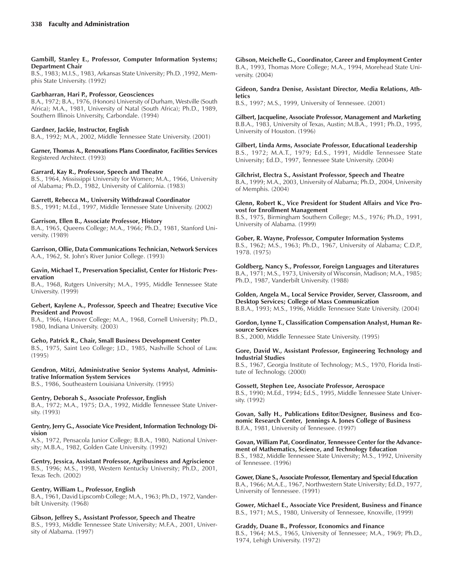### **Gambill, Stanley E., Professor, Computer Information Systems; Department Chair**

B.S., 1983; M.I.S., 1983, Arkansas State University; Ph.D. ,1992, Memphis State University. (1992)

### **Garbharran, Hari P., Professor, Geosciences**

B.A., 1972; B.A., 1976, (Honors) University of Durham, Westville (South Africa); M.A., 1981, University of Natal (South Africa); Ph.D., 1989, Southern Illinois University, Carbondale. (1994)

### **Gardner, Jackie, Instructor, English**

B.A., 1992; M.A., 2002, Middle Tennessee State University. (2001)

**Garner, Thomas A., Renovations Plans Coordinator, Facilities Services** Registered Architect. (1993)

### **Garrard, Kay R., Professor, Speech and Theatre**

B.S., 1964, Mississippi University for Women; M.A., 1966, University of Alabama; Ph.D., 1982, University of California. (1983)

### **Garrett, Rebecca M., University Withdrawal Coordinator**

B.S., 1991; M.Ed., 1997, Middle Tennessee State University. (2002)

### **Garrison, Ellen B., Associate Professor, History**

B.A., 1965, Queens College; M.A., 1966; Ph.D., 1981, Stanford University. (1989)

**Garrison, Ollie, Data Communications Technician, Network Services** A.A., 1962, St. Johnís River Junior College. (1993)

#### **Gavin, Michael T., Preservation Specialist, Center for Historic Preservation**

B.A., 1968, Rutgers University; M.A., 1995, Middle Tennessee State University. (1999)

### **Gebert, Kaylene A., Professor, Speech and Theatre; Executive Vice President and Provost**

B.A., 1966, Hanover College; M.A., 1968, Cornell University; Ph.D., 1980, Indiana University. (2003)

### **Geho, Patrick R., Chair, Small Business Development Center**

B.S., 1975, Saint Leo College; J.D., 1985, Nashville School of Law. (1995)

### **Gendron, Mitzi, Administrative Senior Systems Analyst, Administrative Information System Services**

B.S., 1986, Southeastern Louisiana University. (1995)

### **Gentry, Deborah S., Associate Professor, English**

B.A., 1972; M.A., 1975; D.A., 1992, Middle Tennessee State University. (1993)

### **Gentry, Jerry G., Associate Vice President, Information Technology Division**

A.S., 1972, Pensacola Junior College; B.B.A., 1980, National University; M.B.A., 1982, Golden Gate University. (1992)

**Gentry, Jessica, Assistant Professor, Agribusiness and Agriscience** B.S., 1996; M.S., 1998, Western Kentucky University; Ph.D., 2001, Texas Tech. (2002)

### **Gentry, William L., Professor, English**

B.A., 1961, David Lipscomb College; M.A., 1963; Ph.D., 1972, Vanderbilt University. (1968)

### **Gibson, Jeffrey S., Assistant Professor, Speech and Theatre**

B.S., 1993, Middle Tennessee State University; M.F.A., 2001, University of Alabama. (1997)

**Gibson, Meichelle G., Coordinator, Career and Employment Center** B.A., 1993, Thomas More College; M.A., 1994, Morehead State University. (2004)

**Gideon, Sandra Denise, Assistant Director, Media Relations, Athletics**

B.S., 1997; M.S., 1999, University of Tennessee. (2001)

**Gilbert, Jacqueline, Associate Professor, Management and Marketing** B.B.A., 1983, University of Texas, Austin; M.B.A., 1991; Ph.D., 1995, University of Houston. (1996)

**Gilbert, Linda Arms, Associate Professor, Educational Leadership** B.S., 1972; M.A.T., 1979; Ed.S., 1991, Middle Tennessee State University; Ed.D., 1997, Tennessee State University. (2004)

### **Gilchrist, Electra S., Assistant Professor, Speech and Theatre**

B.A., 1999; M.A., 2003, University of Alabama; Ph.D., 2004, University of Memphis. (2004)

### **Glenn, Robert K., Vice President for Student Affairs and Vice Provost for Enrollment Management**

B.S., 1975, Birmingham Southern College; M.S., 1976; Ph.D., 1991, University of Alabama. (1999)

### **Gober, R. Wayne, Professor, Computer Information Systems**

B.S., 1962; M.S., 1963; Ph.D., 1967, University of Alabama; C.D.P., 1978. (1975)

**Goldberg, Nancy S., Professor, Foreign Languages and Literatures** B.A., 1971; M.S., 1973, University of Wisconsin, Madison; M.A., 1985; Ph.D., 1987, Vanderbilt University. (1988)

### **Golden, Angela M., Local Service Provider, Server, Classroom, and Desktop Services; College of Mass Communication**

B.B.A., 1993; M.S., 1996, Middle Tennessee State University. (2004)

### **Gordon, Lynne T., Classification Compensation Analyst, Human Resource Services**

B.S., 2000, Middle Tennessee State University. (1995)

### **Gore, David W., Assistant Professor, Engineering Technology and Industrial Studies**

B.S., 1967, Georgia Institute of Technology; M.S., 1970, Florida Institute of Technology. (2000)

### **Gossett, Stephen Lee, Associate Professor, Aerospace**

B.S., 1990; M.Ed., 1994; Ed.S., 1995, Middle Tennessee State University. (1992)

**Govan, Sally H., Publications Editor/Designer, Business and Economic Research Center, Jennings A. Jones College of Business** B.F.A., 1981, University of Tennessee. (1997)

**Govan, William Pat, Coordinator, Tennessee Center for the Advancement of Mathematics, Science, and Technology Education** B.S., 1982, Middle Tennessee State University; M.S., 1992, University of Tennessee. (1996)

**Gower, Diane S., Associate Professor, Elementary and Special Education** B.A., 1966; M.A.E., 1967, Northwestern State University; Ed.D., 1977, University of Tennessee. (1991)

**Gower, Michael E., Associate Vice President, Business and Finance** B.S., 1971; M.S., 1980, University of Tennessee, Knoxville, (1999)

### **Graddy, Duane B., Professor, Economics and Finance**

B.S., 1964; M.S., 1965, University of Tennessee; M.A., 1969; Ph.D., 1974, Lehigh University. (1972)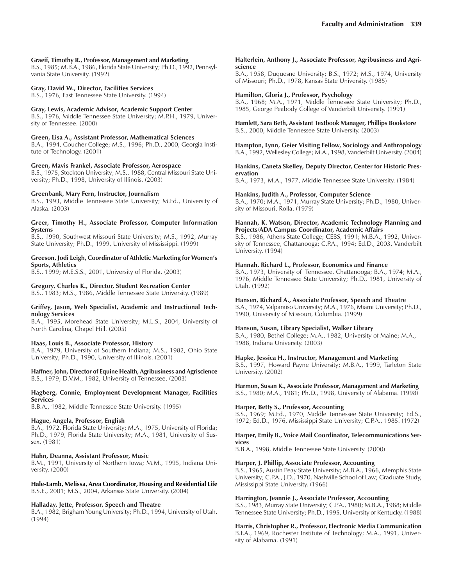#### **Graeff, Timothy R., Professor, Management and Marketing**

B.S., 1985; M.B.A., 1986, Florida State University; Ph.D., 1992, Pennsylvania State University. (1992)

#### **Gray, David W., Director, Facilities Services**

B.S., 1976, East Tennessee State University. (1994)

#### **Gray, Lewis, Academic Advisor, Academic Support Center**

B.S., 1976, Middle Tennessee State University; M.P.H., 1979, University of Tennessee. (2000)

#### **Green, Lisa A., Assistant Professor, Mathematical Sciences**

B.A., 1994, Goucher College; M.S., 1996; Ph.D., 2000, Georgia Institute of Technology. (2001)

#### **Green, Mavis Frankel, Associate Professor, Aerospace**

B.S., 1975, Stockton University; M.S., 1988, Central Missouri State University; Ph.D., 1998, University of Illinois. (2003)

#### **Greenbank, Mary Fern, Instructor, Journalism**

B.S., 1993, Middle Tennessee State University; M.Ed., University of Alaska. (2003)

#### **Greer, Timothy H., Associate Professor, Computer Information Systems**

B.S., 1990, Southwest Missouri State University; M.S., 1992, Murray State University; Ph.D., 1999, University of Mississippi. (1999)

#### **Greeson, Jodi Leigh, Coordinator of Athletic Marketing for Womenís Sports, Athletics**

B.S., 1999; M.E.S.S., 2001, University of Florida. (2003)

### **Gregory, Charles K., Director, Student Recreation Center**

B.S., 1983; M.S., 1986, Middle Tennessee State University. (1989)

#### **Griffey, Jason, Web Specialist, Academic and Instructional Technology Services**

B.A., 1995, Morehead State University; M.L.S., 2004, University of North Carolina, Chapel Hill. (2005)

#### **Haas, Louis B., Associate Professor, History**

B.A., 1979, University of Southern Indiana; M.S., 1982, Ohio State University; Ph.D., 1990, University of Illinois. (2001)

**Haffner, John, Director of Equine Health, Agribusiness and Agriscience** B.S., 1979; D.V.M., 1982, University of Tennessee. (2003)

#### **Hagberg, Connie, Employment Development Manager, Facilities Services**

B.B.A., 1982, Middle Tennessee State University. (1995)

#### **Hague, Angela, Professor, English**

B.A., 1972, Florida State University; M.A., 1975, University of Florida; Ph.D., 1979, Florida State University; M.A., 1981, University of Sussex. (1981)

#### **Hahn, Deanna, Assistant Professor, Music**

B.M., 1991, University of Northern Iowa; M.M., 1995, Indiana University. (2000)

**Hale-Lamb, Melissa, Area Coordinator, Housing and Residential Life** B.S.E., 2001; M.S., 2004, Arkansas State University. (2004)

#### **Halladay, Jette, Professor, Speech and Theatre**

B.A., 1982, Brigham Young University; Ph.D., 1994, University of Utah. (1994)

#### **Halterlein, Anthony J., Associate Professor, Agribusiness and Agriscience**

B.A., 1958, Duquesne University; B.S., 1972; M.S., 1974, University of Missouri; Ph.D., 1978, Kansas State University. (1985)

#### **Hamilton, Gloria J., Professor, Psychology**

B.A., 1968; M.A., 1971, Middle Tennessee State University; Ph.D., 1985, George Peabody College of Vanderbilt University. (1991)

**Hamlett, Sara Beth, Assistant Textbook Manager, Phillips Bookstore** B.S., 2000, Middle Tennessee State University. (2003)

**Hampton, Lynn, Geier Visiting Fellow, Sociology and Anthropology** B.A., 1992, Wellesley College; M.A., 1998, Vanderbilt University. (2004)

#### **Hankins, Caneta Skelley, Deputy Director, Center for Historic Preservation**

B.A., 1973; M.A., 1977, Middle Tennessee State University. (1984)

### **Hankins, Judith A., Professor, Computer Science**

B.A., 1970; M.A., 1971, Murray State University; Ph.D., 1980, University of Missouri, Rolla. (1979)

### **Hannah, K. Watson, Director, Academic Technology Planning and Projects/ADA Campus Coordinator, Academic Affairs**

B.S., 1986, Athens State College; CEBS, 1991; M.B.A., 1992, University of Tennessee, Chattanooga; C.P.A., 1994; Ed.D., 2003, Vanderbilt University. (1994)

#### **Hannah, Richard L., Professor, Economics and Finance**

B.A., 1973, University of Tennessee, Chattanooga; B.A., 1974; M.A., 1976, Middle Tennessee State University; Ph.D., 1981, University of Utah. (1992)

#### **Hansen, Richard A., Associate Professor, Speech and Theatre**

B.A., 1974, Valparaiso University; M.A., 1976, Miami University; Ph.D., 1990, University of Missouri, Columbia. (1999)

### **Hanson, Susan, Library Specialist, Walker Library**

B.A., 1980, Bethel College; M.A., 1982, University of Maine; M.A., 1988, Indiana University. (2003)

#### **Hapke, Jessica H., Instructor, Management and Marketing**

B.S., 1997, Howard Payne University; M.B.A., 1999, Tarleton State University. (2002)

**Harmon, Susan K., Associate Professor, Management and Marketing**

B.S., 1980; M.A., 1981; Ph.D., 1998, University of Alabama. (1998)

### **Harper, Betty S., Professor, Accounting**

B.S., 1969; M.Ed., 1970, Middle Tennessee State University; Ed.S., 1972; Ed.D., 1976, Mississippi State University; C.P.A., 1985. (1972)

#### **Harper, Emily B., Voice Mail Coordinator, Telecommunications Services**

B.B.A., 1998, Middle Tennessee State University. (2000)

### **Harper, J. Phillip, Associate Professor, Accounting**

B.S., 1965, Austin Peay State University; M.B.A., 1966, Memphis State University; C.P.A., J.D., 1970, Nashville School of Law; Graduate Study, Mississippi State University. (1966)

### **Harrington, Jeannie J., Associate Professor, Accounting**

B.S., 1983, Murray State University; C.P.A., 1980; M.B.A., 1988; Middle Tennessee State University; Ph.D., 1995, University of Kentucky. (1988)

**Harris, Christopher R., Professor, Electronic Media Communication** B.F.A., 1969, Rochester Institute of Technology; M.A., 1991, University of Alabama. (1991)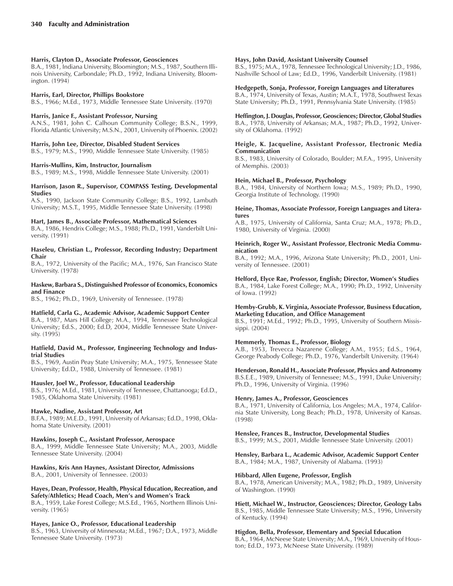### **Harris, Clayton D., Associate Professor, Geosciences**

B.A., 1981, Indiana University, Bloomington; M.S., 1987, Southern Illinois University, Carbondale; Ph.D., 1992, Indiana University, Bloomington. (1994)

### **Harris, Earl, Director, Phillips Bookstore**

B.S., 1966; M.Ed., 1973, Middle Tennessee State University. (1970)

### **Harris, Janice F., Assistant Professor, Nursing**

A.N.S., 1981, John C. Calhoun Community College; B.S.N., 1999, Florida Atlantic University; M.S.N., 2001, University of Phoenix. (2002)

### **Harris, John Lee, Director, Disabled Student Services**

B.S., 1979; M.S., 1990, Middle Tennessee State University. (1985)

### **Harris-Mullins, Kim, Instructor, Journalism**

B.S., 1989; M.S., 1998, Middle Tennessee State University. (2001)

### **Harrison, Jason R., Supervisor, COMPASS Testing, Developmental Studies**

A.S., 1990, Jackson State Community College; B.S., 1992, Lambuth University; M.S.T., 1995, Middle Tennessee State University. (1998)

### **Hart, James B., Associate Professor, Mathematical Sciences**

B.A., 1986, Hendrix College; M.S., 1988; Ph.D., 1991, Vanderbilt University. (1991)

#### **Haseleu, Christian L., Professor, Recording Industry; Department Chair**

B.A., 1972, University of the Pacific; M.A., 1976, San Francisco State University. (1978)

### **Haskew, Barbara S., Distinguished Professor of Economics, Economics and Finance**

B.S., 1962; Ph.D., 1969, University of Tennessee. (1978)

### **Hatfield, Carla G., Academic Advisor, Academic Support Center**

B.A., 1987, Mars Hill College; M.A., 1994, Tennessee Technological University; Ed.S., 2000; Ed.D, 2004, Middle Tennessee State University. (1995)

#### **Hatfield, David M., Professor, Engineering Technology and Industrial Studies**

B.S., 1969, Austin Peay State University; M.A., 1975, Tennessee State University; Ed.D., 1988, University of Tennessee. (1981)

### **Hausler, Joel W., Professor, Educational Leadership**

B.S., 1976; M.Ed., 1981, University of Tennessee, Chattanooga; Ed.D., 1985, Oklahoma State University. (1981)

### **Hawke, Nadine, Assistant Professor, Art**

B.F.A., 1989; M.E.D., 1991, University of Arkansas; Ed.D., 1998, Oklahoma State University. (2001)

### **Hawkins, Joseph C., Assistant Professor, Aerospace**

B.A., 1999, Middle Tennessee State University; M.A., 2003, Middle Tennessee State University. (2004)

**Hawkins, Kris Ann Haynes, Assistant Director, Admissions** B.A., 2001, University of Tennessee. (2003)

### **Hayes, Dean, Professor, Health, Physical Education, Recreation, and Safety/Athletics; Head Coach, Menís and Womenís Track**

B.A., 1959, Lake Forest College; M.S.Ed., 1965, Northern Illinois University. (1965)

### **Hayes, Janice O., Professor, Educational Leadership**

B.S., 1963, University of Minnesota; M.Ed., 1967; D.A., 1973, Middle Tennessee State University. (1973)

### **Hays, John David, Assistant University Counsel**

B.S., 1975; M.A., 1978, Tennessee Technological University; J.D., 1986, Nashville School of Law; Ed.D., 1996, Vanderbilt University. (1981)

### **Hedgepeth, Sonja, Professor, Foreign Languages and Literatures**

B.A., 1974, University of Texas, Austin; M.A.T., 1978, Southwest Texas State University; Ph.D., 1991, Pennsylvania State University. (1985)

**Heffington, J. Douglas, Professor, Geosciences; Director, Global Studies** B.A., 1978, University of Arkansas; M.A., 1987; Ph.D., 1992, University of Oklahoma. (1992)

### **Heigle, K. Jacqueline, Assistant Professor, Electronic Media Communication**

B.S., 1983, University of Colorado, Boulder; M.F.A., 1995, University of Memphis. (2003)

### **Hein, Michael B., Professor, Psychology**

B.A., 1984, University of Northern Iowa; M.S., 1989; Ph.D., 1990, Georgia Institute of Technology. (1990)

### **Heine, Thomas, Associate Professor, Foreign Languages and Literatures**

A.B., 1975, University of California, Santa Cruz; M.A., 1978; Ph.D., 1980, University of Virginia. (2000)

### **Heinrich, Roger W., Assistant Professor, Electronic Media Communication**

B.A., 1992; M.A., 1996, Arizona State University; Ph.D., 2001, University of Tennessee. (2001)

# **Helford, Elyce Rae, Professor, English; Director, Womenís Studies**

B.A., 1984, Lake Forest College; M.A., 1990; Ph.D., 1992, University of Iowa. (1992)

### **Hemby-Grubb, K. Virginia, Associate Professor, Business Education, Marketing Education, and Office Management**

B.S., 1991; M.Ed., 1992; Ph.D., 1995, University of Southern Mississippi. (2004)

### **Hemmerly, Thomas E., Professor, Biology**

A.B., 1953, Trevecca Nazarene College; A.M., 1955; Ed.S., 1964, George Peabody College; Ph.D., 1976, Vanderbilt University. (1964)

### **Henderson, Ronald H., Associate Professor, Physics and Astronomy**

B.S.E.E., 1989, University of Tennessee; M.S., 1991, Duke University; Ph.D., 1996, University of Virginia. (1996)

### **Henry, James A., Professor, Geosciences**

B.A., 1971, University of California, Los Angeles; M.A., 1974, California State University, Long Beach; Ph.D., 1978, University of Kansas. (1998)

### **Henslee, Frances B., Instructor, Developmental Studies**

B.S., 1999; M.S., 2001, Middle Tennessee State University. (2001)

**Hensley, Barbara L., Academic Advisor, Academic Support Center** B.A., 1984; M.A., 1987, University of Alabama. (1993)

### **Hibbard, Allen Eugene, Professor, English**

B.A., 1978, American University; M.A., 1982; Ph.D., 1989, University of Washington. (1990)

**Hiett, Michael W., Instructor, Geosciences; Director, Geology Labs** B.S., 1985, Middle Tennessee State University; M.S., 1996, University of Kentucky. (1994)

### **Higdon, Bella, Professor, Elementary and Special Education**

B.A., 1964, McNeese State University; M.A., 1969, University of Houston; Ed.D., 1973, McNeese State University. (1989)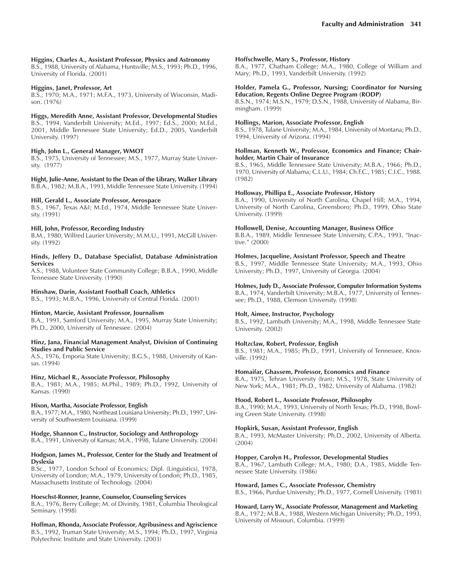### **Higgins, Charles A., Assistant Professor, Physics and Astronomy**

B.S., 1988, University of Alabama, Huntsville; M.S., 1993; Ph.D., 1996, University of Florida. (2001)

### **Higgins, Janet, Professor, Art**

B.S., 1970; M.A., 1971; M.F.A., 1973, University of Wisconsin, Madison. (1976)

### **Higgs, Meredith Anne, Assistant Professor, Developmental Studies**

B.S., 1994, Vanderbilt University; M.Ed., 1997; Ed.S., 2000; M.Ed., 2001, Middle Tennessee State University; Ed.D., 2005, Vanderbilt University. (1997)

### **High, John L., General Manager, WMOT**

B.S., 1975, University of Tennessee; M.S., 1977, Murray State University. (1977)

**Hight, Julie-Anne, Assistant to the Dean of the Library, Walker Library** B.B.A., 1982; M.B.A., 1993, Middle Tennessee State University. (1994)

### **Hill, Gerald L., Associate Professor, Aerospace**

B.S., 1967, Texas A&I; M.Ed., 1974, Middle Tennessee State University. (1991)

### **Hill, John, Professor, Recording Industry**

B.M., 1980, Wilfred Laurier University; M.M.U., 1991, McGill University. (1992)

#### **Hinds, Jeffery D., Database Specialist, Database Administration Services**

A.S., 1988, Volunteer State Community College; B.B.A., 1990, Middle Tennessee State University. (1990)

### **Hinshaw, Darin, Assistant Football Coach, Athletics**

B.S., 1993; M.B.A., 1996, University of Central Florida. (2001)

#### **Hinton, Marcie, Assistant Professor, Journalism**

B.A., 1991, Samford University; M.A., 1995, Murray State University; Ph.D., 2000, University of Tennessee. (2004)

#### **Hinz, Jana, Financial Management Analyst, Division of Continuing Studies and Public Service**

A.S., 1976, Emporia State University; B.G.S., 1988, University of Kansas. (1994)

### **Hinz, Michael R., Associate Professor, Philosophy**

B.A., 1981; M.A., 1985; M.Phil., 1989; Ph.D., 1992, University of Kansas. (1990)

### **Hixon, Martha, Associate Professor, English**

B.A., 1977; M.A., 1980, Northeast Louisiana University; Ph.D., 1997, University of Southwestern Louisiana. (1999)

### **Hodge, Shannon C., Instructor, Sociology and Anthropology**

B.A., 1991, University of Kansas; M.A., 1998, Tulane University. (2004)

#### **Hodgson, James M., Professor, Center for the Study and Treatment of Dyslexia**

B.Sc., 1977, London School of Economics; Dipl. (Linguistics), 1978, University of London; M.A., 1979, University of London; Ph.D., 1985, Massachusetts Institute of Technology. (2004)

### **Hoeschst-Ronner, Jeanne, Counselor, Counseling Services**

B.A., 1976, Berry College; M. of Divinity, 1981, Columbia Theological Seminary. (1998)

**Hoffman, Rhonda, Associate Professor, Agribusiness and Agriscience** B.S., 1992, Truman State University; M.S., 1994; Ph.D., 1997, Virginia Polytechnic Institute and State University. (2003)

### **Hoffschwelle, Mary S., Professor, History**

B.A., 1977, Chatham College; M.A., 1980, College of William and Mary; Ph.D., 1993, Vanderbilt University. (1992)

### **Holder, Pamela G., Professor, Nursing; Coordinator for Nursing Education, Regents Online Degree Program (RODP)**

B.S.N., 1974; M.S.N., 1979; D.S.N., 1988, University of Alabama, Birmingham. (1999)

### **Hollings, Marion, Associate Professor, English**

B.S., 1978, Tulane University; M.A., 1984, University of Montana; Ph.D., 1994, University of Arizona. (1994)

### **Hollman, Kenneth W., Professor, Economics and Finance; Chairholder, Martin Chair of Insurance**

B.S., 1965, Middle Tennessee State University; M.B.A., 1966; Ph.D., 1970, University of Alabama; C.L.U., 1984; Ch.F.C., 1985; C.I.C., 1988. (1982)

### **Holloway, Phillipa E., Associate Professor, History**

B.A., 1990, University of North Carolina, Chapel Hill; M.A., 1994, University of North Carolina, Greensboro; Ph.D., 1999, Ohio State University. (1999)

### **Hollowell, Denise, Accounting Manager, Business Office**

B.B.A., 1989, Middle Tennessee State University, C.P.A., 1993, "Inactive." (2000)

### **Holmes, Jacqueline, Assistant Professor, Speech and Theatre**

B.S., 1997, Middle Tennessee State University; M.A., 1993, Ohio University; Ph.D., 1997, University of Georgia. (2004)

### **Holmes, Judy D., Associate Professor, Computer Information Systems**

B.A., 1974, Vanderbilt University; M.B.A., 1977, University of Tennessee; Ph.D., 1988, Clemson University. (1998)

### **Holt, Aimee, Instructor, Psychology**

B.S., 1992, Lambuth University; M.A., 1998, Middle Tennessee State University. (2002)

### **Holtzclaw, Robert, Professor, English**

B.S., 1981; M.A., 1985; Ph.D., 1991, University of Tennessee, Knoxville. (1992)

#### **Homaifar, Ghassem, Professor, Economics and Finance**

B.A., 1975, Tehran University (Iran); M.S., 1978, State University of New York; M.A., 1981; Ph.D., 1982, University of Alabama. (1982)

#### **Hood, Robert L., Associate Professor, Philosophy**

B.A., 1990; M.A., 1993, University of North Texas; Ph.D., 1998, Bowling Green State University. (1998)

### **Hopkirk, Susan, Assistant Professor, English**

B.A., 1993, McMaster University; Ph.D., 2002, University of Alberta. (2004)

#### **Hopper, Carolyn H., Professor, Developmental Studies**

B.A., 1967, Lambuth College; M.A., 1980; D.A., 1985, Middle Tennessee State University. (1986)

#### **Howard, James C., Associate Professor, Chemistry**

B.S., 1966, Purdue University; Ph.D., 1977, Cornell University. (1981)

### **Howard, Larry W., Associate Professor, Management and Marketing**

B.A., 1972; M.B.A., 1988, Western Michigan University; Ph.D., 1993, University of Missouri, Columbia. (1999)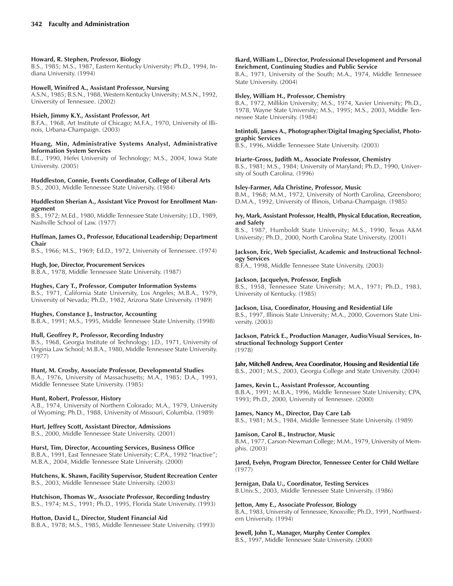### **Howard, R. Stephen, Professor, Biology**

B.S., 1985; M.S., 1987, Eastern Kentucky University; Ph.D., 1994, Indiana University. (1994)

### **Howell, Winifred A., Assistant Professor, Nursing**

A.S.N., 1985; B.S.N., 1988, Western Kentucky University; M.S.N., 1992, University of Tennessee. (2002)

### **Hsieh, Jimmy K.Y., Assistant Professor, Art**

B.F.A., 1968, Art Institute of Chicago; M.F.A., 1970, University of Illinois, Urbana-Champaign. (2003)

### **Huang, Min, Administrative Systems Analyst, Administrative Information System Services**

B.E., 1990, Hefei University of Technology; M.S., 2004, Iowa State University. (2005)

**Huddleston, Connie, Events Coordinator, College of Liberal Arts** B.S., 2003, Middle Tennessee State University. (1984)

#### **Huddleston Sherian A., Assistant Vice Provost for Enrollment Management**

B.S., 1972; M.Ed., 1980, Middle Tennessee State University; J.D., 1989, Nashville School of Law. (1977)

### **Huffman, James O., Professor, Educational Leadership; Department Chair**

B.S., 1966; M.S., 1969; Ed.D., 1972, University of Tennessee. (1974)

### **Hugh, Joe, Director, Procurement Services**

B.B.A., 1978, Middle Tennessee State University. (1987)

### **Hughes, Cary T., Professor, Computer Information Systems**

B.S., 1971, California State University, Los Angeles; M.B.A., 1979, University of Nevada; Ph.D., 1982, Arizona State University. (1989)

### **Hughes, Constance J., Instructor, Accounting**

B.B.A., 1991; M.S., 1995, Middle Tennessee State University. (1998)

### **Hull, Geoffrey P., Professor, Recording Industry**

B.S., 1968, Georgia Institute of Technology; J.D., 1971, University of Virginia Law School; M.B.A., 1980, Middle Tennessee State University. (1977)

### **Hunt, M. Crosby, Associate Professor, Developmental Studies**

B.A., 1976, University of Massachusetts; M.A., 1985; D.A., 1993, Middle Tennessee State University. (1985)

### **Hunt, Robert, Professor, History**

A.B., 1974, University of Northern Colorado; M.A., 1979, University of Wyoming; Ph.D., 1988, University of Missouri, Columbia. (1989)

### **Hurt, Jeffrey Scott, Assistant Director, Admissions**

B.S., 2000, Middle Tennessee State University. (2001)

### **Hurst, Tim, Director, Accounting Services, Business Office**

B.B.A., 1991, East Tennessee State University; C.P.A., 1992 "Inactive"; M.B.A., 2004, Middle Tennessee State University. (2000)

### **Hutchens, K. Shawn, Facility Supervisor, Student Recreation Center** B.S., 2003, Middle Tennessee State University. (2003)

**Hutchison, Thomas W., Associate Professor, Recording Industry** B.S., 1974; M.S., 1991; Ph.D., 1995, Florida State University. (1993)

### **Hutton, David L., Director, Student Financial Aid**

B.B.A., 1978; M.S., 1985, Middle Tennessee State University. (1993)

### **Ikard, William L., Director, Professional Development and Personal Enrichment, Continuing Studies and Public Service**

B.A., 1971, University of the South; M.A., 1974, Middle Tennessee State University. (2004)

### **Ilsley, William H., Professor, Chemistry**

B.A., 1972, Millikin University; M.S., 1974, Xavier University; Ph.D., 1978, Wayne State University; M.S., 1995; M.S., 2003, Middle Tennessee State University. (1984)

### **Intintoli, James A., Photographer/Digital Imaging Specialist, Photographic Services**

B.S., 1996, Middle Tennessee State University. (2003)

### **Iriarte-Gross, Judith M., Associate Professor, Chemistry**

B.S., 1981; M.S., 1984; University of Maryland; Ph.D., 1990, University of South Carolina. (1996)

### **Isley-Farmer, Ada Christine, Professor, Music**

B.M., 1968; M.M., 1972, University of North Carolina, Greensboro; D.M.A., 1992, University of Illinois, Urbana-Champaign. (1985)

#### **Ivy, Mark, Assistant Professor, Health, Physical Education, Recreation, and Safety**

B.S., 1987, Humboldt State University; M.S., 1990, Texas A&M University; Ph.D., 2000, North Carolina State University. (2001)

### **Jackson, Eric, Web Specialist, Academic and Instructional Technology Services**

B.F.A., 1998, Middle Tennessee State University. (2003)

### **Jackson, Jacquelyn, Professor, English**

B.S., 1958, Tennessee State University; M.A., 1971; Ph.D., 1983, University of Kentucky. (1985)

### **Jackson, Lisa, Coordinator, Housing and Residential Life**

B.S., 1997, Illinois State University; M.A., 2000, Governors State University. (2003)

#### **Jackson, Patrick E., Production Manager, Audio/Visual Services, Instructional Technology Support Center** (1978)

**Jahr, Mitchell Andrew, Area Coordinator, Housing and Residential Life** B.S., 2001; M.S., 2003, Georgia College and State University. (2004)

## **James, Kevin L., Assistant Professor, Accounting**

B.B.A., 1991; M.B.A., 1996, Middle Tennessee State University; CPA, 1993; Ph.D., 2000, University of Tennessee. (2000)

### **James, Nancy M., Director, Day Care Lab**

B.S., 1981; M.S., 1984, Middle Tennessee State University. (1989)

### **Jamison, Carol B., Instructor, Music**

B.M., 1977, Carson-Newman College; M.M., 1979, University of Memphis. (2003)

### **Jared, Evelyn, Program Director, Tennessee Center for Child Welfare** (1977)

**Jernigan, Dala U., Coordinator, Testing Services** B.Univ.S., 2003, Middle Tennessee State University. (1986)

### **Jetton, Amy E., Associate Professor, Biology**

B.A., 1983, University of Tennessee, Knoxville; Ph.D., 1991, Northwestern University. (1994)

### **Jewell, John T., Manager, Murphy Center Complex**

B.S., 1997, Middle Tennessee State University. (2000)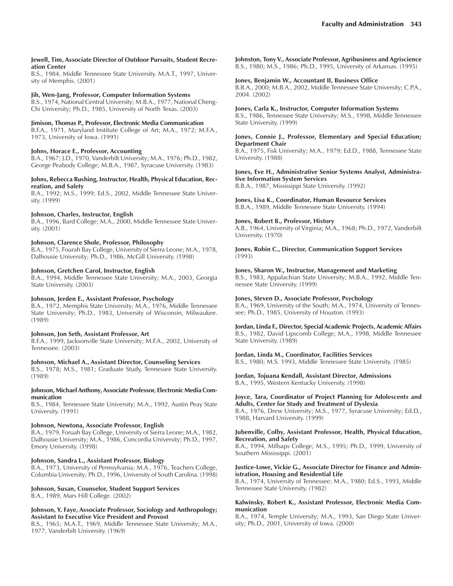#### **Jewell, Tim, Associate Director of Outdoor Pursuits, Student Recreation Center**

B.S., 1984, Middle Tennessee State University. M.A.T., 1997, University of Memphis. (2001)

### **Jih, Wen-Jang, Professor, Computer Information Systems**

B.S., 1974, National Central University; M.B.A., 1977, National Cheng-Chi University; Ph.D., 1985, University of North Texas. (2003)

**Jimison, Thomas P., Professor, Electronic Media Communication** B.F.A., 1971, Maryland Institute College of Art; M.A., 1972; M.F.A.,

### **Johns, Horace E., Professor, Accounting**

1973, University of Iowa. (1991)

B.A., 1967; J.D., 1970, Vanderbilt University; M.A., 1976; Ph.D., 1982, George Peabody College; M.B.A., 1987, Syracuse University. (1983)

### **Johns, Rebecca Rushing, Instructor, Health, Physical Education, Recreation, and Safety**

B.A., 1992; M.S., 1999; Ed.S., 2002, Middle Tennessee State University. (1999)

### **Johnson, Charles, Instructor, English**

B.A., 1996, Bard College; M.A., 2000, Middle Tennessee State University. (2001)

### **Johnson, Clarence Shole, Professor, Philosophy**

B.A., 1975, Fourah Bay College, University of Sierra Leone; M.A., 1978, Dalhousie University; Ph.D., 1986, McGill University. (1998)

### **Johnson, Gretchen Carol, Instructor, English**

B.A., 1994, Middle Tennessee State University; M.A., 2003, Georgia State University. (2003)

### **Johnson, Jerden E., Assistant Professor, Psychology**

B.A., 1972, Memphis State University; M.A., 1976, Middle Tennessee State University; Ph.D., 1983, University of Wisconsin, Milwaukee. (1989)

### **Johnson, Jon Seth, Assistant Professor, Art**

B.F.A., 1999, Jacksonville State University; M.F.A., 2002, University of Tennessee. (2003)

### **Johnson, Michael A., Assistant Director, Counseling Services**

B.S., 1978; M.S., 1981; Graduate Study, Tennessee State University. (1989)

### **Johnson, Michael Anthony, Associate Professor, Electronic Media Communication**

B.S., 1984, Tennessee State University; M.A., 1992, Austin Peay State University. (1991)

### **Johnson, Newtona, Associate Professor, English**

B.A., 1979, Foruah Bay College, University of Sierra Leone; M.A., 1982, Dalhousie University; M.A., 1986, Concordia University; Ph.D., 1997, Emory University. (1998)

### **Johnson, Sandra L., Assistant Professor, Biology**

B.A., 1973, University of Pennsylvania; M.A., 1976, Teachers College, Columbia University; Ph.D., 1996, University of South Carolina. (1998)

### **Johnson, Susan, Counselor, Student Support Services**

B.A., 1989, Mars Hill College. (2002)

### **Johnson, Y. Faye, Associate Professor, Sociology and Anthropology; Assistant to Executive Vice President and Provost**

B.S., 1965; M.A.T., 1969, Middle Tennessee State University; M.A., 1977, Vanderbilt University. (1969)

**Johnston, Tony V., Associate Professor, Agribusiness and Agriscience** B.S., 1980; M.S., 1986; Ph.D., 1995, University of Arkansas. (1995)

### **Jones, Benjamin W., Accountant II, Business Office**

B.B.A., 2000; M.B.A., 2002, Middle Tennessee State University; C.P.A., 2004. (2002)

### **Jones, Carla K., Instructor, Computer Information Systems**

B.S., 1986, Tennessee State University; M.S., 1998, Middle Tennessee State University. (1999)

### **Jones, Connie J., Professor, Elementary and Special Education; Department Chair**

B.A., 1975, Fisk University; M.A., 1979; Ed.D., 1988, Tennessee State University. (1988)

### **Jones, Eve H., Administrative Senior Systems Analyst, Administrative Information System Services** B.B.A., 1987, Mississippi State University. (1992)

#### **Jones, Lisa K., Coordinator, Human Resource Services** B.B.A., 1989, Middle Tennessee State University. (1994)

### **Jones, Robert B., Professor, History**

A.B., 1964, University of Virginia; M.A., 1968; Ph.D., 1972, Vanderbilt University. (1970)

**Jones, Robin C., Director, Communication Support Services** (1993)

### **Jones, Sharon W., Instructor, Management and Marketing**

B.S., 1983, Appalachian State University; M.B.A., 1992, Middle Tennessee State University. (1999)

### **Jones, Steven D., Associate Professor, Psychology**

B.A., 1969, University of the South; M.A., 1974, University of Tennessee; Ph.D., 1985, University of Houston. (1993)

### **Jordan, Linda F., Director, Special Academic Projects, Academic Affairs** B.S., 1982, David Lipscomb College; M.A., 1998, Middle Tennessee State University. (1989)

**Jordan, Linda M., Coordinator, Facilities Services**

B.S., 1980; M.S. 1993, Middle Tennessee State University. (1985)

### **Jordan, Tojuana Kendall, Assistant Director, Admissions** B.A., 1995, Western Kentucky University. (1998)

### **Joyce, Tara, Coordinator of Project Planning for Adolescents and Adults, Center for Study and Treatment of Dyslexia**

B.A., 1976, Drew University; M.S., 1977, Syracuse University; Ed.D., 1988, Harvard University. (1999)

### **Jubenville, Colby, Assistant Professor, Health, Physical Education, Recreation, and Safety**

B.A., 1994, Millsaps College; M.S., 1995; Ph.D., 1999, University of Southern Mississippi. (2001)

### **Justice-Lowe, Vickie G., Associate Director for Finance and Administration, Housing and Residential Life**

B.A., 1974, University of Tennessee; M.A., 1980; Ed.S., 1993, Middle Tennessee State University. (1982)

### **Kalwinsky, Robert K., Assistant Professor, Electronic Media Communication**

B.A., 1974, Temple University; M.A., 1993, San Diego State University; Ph.D., 2001, University of Iowa. (2000)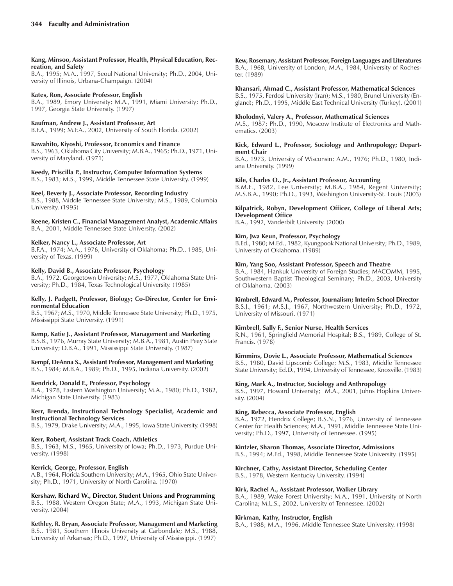#### **Kang, Minsoo, Assistant Professor, Health, Physical Education, Recreation, and Safety**

B.A., 1995; M.A., 1997, Seoul National University; Ph.D., 2004, University of Illinois, Urbana-Champaign. (2004)

### **Kates, Ron, Associate Professor, English**

B.A., 1989, Emory University; M.A., 1991, Miami University; Ph.D., 1997, Georgia State University. (1997)

### **Kaufman, Andrew J., Assistant Professor, Art**

B.F.A., 1999; M.F.A., 2002, University of South Florida. (2002)

### **Kawahito, Kiyoshi, Professor, Economics and Finance**

B.S., 1963, Oklahoma City University; M.B.A., 1965; Ph.D., 1971, University of Maryland. (1971)

**Keedy, Priscilla P., Instructor, Computer Information Systems** B.S., 1983; M.S., 1999, Middle Tennessee State University. (1999)

### **Keel, Beverly J., Associate Professor, Recording Industry**

B.S., 1988, Middle Tennessee State University; M.S., 1989, Columbia University. (1995)

### **Keene, Kristen C., Financial Management Analyst, Academic Affairs** B.A., 2001, Middle Tennessee State University. (2002)

### **Kelker, Nancy L., Associate Professor, Art**

B.F.A., 1974; M.A., 1976, University of Oklahoma; Ph.D., 1985, University of Texas. (1999)

### **Kelly, David B., Associate Professor, Psychology**

B.A., 1972, Georgetown University; M.S., 1977, Oklahoma State University; Ph.D., 1984, Texas Technological University. (1985)

### **Kelly, J. Padgett, Professor, Biology; Co-Director, Center for Environmental Education**

B.S., 1967; M.S., 1970, Middle Tennessee State University; Ph.D., 1975, Mississippi State University. (1991)

### **Kemp, Katie J., Assistant Professor, Management and Marketing**

B.S.B., 1976, Murray State University; M.B.A., 1981, Austin Peay State University; D.B.A., 1991, Mississippi State University. (1987)

**Kempf, DeAnna S., Assistant Professor, Management and Marketing** B.S., 1984; M.B.A., 1989; Ph.D., 1995, Indiana University. (2002)

### **Kendrick, Donald F., Professor, Psychology**

B.A., 1978, Eastern Washington University; M.A., 1980; Ph.D., 1982, Michigan State University. (1983)

### **Kerr, Brenda, Instructional Technology Specialist, Academic and Instructional Technology Services**

B.S., 1979, Drake University; M.A., 1995, Iowa State University. (1998)

### **Kerr, Robert, Assistant Track Coach, Athletics**

B.S., 1963; M.S., 1965, University of Iowa; Ph.D., 1973, Purdue University. (1998)

### **Kerrick, George, Professor, English**

A.B., 1964, Florida Southern University; M.A., 1965, Ohio State University; Ph.D., 1971, University of North Carolina. (1970)

# **Kershaw, Richard W., Director, Student Unions and Programming**

B.S., 1988, Western Oregon State; M.A., 1993, Michigan State University. (2004)

**Kethley, R. Bryan, Associate Professor, Management and Marketing** B.S., 1981, Southern Illinois University at Carbondale; M.S., 1988, University of Arkansas; Ph.D., 1997, University of Mississippi. (1997)

### **Kew, Rosemary, Assistant Professor, Foreign Languages and Literatures**

B.A., 1968, University of London; M.A., 1984, University of Rochester. (1989)

### **Khansari, Ahmad C., Assistant Professor, Mathematical Sciences**

B.S., 1975, Ferdosi University (Iran); M.S., 1980, Brunel University (England); Ph.D., 1995, Middle East Technical University (Turkey). (2001)

### **Kholodnyi, Valery A., Professor, Mathematical Sciences**

M.S., 1987; Ph.D., 1990, Moscow Institute of Electronics and Mathematics. (2003)

### **Kick, Edward L., Professor, Sociology and Anthropology; Department Chair**

B.A., 1973, University of Wisconsin; A.M., 1976; Ph.D., 1980, Indiana University. (1999)

### **Kile, Charles O., Jr., Assistant Professor, Accounting**

B.M.E., 1982, Lee University; M.B.A., 1984, Regent University; M.S.B.A., 1990; Ph.D., 1993, Washington University-St. Louis (2003)

### **Kilpatrick, Robyn, Development Officer, College of Liberal Arts; Development Office**

B.A., 1992, Vanderbilt University. (2000)

### **Kim, Jwa Keun, Professor, Psychology**

B.Ed., 1980; M.Ed., 1982, Kyungpook National University; Ph.D., 1989, University of Oklahoma. (1989)

### **Kim, Yang Soo, Assistant Professor, Speech and Theatre**

B.A., 1984, Hankuk University of Foreign Studies; MACOMM, 1995, Southwestern Baptist Theological Seminary; Ph.D., 2003, University of Oklahoma. (2003)

### **Kimbrell, Edward M., Professor, Journalism; Interim School Director**

B.S.J., 1961; M.S.J., 1967, Northwestern University; Ph.D., 1972, University of Missouri. (1971)

### **Kimbrell, Sally F., Senior Nurse, Health Services**

R.N., 1961, Springfield Memorial Hospital; B.S., 1989, College of St. Francis. (1978)

### **Kimmins, Dovie L., Associate Professor, Mathematical Sciences**

B.S., 1980, David Lipscomb College; M.S., 1983, Middle Tennessee State University; Ed.D., 1994, University of Tennessee, Knoxville. (1983)

### **King, Mark A., Instructor, Sociology and Anthropology**

B.S., 1997, Howard University; M.A., 2001, Johns Hopkins University. (2004)

### **King, Rebecca, Associate Professor, English**

B.A., 1972, Hendrix College; B.S.N., 1976, University of Tennessee Center for Health Sciences; M.A., 1991, Middle Tennessee State University; Ph.D., 1997, University of Tennessee. (1995)

### **Kintzler, Sharon Thomas, Associate Director, Admissions**

B.S., 1994; M.Ed., 1998, Middle Tennessee State University. (1995)

### **Kirchner, Cathy, Assistant Director, Scheduling Center**

B.S., 1978, Western Kentucky University. (1994)

### **Kirk, Rachel A., Assistant Professor, Walker Library**

B.A., 1989, Wake Forest University; M.A., 1991, University of North Carolina; M.L.S., 2002, University of Tennessee. (2002)

### **Kirkman, Kathy, Instructor, English**

B.A., 1988; M.A., 1996, Middle Tennessee State University. (1998)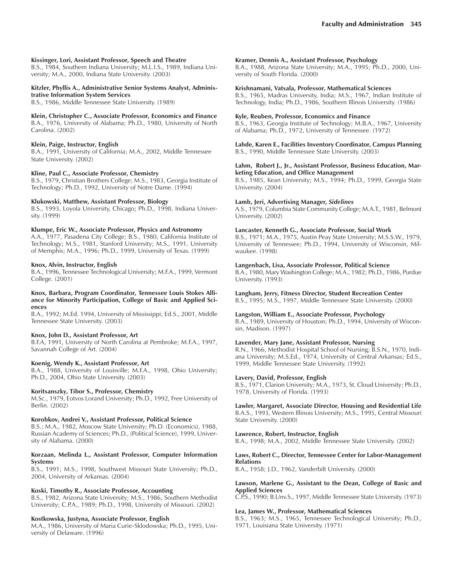#### **Kissinger, Lori, Assistant Professor, Speech and Theatre**

B.S., 1984, Southern Indiana University; M.L.I.S., 1989, Indiana University; M.A., 2000, Indiana State University. (2003)

### **Kitzler, Phyllis A., Administrative Senior Systems Analyst, Administrative Information System Services**

B.S., 1986, Middle Tennessee State University. (1989)

### **Klein, Christopher C., Associate Professor, Economics and Finance**

B.A., 1976, University of Alabama; Ph.D., 1980, University of North Carolina. (2002)

### **Klein, Paige, Instructor, English**

B.A., 1991, University of California; M.A., 2002, Middle Tennessee State University. (2002)

### **Kline, Paul C., Associate Professor, Chemistry**

B.S., 1979, Christian Brothers College; M.S., 1983, Georgia Institute of Technology; Ph.D., 1992, University of Notre Dame. (1994)

### **Klukowski, Matthew, Assistant Professor, Biology**

B.S., 1993, Loyola University, Chicago; Ph.D., 1998, Indiana University. (1999)

### **Klumpe, Eric W., Associate Professor, Physics and Astronomy**

A.A., 1977, Pasadena City College; B.S., 1980, California Institute of Technology; M.S., 1981, Stanford University; M.S., 1991, University of Memphis; M.A., 1996; Ph.D., 1999, University of Texas. (1999)

#### **Knox, Alvin, Instructor, English**

B.A., 1996, Tennessee Technological University; M.F.A., 1999, Vermont College. (2001)

#### **Knox, Barbara, Program Coordinator, Tennessee Louis Stokes Alliance for Minority Participation, College of Basic and Applied Sciences**

B.A., 1992; M.Ed. 1994, University of Mississippi; Ed.S., 2001, Middle Tennessee State University. (2003)

#### **Knox, John D., Assistant Professor, Art**

B.F.A, 1991, University of North Carolina at Pembroke; M.F.A., 1997, Savannah College of Art. (2004)

#### **Koenig, Wendy K., Assistant Professor, Art**

B.A., 1988, University of Louisville; M.F.A., 1998, Ohio University; Ph.D., 2004, Ohio State University. (2003)

#### **Koritsanszky, Tibor S., Professor, Chemistry**

M.Sc., 1979, Eotvos Lorand University; Ph.D., 1992, Free University of Berlin. (2002)

### **Korobkov, Andrei V., Assistant Professor, Political Science**

B.S.; M.A., 1982, Moscow State University; Ph.D. (Economics), 1988, Russian Academy of Sciences; Ph.D., (Political Science), 1999, University of Alabama. (2000)

#### **Korzaan, Melinda L., Assistant Professor, Computer Information Systems**

B.S., 1991; M.S., 1998, Southwest Missouri State University; Ph.D., 2004, University of Arkansas. (2004)

#### **Koski, Timothy R., Associate Professor, Accounting**

B.S., 1982, Arizona State University; M.S., 1986, Southern Methodist University; C.P.A., 1989; Ph.D., 1998, University of Missouri. (2002)

### **Kostkowska, Justyna, Associate Professor, English**

M.A., 1986, University of Maria Curie-Sklodowska; Ph.D., 1995, University of Delaware. (1996)

#### **Kramer, Dennis A., Assistant Professor, Psychology**

B.A., 1988, Arizona State University; M.A., 1995; Ph.D., 2000, University of South Florida. (2000)

### **Krishnamani, Vatsala, Professor, Mathematical Sciences**

B.S., 1965, Madras University, India; M.S., 1967, Indian Institute of Technology, India; Ph.D., 1986, Southern Illinois University. (1986)

#### **Kyle, Reuben, Professor, Economics and Finance**

B.S., 1963, Georgia Institute of Technology; M.B.A., 1967, University of Alabama; Ph.D., 1972, University of Tennessee. (1972)

**Lahde, Karen E., Facilities Inventory Coordinator, Campus Planning** B.S., 1990, Middle Tennessee State University. (2003)

#### **Lahm, Robert J., Jr., Assistant Professor, Business Education, Marketing Education, and Office Management**

B.S., 1985, Kean University; M.S., 1994; Ph.D., 1999, Georgia State University. (2004)

### **Lamb, Jeri, Advertising Manager,** *Sidelines*

A.S., 1979, Columbia State Community College; M.A.T., 1981, Belmont University. (2002)

### **Lancaster, Kenneth G., Associate Professor, Social Work**

B.S., 1971; M.A., 1975, Austin Peay State University; M.S.S.W., 1979, University of Tennessee; Ph.D., 1994, University of Wisconsin, Milwaukee. (1998)

### **Langenbach, Lisa, Associate Professor, Political Science**

B.A., 1980, Mary Washington College; M.A., 1982; Ph.D., 1986, Purdue University. (1993)

### **Langham, Jerry, Fitness Director, Student Recreation Center**

B.S., 1995; M.S., 1997, Middle Tennessee State University. (2000)

### **Langston, William E., Associate Professor, Psychology**

B.A., 1989, University of Houston; Ph.D., 1994, University of Wisconsin, Madison. (1997)

### **Lavender, Mary Jane, Assistant Professor, Nursing**

R.N., 1966, Methodist Hospital School of Nursing; B.S.N., 1970, Indiana University; M.S.Ed., 1974, University of Central Arkansas; Ed.S., 1999, Middle Tennessee State University. (1992)

### **Lavery, David, Professor, English**

B.S., 1971, Clarion University; M.A., 1973, St. Cloud University; Ph.D., 1978, University of Florida. (1993)

#### **Lawler, Margaret, Associate Director, Housing and Residential Life** B.A.S., 1993, Western Illinois University; M.S., 1995, Central Missouri

State University. (2000)

### **Lawrence, Robert, Instructor, English**

B.A., 1998; M.A., 2002, Middle Tennessee State University. (2002)

#### **Laws, Robert C., Director, Tennessee Center for Labor-Management Relations**

B.A., 1958; J.D., 1962, Vanderbilt University. (2000)

### **Lawson, Marlene G., Assistant to the Dean, College of Basic and Applied Sciences**

C.P.S., 1990; B.Unv.S., 1997, Middle Tennessee State University. (1973)

### **Lea, James W., Professor, Mathematical Sciences**

B.S., 1963; M.S., 1965, Tennessee Technological University; Ph.D., 1971, Louisiana State University. (1971)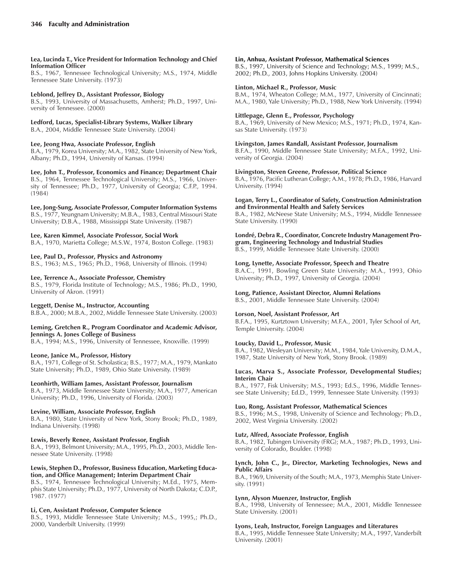#### **Lea, Lucinda T., Vice President for Information Technology and Chief Information Officer**

B.S., 1967, Tennessee Technological University; M.S., 1974, Middle Tennessee State University. (1973)

### **Leblond, Jeffrey D., Assistant Professor, Biology**

B.S., 1993, University of Massachusetts, Amherst; Ph.D., 1997, University of Tennessee. (2000)

### **Ledford, Lucas, Specialist-Library Systems, Walker Library**

B.A., 2004, Middle Tennessee State University. (2004)

### **Lee, Jeong Hwa, Associate Professor, English**

B.A., 1979, Korea University; M.A., 1982, State University of New York, Albany; Ph.D., 1994, University of Kansas. (1994)

#### **Lee, John T., Professor, Economics and Finance; Department Chair** B.S., 1964, Tennessee Technological University; M.S., 1966, University of Tennessee; Ph.D., 1977, University of Georgia; C.F.P., 1994. (1984)

**Lee, Jong-Sung, Associate Professor, Computer Information Systems**

B.S., 1977, Yeungnam University; M.B.A., 1983, Central Missouri State University; D.B.A., 1988, Mississippi State University. (1987)

### **Lee, Karen Kimmel, Associate Professor, Social Work**

B.A., 1970, Marietta College; M.S.W., 1974, Boston College. (1983)

### **Lee, Paul D., Professor, Physics and Astronomy**

B.S., 1963; M.S., 1965; Ph.D., 1968, University of Illinois. (1994)

### **Lee, Terrence A., Associate Professor, Chemistry**

B.S., 1979, Florida Institute of Technology; M.S., 1986; Ph.D., 1990, University of Akron. (1991)

### **Leggett, Denise M., Instructor, Accounting**

B.B.A., 2000; M.B.A., 2002, Middle Tennessee State University. (2003)

### **Leming, Gretchen R., Program Coordinator and Academic Advisor, Jennings A. Jones College of Business**

B.A., 1994; M.S., 1996, University of Tennessee, Knoxville. (1999)

### **Leone, Janice M., Professor, History**

B.A., 1971, College of St. Scholastica; B.S., 1977; M.A., 1979, Mankato State University; Ph.D., 1989, Ohio State University. (1989)

### **Leonhirth, William James, Assistant Professor, Journalism**

B.A., 1973, Middle Tennessee State University; M.A., 1977, American University; Ph.D., 1996, University of Florida. (2003)

### **Levine, William, Associate Professor, English**

B.A., 1980, State University of New York, Stony Brook; Ph.D., 1989, Indiana University. (1998)

### **Lewis, Beverly Renee, Assistant Professor, English**

B.A., 1993, Belmont University; M.A., 1995, Ph.D., 2003, Middle Tennessee State University. (1998)

### **Lewis, Stephen D., Professor, Business Education, Marketing Education, and Office Management; Interim Department Chair**

B.S., 1974, Tennessee Technological University; M.Ed., 1975, Memphis State University; Ph.D., 1977, University of North Dakota; C.D.P., 1987. (1977)

### **Li, Cen, Assistant Professor, Computer Science**

B.S., 1993, Middle Tennessee State University; M.S., 1995,; Ph.D., 2000, Vanderbilt University. (1999)

### **Lin, Anhua, Assistant Professor, Mathematical Sciences**

B.S., 1997, University of Science and Technology; M.S., 1999; M.S., 2002; Ph.D., 2003, Johns Hopkins University. (2004)

### **Linton, Michael R., Professor, Music**

B.M., 1974, Wheaton College; M.M., 1977, University of Cincinnati; M.A., 1980, Yale University; Ph.D., 1988, New York University. (1994)

### **Littlepage, Glenn E., Professor, Psychology**

B.A., 1969, University of New Mexico; M.S., 1971; Ph.D., 1974, Kansas State University. (1973)

### **Livingston, James Randall, Assistant Professor, Journalism**

B.F.A., 1990, Middle Tennessee State University; M.F.A., 1992, University of Georgia. (2004)

### **Livingston, Steven Greene, Professor, Political Science**

B.A., 1976, Pacific Lutheran College; A.M., 1978; Ph.D., 1986, Harvard University. (1994)

#### **Logan, Terry L., Coordinator of Safety, Construction Administration and Environmental Health and Safety Services**

B.A., 1982, McNeese State University; M.S., 1994, Middle Tennessee State University. (1990)

### Londré, Debra R., Coordinator, Concrete Industry Management Pro**gram, Engineering Technology and Industrial Studies**

B.S., 1999, Middle Tennessee State University. (2000)

### **Long, Lynette, Associate Professor, Speech and Theatre**

B.A.C., 1991, Bowling Green State University; M.A., 1993, Ohio University; Ph.D., 1997, University of Georgia. (2004)

### **Long, Patience, Assistant Director, Alumni Relations**

B.S., 2001, Middle Tennessee State University. (2004)

### **Lorson, Noel, Assistant Professor, Art**

B.F.A., 1995, Kurtztown University; M.F.A., 2001, Tyler School of Art, Temple University. (2004)

### **Loucky, David L., Professor, Music**

B.A., 1982, Wesleyan University; M.M., 1984, Yale University, D.M.A., 1987, State University of New York, Stony Brook. (1989)

### **Lucas, Marva S., Associate Professor, Developmental Studies; Interim Chair**

B.A., 1977, Fisk University; M.S., 1993; Ed.S., 1996, Middle Tennessee State University; Ed.D., 1999, Tennessee State University. (1993)

### **Luo, Rong, Assistant Professor, Mathematical Sciences**

B.S., 1996; M.S., 1998, University of Science and Technology; Ph.D., 2002, West Virginia University. (2002)

### **Lutz, Alfred, Associate Professor, English**

B.A., 1982, Tubingen University (FRG); M.A., 1987; Ph.D., 1993, University of Colorado, Boulder. (1998)

### **Lynch, John C., Jr., Director, Marketing Technologies, News and Public Affairs**

B.A., 1969, University of the South; M.A., 1973, Memphis State University. (1991)

### **Lynn, Alyson Muenzer, Instructor, English**

B.A., 1998, University of Tennessee; M.A., 2001, Middle Tennessee State University. (2001)

### **Lyons, Leah, Instructor, Foreign Languages and Literatures**

B.A., 1995, Middle Tennessee State University; M.A., 1997, Vanderbilt University. (2001)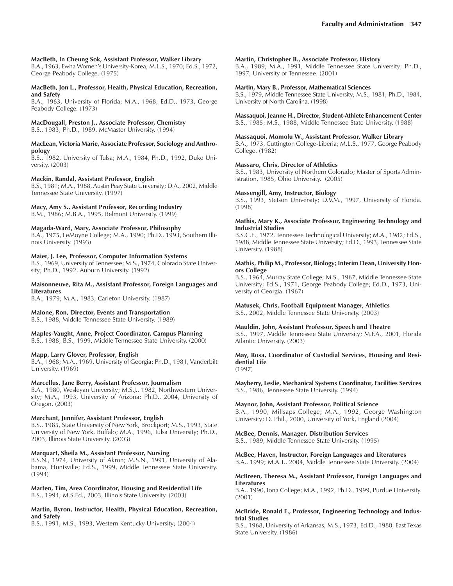### **MacBeth, In Cheung Sok, Assistant Professor, Walker Library**

B.A., 1963, Ewha Womenís University-Korea; M.L.S., 1970; Ed.S., 1972, George Peabody College. (1975)

#### **MacBeth, Jon L., Professor, Health, Physical Education, Recreation, and Safety**

B.A., 1963, University of Florida; M.A., 1968; Ed.D., 1973, George Peabody College. (1973)

#### **MacDougall, Preston J., Associate Professor, Chemistry** B.S., 1983; Ph.D., 1989, McMaster University. (1994)

### **MacLean, Victoria Marie, Associate Professor, Sociology and Anthropology**

B.S., 1982, University of Tulsa; M.A., 1984, Ph.D., 1992, Duke University. (2003)

### **Mackin, Randal, Assistant Professor, English**

B.S., 1981; M.A., 1988, Austin Peay State University; D.A., 2002, Middle Tennessee State University. (1997)

### **Macy, Amy S., Assistant Professor, Recording Industry**

B.M., 1986; M.B.A., 1995, Belmont University. (1999)

### **Magada-Ward, Mary, Associate Professor, Philosophy**

B.A., 1975, LeMoyne College; M.A., 1990; Ph.D., 1993, Southern Illinois University. (1993)

### **Maier, J. Lee, Professor, Computer Information Systems**

B.S., 1969, University of Tennessee; M.S., 1974, Colorado State University; Ph.D., 1992, Auburn University. (1992)

**Maisonneuve, Rita M., Assistant Professor, Foreign Languages and Literatures**

B.A., 1979; M.A., 1983, Carleton University. (1987)

### **Malone, Ron, Director, Events and Transportation**

B.S., 1988, Middle Tennessee State University. (1989)

### **Maples-Vaught, Anne, Project Coordinator, Campus Planning**

B.S., 1988; B.S., 1999, Middle Tennessee State University. (2000)

### **Mapp, Larry Glover, Professor, English**

B.A., 1968; M.A., 1969, University of Georgia; Ph.D., 1981, Vanderbilt University. (1969)

### **Marcellus, Jane Berry, Assistant Professor, Journalism**

B.A., 1980, Wesleyan University; M.S.J., 1982, Northwestern University; M.A., 1993, University of Arizona; Ph.D., 2004, University of Oregon. (2003)

### **Marchant, Jennifer, Assistant Professor, English**

B.S., 1985, State University of New York, Brockport; M.S., 1993, State University of New York, Buffalo; M.A., 1996, Tulsa University; Ph.D., 2003, Illinois State University. (2003)

### **Marquart, Sheila M., Assistant Professor, Nursing**

B.S.N., 1974, University of Akron; M.S.N., 1991, University of Alabama, Huntsville; Ed.S., 1999, Middle Tennessee State University. (1994)

#### **Marten, Tim, Area Coordinator, Housing and Residential Life** B.S., 1994; M.S.Ed., 2003, Illinois State University. (2003)

### **Martin, Byron, Instructor, Health, Physical Education, Recreation, and Safety**

B.S., 1991; M.S., 1993, Western Kentucky University; (2004)

### **Martin, Christopher B., Associate Professor, History**

B.A., 1989; M.A., 1991, Middle Tennessee State University; Ph.D., 1997, University of Tennessee. (2001)

### **Martin, Mary B., Professor, Mathematical Sciences**

B.S., 1979, Middle Tennessee State University; M.S., 1981; Ph.D., 1984, University of North Carolina. (1998)

### **Massaquoi, Jeanne H., Director, Student-Athlete Enhancement Center**

B.S., 1985; M.S., 1988, Middle Tennessee State University. (1988)

### **Massaquoi, Momolu W., Assistant Professor, Walker Library**

B.A., 1973, Cuttington College-Liberia; M.L.S., 1977, George Peabody College. (1982)

### **Massaro, Chris, Director of Athletics**

B.S., 1983, University of Northern Colorado; Master of Sports Administration, 1985, Ohio University. (2005)

### **Massengill, Amy, Instructor, Biology**

B.S., 1993, Stetson University; D.V.M., 1997, University of Florida. (1998)

#### **Mathis, Mary K., Associate Professor, Engineering Technology and Industrial Studies**

B.S.C.E., 1972, Tennessee Technological University; M.A., 1982; Ed.S., 1988, Middle Tennessee State University; Ed.D., 1993, Tennessee State University. (1988)

### **Mathis, Philip M., Professor, Biology; Interim Dean, University Honors College**

B.S., 1964, Murray State College; M.S., 1967, Middle Tennessee State University; Ed.S., 1971, George Peabody College; Ed.D., 1973, University of Georgia. (1967)

### **Matusek, Chris, Football Equipment Manager, Athletics**

B.S., 2002, Middle Tennessee State University. (2003)

### **Mauldin, John, Assistant Professor, Speech and Theatre**

B.S., 1997, Middle Tennessee State University; M.F.A., 2001, Florida Atlantic University. (2003)

### **May, Rosa, Coordinator of Custodial Services, Housing and Residential Life**

(1997)

### **Mayberry, Leslie, Mechanical Systems Coordinator, Facilities Services** B.S., 1986, Tennessee State University. (1994)

### **Maynor, John, Assistant Professor, Political Science**

B.A., 1990, Millsaps College; M.A., 1992, George Washington University; D. Phil., 2000, University of York, England (2004)

### **McBee, Dennis, Manager, Distribution Services**

B.S., 1989, Middle Tennessee State University. (1995)

#### **McBee, Haven, Instructor, Foreign Languages and Literatures** B.A., 1999; M.A.T., 2004, Middle Tennessee State University. (2004)

### **McBreen, Theresa M., Assistant Professor, Foreign Languages and Literatures**

B.A., 1990, Iona College; M.A., 1992, Ph.D., 1999, Purdue University. (2001)

### **McBride, Ronald E., Professor, Engineering Technology and Industrial Studies**

B.S., 1968, University of Arkansas; M.S., 1973; Ed.D., 1980, East Texas State University. (1986)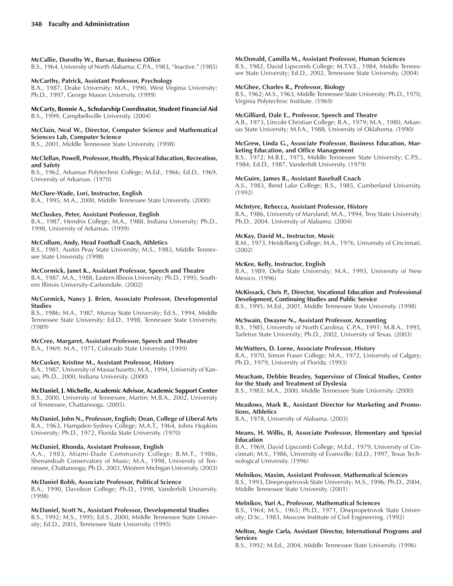# **McCallie, Dorothy W., Bursar, Business Office**

B.S., 1964, University of North Alabama; C.P.A., 1983, "Inactive." (1985)

### **McCarthy, Patrick, Assistant Professor, Psychology**

B.A., 1987, Drake University; M.A., 1990, West Virginia University; Ph.D., 1997, George Mason University. (1999)

### **McCarty, Bonnie A., Scholarship Coordinator, Student Financial Aid** B.S., 1999, Campbellsville University. (2004)

### **McClain, Neal W., Director, Computer Science and Mathematical Sciences Lab, Computer Science**

B.S., 2001, Middle Tennessee State University. (1998)

#### **McClellan, Powell, Professor, Health, Physical Education, Recreation, and Safety**

B.S., 1962, Arkansas Polytechnic College; M.Ed., 1966; Ed.D., 1969, University of Arkansas. (1970)

### **McClure-Wade, Lori, Instructor, English**

B.A., 1995; M.A., 2000, Middle Tennessee State University. (2000)

### **McCluskey, Peter, Assistant Professor, English**

B.A., 1987, Hendrix College; M.A., 1988, Indiana University; Ph.D., 1998, University of Arkansas. (1999)

### **McCollum, Andy, Head Football Coach, Athletics**

B.S., 1981, Austin Peay State University; M.S., 1983, Middle Tennessee State University. (1998)

### **McCormick, Janet K., Assistant Professor, Speech and Theatre**

B.A., 1987, M.A., 1988, Eastern Illinois University; Ph.D., 1995, Southern Illinois University-Carbondale. (2002)

### **McCormick, Nancy J. Brien, Associate Professor, Developmental Studies**

B.S., 1986; M.A., 1987, Murray State University; Ed.S., 1994, Middle Tennessee State University; Ed.D., 1998, Tennessee State University. (1989)

### **McCree, Margaret, Assistant Professor, Speech and Theatre**

B.A., 1969; M.A., 1971, Colorado State University. (1999)

### **McCusker, Kristine M., Assistant Professor, History**

B.A., 1987, University of Massachusetts; M.A., 1994, University of Kansas; Ph.D., 2000, Indiana University. (2000)

### **McDaniel, J. Michelle, Academic Advisor, Academic Support Center**

B.S., 2000, University of Tennessee, Martin; M.B.A., 2002, University of Tennessee, Chattanooga. (2005).

### **McDaniel, John N., Professor, English; Dean, College of Liberal Arts**

B.A., 1963, Hampden-Sydney College; M.A.T., 1964, Johns Hopkins University; Ph.D., 1972, Florida State University. (1970)

### **McDaniel, Rhonda, Assistant Professor, English**

A.A., 1983, Miami-Dade Community College; B.M.T., 1986, Shenandoah Conservatory of Music; M.A., 1998, University of Tennessee, Chattanooga; Ph.D., 2003, Western Michigan University. (2003)

### **McDaniel Robb, Associate Professor, Political Science**

B.A., 1990, Davidson College; Ph.D., 1998, Vanderbilt University. (1998)

### **McDaniel, Scott N., Assistant Professor, Developmental Studies**

B.S., 1992; M.S., 1995; Ed.S., 2000, Middle Tennessee State University; Ed.D., 2003, Tennessee State University. (1995)

### **McDonald, Camilla M., Assistant Professor, Human Sciences**

B.S., 1982, David Lipscomb College; M.T.V.E., 1984, Middle Tennessee State University; Ed.D., 2002, Tennessee State University. (2004)

### **McGhee, Charles R., Professor, Biology**

B.S., 1962; M.S., 1963, Middle Tennessee State University; Ph.D., 1970, Virginia Polytechnic Institute. (1969)

### **McGilliard, Dale E., Professor, Speech and Theatre**

A.B., 1973, Lincoln Christian College; B.A., 1979; M.A., 1980, Arkansas State University; M.F.A., 1988, University of Oklahoma. (1990)

### **McGrew, Linda G., Associate Professor, Business Education, Marketing Education, and Office Management**

B.S., 1972; M.B.E., 1975, Middle Tennessee State University; C.P.S., 1984; Ed.D., 1987, Vanderbilt University. (1979)

### **McGuire, James R., Assistant Baseball Coach**

A.S., 1983, Rend Lake College; B.S., 1985, Cumberland University. (1992)

### **McIntyre, Rebecca, Assistant Professor, History**

B.A., 1986, University of Maryland; M.A., 1994, Troy State University; Ph.D., 2004, University of Alabama. (2004)

### **McKay, David M., Instructor, Music**

B.M., 1973, Heidelberg College; M.A., 1976, University of Cincinnati. (2002)

### **McKee, Kelly, Instructor, English**

B.A., 1989, Delta State University; M.A., 1993, University of New Mexico. (1996)

**McKissack, Chris P., Director, Vocational Education and Professional Development, Continuing Studies and Public Service**

B.S., 1995; M.Ed., 2001, Middle Tennessee State University. (1998)

### **McSwain, Dwayne N., Assistant Professor, Accounting**

B.S., 1985, University of North Carolina; C.P.A., 1991; M.B.A., 1995, Tarleton State University; Ph.D., 2002, University of Texas. (2003)

### **McWatters, D. Lorne, Associate Professor, History**

B.A., 1970, Simon Fraser College; M.A., 1972, University of Calgary; Ph.D., 1979, University of Florida. (1993)

### **Meacham, Debbie Beasley, Supervisor of Clinical Studies, Center for the Study and Treatment of Dyslexia**

B.S., 1983; M.A., 2000, Middle Tennessee State University. (2000)

### **Meadows, Mark R., Assistant Director for Marketing and Promotions, Athletics**

B.A., 1978, University of Alabama. (2003)

### **Means, H. Willis, II, Associate Professor, Elementary and Special Education**

B.A., 1969, David Lipscomb College; M.Ed., 1979, University of Cincinnati; M.S., 1986, University of Evansville; Ed.D., 1997, Texas Technological University. (1996)

### **Melnikov, Maxim, Assistant Professor, Mathematical Sciences**

B.S., 1993, Dnepropetrovsk State University; M.S., 1996; Ph.D., 2004, Middle Tennessee State University. (2001)

### **Melnikov, Yuri A., Professor, Mathematical Sciences**

B.S., 1964; M.S., 1965; Ph.D., 1971, Dnepropetrovsk State University; D.Sc., 1983, Moscow Institute of Civil Engineering. (1992)

### **Melton, Angie Carla, Assistant Director, International Programs and Services**

B.S., 1992; M.Ed., 2004, Middle Tennessee State University. (1996)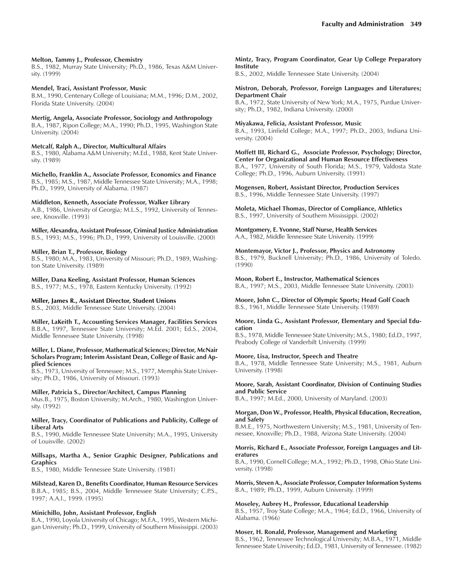#### **Melton, Tammy J., Professor, Chemistry**

B.S., 1982, Murray State University; Ph.D., 1986, Texas A&M University. (1999)

#### **Mendel, Traci, Assistant Professor, Music**

B.M., 1990, Centenary College of Louisiana; M.M., 1996; D.M., 2002, Florida State University. (2004)

**Mertig, Angela, Associate Professor, Sociology and Anthropology** B.A., 1987, Ripon College; M.A., 1990; Ph.D., 1995, Washington State

University. (2004)

### **Metcalf, Ralph A., Director, Multicultural Affairs**

B.S., 1980, Alabama A&M University; M.Ed., 1988, Kent State University. (1989)

**Michello, Franklin A., Associate Professor, Economics and Finance** B.S., 1985; M.S., 1987, Middle Tennessee State University; M.A., 1998; Ph.D., 1999, University of Alabama. (1987)

#### **Middleton, Kenneth, Associate Professor, Walker Library**

A.B., 1986, University of Georgia; M.L.S., 1992, University of Tennessee, Knoxville. (1993)

**Miller, Alexandra, Assistant Professor, Criminal Justice Administration** B.S., 1993; M.S., 1996; Ph.D., 1999, University of Louisville. (2000)

#### **Miller, Brian T., Professor, Biology**

B.S., 1980; M.A., 1983, University of Missouri; Ph.D., 1989, Washington State University. (1989)

### **Miller, Dana Keeling, Assistant Professor, Human Sciences**

B.S., 1977; M.S., 1978, Eastern Kentucky University. (1992)

### **Miller, James R., Assistant Director, Student Unions**

B.S., 2003, Middle Tennessee State University. (2004)

**Miller, LaKeith T., Accounting Services Manager, Facilities Services** B.B.A., 1997, Tennessee State University; M.Ed. 2001; Ed.S., 2004, Middle Tennessee State University. (1998)

#### **Miller, L. Diane, Professor, Mathematical Sciences; Director, McNair Scholars Program; Interim Assistant Dean, College of Basic and Applied Sciences**

B.S., 1973, University of Tennessee; M.S., 1977, Memphis State University; Ph.D., 1986, University of Missouri. (1993)

#### **Miller, Patricia S., Director/Architect, Campus Planning**

Mus.B., 1975, Boston University; M.Arch., 1980, Washington University. (1992)

#### **Miller, Tracy, Coordinator of Publications and Publicity, College of Liberal Arts**

B.S., 1990, Middle Tennessee State University; M.A., 1995, University of Louisville. (2002)

### **Millsaps, Martha A., Senior Graphic Designer, Publications and Graphics**

B.S., 1980, Middle Tennessee State University. (1981)

**Milstead, Karen D., Benefits Coordinator, Human Resource Services** B.B.A., 1985; B.S., 2004, Middle Tennessee State University; C.P.S., 1997; A.A.I., 1999. (1995)

#### **Minichillo, John, Assistant Professor, English**

B.A., 1990, Loyola University of Chicago; M.F.A., 1995, Western Michigan University; Ph.D., 1999, University of Southern Mississippi. (2003)

### **Mintz, Tracy, Program Coordinator, Gear Up College Preparatory Institute**

B.S., 2002, Middle Tennessee State University. (2004)

#### **Mistron, Deborah, Professor, Foreign Languages and Literatures; Department Chair**

B.A., 1972, State University of New York; M.A., 1975, Purdue University; Ph.D., 1982, Indiana University. (2000)

#### **Miyakawa, Felicia, Assistant Professor, Music**

B.A., 1993, Linfield College; M.A., 1997; Ph.D., 2003, Indiana University. (2004)

**Moffett III, Richard G., Associate Professor, Psychology; Director, Center for Organizational and Human Resource Effectiveness** B.A., 1977, University of South Florida; M.S., 1979, Valdosta State College; Ph.D., 1996, Auburn University. (1991)

**Mogensen, Robert, Assistant Director, Production Services** B.S., 1996, Middle Tennessee State University. (1997)

**Moleta, Michael Thomas, Director of Compliance, Athletics** B.S., 1997, University of Southern Mississippi. (2002)

**Montgomery, E. Yvonne, Staff Nurse, Health Services** A.A., 1982, Middle Tennessee State University. (1999)

**Montemayor, Victor J., Professor, Physics and Astronomy** B.S., 1979, Bucknell University; Ph.D., 1986, University of Toledo. (1990)

**Moon, Robert E., Instructor, Mathematical Sciences** B.A., 1997; M.S., 2003, Middle Tennessee State University. (2003)

**Moore, John C., Director of Olympic Sports; Head Golf Coach**

B.S., 1961, Middle Tennessee State University. (1989)

#### **Moore, Linda G., Assistant Professor, Elementary and Special Education**

B.S., 1978, Middle Tennessee State University; M.S., 1980; Ed.D., 1997, Peabody College of Vanderbilt University. (1999)

#### **Moore, Lisa, Instructor, Speech and Theatre**

B.A., 1978, Middle Tennessee State University; M.S., 1981, Auburn University. (1998)

### **Moore, Sarah, Assistant Coordinator, Division of Continuing Studies and Public Service**

B.A., 1997; M.Ed., 2000, University of Maryland. (2003)

#### **Morgan, Don W., Professor, Health, Physical Education, Recreation, and Safety**

B.M.E., 1975, Northwestern University; M.S., 1981, University of Tennessee, Knoxville; Ph.D., 1988, Arizona State University. (2004)

#### **Morris, Richard E., Associate Professor, Foreign Languages and Literatures**

B.A., 1990, Cornell College; M.A., 1992; Ph.D., 1998, Ohio State University. (1998)

**Morris, Steven A., Associate Professor, Computer Information Systems** B.A., 1989; Ph.D., 1999, Auburn University. (1999)

### **Moseley, Aubrey H., Professor, Educational Leadership**

B.S., 1957, Troy State College; M.A., 1964; Ed.D., 1966, University of Alabama. (1966)

### **Moser, H. Ronald, Professor, Management and Marketing**

B.S., 1962, Tennessee Technological University; M.B.A., 1971, Middle Tennessee State University; Ed.D., 1981, University of Tennessee. (1982)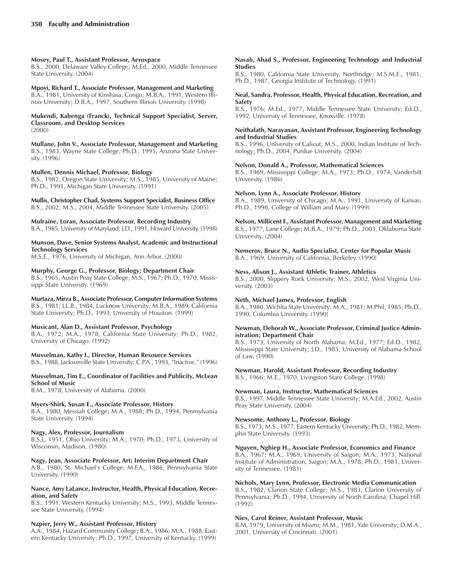### **Mosey, Paul T., Assistant Professor, Aerospace**

B.S., 2000, Delaware Valley College; M.Ed., 2000, Middle Tennessee State University. (2004)

#### **Mpoyi, Richard T., Associate Professor, Management and Marketing** B.A., 1981, University of Kinshasa, Congo; M.B.A., 1991, Western Illi-

nois University; D.B.A., 1997, Southern Illinois University. (1998)

#### **Mukendi, Kabenga (Franck), Technical Support Specialist, Server, Classroom, and Desktop Services** (2000)

**Mullane, John V., Associate Professor, Management and Marketing** B.S., 1983, Wayne State College; Ph.D., 1995, Arizona State University. (1996)

### **Mullen, Dennis Michael, Professor, Biology**

B.S., 1982, Oregon State University; M.S., 1985, University of Maine; Ph.D., 1991, Michigan State University. (1991)

**Mullis, Christopher Chad, Systems Support Specialist, Business Office** B.S., 2002; M.S., 2004, Middle Tennessee State University. (2005)

**Mulraine, Loran, Associate Professor, Recording Industry** B.A., 1985, University of Maryland; J.D., 1991, Howard University. (1998)

### **Munson, Dave, Senior Systems Analyst, Academic and Instructional Technology Services**

M.S.E., 1976, University of Michigan, Ann Arbor. (2000)

### **Murphy, George G., Professor, Biology; Department Chair**

B.S., 1965, Austin Peay State College; M.S., 1967; Ph.D., 1970, Mississippi State University. (1969)

**Murtaza, Mirza B., Associate Professor, Computer Information Systems** B.S., 1981; LL.B., 1984, Lucknow University; M.B.A., 1989, California State University; Ph.D., 1993, University of Houston. (1999)

### **Musicant, Alan D., Assistant Professor, Psychology**

B.A., 1972; M.A., 1978, California State University; Ph.D., 1982, University of Chicago. (1992)

**Musselman, Kathy I., Director, Human Resource Services** B.S., 1988, Jacksonville State University; C.P.A., 1993, "Inactive." (1996)

### **Musselman, Tim E., Coordinator of Facilities and Publicity, McLean School of Music**

B.M., 1978, University of Alabama. (2000)

### **Myers-Shirk, Susan E., Associate Professor, History**

B.A., 1980, Messiah College; M.A., 1988; Ph.D., 1994, Pennsylvania State University. (1994)

### **Nagy, Alex, Professor, Journalism**

B.S.J., 1951, Ohio University; M.A., 1970; Ph.D., 1973, University of Wisconsin, Madison. (1980)

### **Nagy, Jean, Associate Professor, Art; Interim Department Chair**

A.B., 1980, St. Michaelís College; M.F.A., 1986, Pennsylvania State University. (1990)

### **Nance, Amy LaLance, Instructor, Health, Physical Education, Recreation, and Safety**

B.S., 1991, Western Kentucky University; M.S., 1993, Middle Tennessee State University. (1994)

### **Napier, Jerry W., Assistant Professor, History**

A.A., 1984, Hazard Community College; B.A., 1986; M.A., 1988, Eastern Kentucky University; Ph.D., 1997, University of Kentucky. (1999)

### **Nasab, Ahad S., Professor, Engineering Technology and Industrial Studies**

B.S., 1980, California State University, Northridge; M.S.M.E., 1981; Ph.D., 1987, Georgia Institute of Technology. (1991)

### **Neal, Sandra, Professor, Health, Physical Education, Recreation, and Safety**

B.S., 1976; M.Ed., 1977, Middle Tennessee State University; Ed.D., 1992, University of Tennessee, Knoxville. (1978)

### **Neithalath, Narayanan, Assistant Professor, Engineering Technology and Industrial Studies**

B.S., 1996, University of Calicut; M.S., 2000, Indian Institute of Technology; Ph.D., 2004, Purdue University. (2004)

### **Nelson, Donald A., Professor, Mathematical Sciences**

B.S., 1969, Mississippi College; M.A., 1973; Ph.D., 1974, Vanderbilt University. (1986)

### **Nelson, Lynn A., Associate Professor, History**

B.A., 1989, University of Chicago; M.A., 1991, University of Kansas; Ph.D., 1998, College of William and Mary. (1999)

**Nelson, Millicent F., Assistant Professor, Management and Marketing**

B.S., 1977, Lane College; M.B.A., 1979; Ph.D., 2003, Oklahoma State University. (2004)

**Nemerov, Bruce N., Audio Specialist, Center for Popular Music** B.A., 1969, University of California, Berkeley. (1990)

### **Ness, Alison J., Assistant Athletic Trainer, Athletics**

B.S., 2000, Slippery Rock University; M.S., 2002, West Virginia University. (2003)

### **Neth, Michael James, Professor, English**

B.A., 1980, Wichita State University; M.A., 1981; M.Phil, 1985; Ph.D., 1990, Columbia University. (1990)

### **Newman, Deborah W., Associate Professor, Criminal Justice Administration; Department Chair**

B.S., 1973, University of North Alabama; M.Ed., 1977; Ed.D., 1982, Mississippi State University; J.D., 1985, University of Alabama School of Law. (1990)

### **Newman, Harold, Assistant Professor, Recording Industry**

B.S., 1966; M.E., 1970, Livingston State College. (1998)

### **Newman, Laura, Instructor, Mathematical Sciences**

B.S., 1997, Middle Tennessee State University; M.A.Ed., 2002, Austin Peay State University. (2004)

### **Newsome, Anthony L., Professor, Biology**

B.S., 1973; M.S., 1977, Eastern Kentucky University; Ph.D., 1982, Memphis State University. (1993)

### **Nguyen, Nghiep H., Associate Professor, Economics and Finance**

B.A., 1967; M.A., 1969, University of Saigon; M.A., 1973, National Institute of Administration, Saigon; M.A., 1978; Ph.D., 1981, University of Tennessee. (1981)

### **Nichols, Mary Lynn, Professor, Electronic Media Communication**

B.S., 1982, Clarion State College; M.S., 1983, Clarion University of Pennsylvania; Ph.D., 1994, University of North Carolina, Chapel Hill. (1992)

### **Nies, Carol Reiner, Assistant Professor, Music**

B.M, 1979, University of Miami; M.M., 1981, Yale University; D.M.A., 2001, University of Cincinnati. (2001)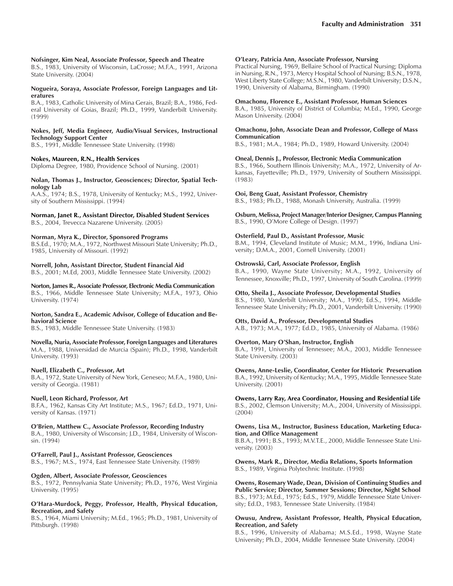#### **Nofsinger, Kim Neal, Associate Professor, Speech and Theatre**

B.S., 1983, University of Wisconsin, LaCrosse; M.F.A., 1991, Arizona State University. (2004)

#### **Nogueira, Soraya, Associate Professor, Foreign Languages and Literatures**

B.A., 1983, Catholic University of Mina Gerais, Brazil; B.A., 1986, Federal University of Goias, Brazil; Ph.D., 1999, Vanderbilt University. (1999)

### **Nokes, Jeff, Media Engineer, Audio/Visual Services, Instructional Technology Support Center**

B.S., 1991, Middle Tennessee State University. (1998)

### **Nokes, Maureen, R.N., Health Services**

Diploma Degree, 1980, Providence School of Nursing. (2001)

#### **Nolan, Thomas J., Instructor, Geosciences; Director, Spatial Technology Lab**

A.A.S., 1974; B.S., 1978, University of Kentucky; M.S., 1992, University of Southern Mississippi. (1994)

### **Norman, Janet R., Assistant Director, Disabled Student Services**

B.S., 2004, Trevecca Nazarene University. (2005)

### **Norman, Myra K., Director, Sponsored Programs**

B.S.Ed., 1970; M.A., 1972, Northwest Missouri State University; Ph.D., 1985, University of Missouri. (1992)

### **Norrell, John, Assistant Director, Student Financial Aid**

B.S., 2001; M.Ed, 2003, Middle Tennessee State University. (2002)

#### **Norton, James R., Associate Professor, Electronic Media Communication** B.S., 1966, Middle Tennessee State University; M.F.A., 1973, Ohio University. (1974)

#### **Norton, Sandra E., Academic Advisor, College of Education and Behavioral Science**

B.S., 1983, Middle Tennessee State University. (1983)

### **Novella, Nuria, Associate Professor, Foreign Languages and Literatures**

M.A., 1988, Universidad de Murcia (Spain); Ph.D., 1998, Vanderbilt University. (1993)

### **Nuell, Elizabeth C., Professor, Art**

B.A., 1972, State University of New York, Geneseo; M.F.A., 1980, University of Georgia. (1981)

### **Nuell, Leon Richard, Professor, Art**

B.F.A., 1962, Kansas City Art Institute; M.S., 1967; Ed.D., 1971, University of Kansas. (1971)

### **OíBrien, Matthew C., Associate Professor, Recording Industry**

B.A., 1980, University of Wisconsin; J.D., 1984, University of Wisconsin. (1994)

**OíFarrell, Paul J., Assistant Professor, Geosciences** B.S., 1967; M.S., 1974, East Tennessee State University. (1989)

### **Ogden, Albert, Associate Professor, Geosciences**

B.S., 1972, Pennsylvania State University; Ph.D., 1976, West Virginia University. (1995)

#### **OíHara-Murdock, Peggy, Professor, Health, Physical Education, Recreation, and Safety**

B.S., 1964, Miami University; M.Ed., 1965; Ph.D., 1981, University of Pittsburgh. (1998)

#### **OíLeary, Patricia Ann, Associate Professor, Nursing**

Practical Nursing, 1969, Bellaire School of Practical Nursing; Diploma in Nursing, R.N., 1973, Mercy Hospital School of Nursing; B.S.N., 1978, West Liberty State College; M.S.N., 1980, Vanderbilt University; D.S.N., 1990, University of Alabama, Birmingham. (1990)

#### **Omachonu, Florence E., Assistant Professor, Human Sciences**

B.A., 1985, University of District of Columbia; M.Ed., 1990, George Mason University. (2004)

### **Omachonu, John, Associate Dean and Professor, College of Mass Communication**

B.S., 1981; M.A., 1984; Ph.D., 1989, Howard University. (2004)

### **Oneal, Dennis J., Professor, Electronic Media Communication**

B.S., 1966, Southern Illinois University; M.A., 1972, University of Arkansas, Fayetteville; Ph.D., 1979, University of Southern Mississippi. (1983)

**Ooi, Beng Guat, Assistant Professor, Chemistry**

B.S., 1983; Ph.D., 1988, Monash University, Australia. (1999)

**Osburn, Melissa, Project Manager/Interior Designer, Campus Planning** B.S., 1990, O'More College of Design. (1997)

### **Osterfield, Paul D., Assistant Professor, Music**

B.M., 1994, Cleveland Institute of Music; M.M., 1996, Indiana University; D.M.A., 2001, Cornell University. (2001)

### **Ostrowski, Carl, Associate Professor, English**

B.A., 1990, Wayne State University; M.A., 1992, University of Tennessee, Knoxville; Ph.D., 1997, University of South Carolina. (1999)

### **Otto, Sheila J., Associate Professor, Developmental Studies**

B.S., 1980, Vanderbilt University; M.A., 1990; Ed.S., 1994, Middle Tennessee State University; Ph.D., 2001, Vanderbilt University. (1990)

#### **Otts, David A., Professor, Developmental Studies**

A.B., 1973; M.A., 1977; Ed.D., 1985, University of Alabama. (1986)

### **Overton, Mary OíShan, Instructor, English**

B.A., 1991, University of Tennessee; M.A., 2003, Middle Tennessee State University. (2003)

**Owens, Anne-Leslie, Coordinator, Center for Historic Preservation** B.A., 1992, University of Kentucky; M.A., 1995, Middle Tennessee State University. (2001)

**Owens, Larry Ray, Area Coordinator, Housing and Residential Life**

B.S., 2002, Clemson University; M.A., 2004, University of Mississippi. (2004)

#### **Owens, Lisa M., Instructor, Business Education, Marketing Education, and Office Management**

B.B.A., 1991; B.S., 1993; M.V.T.E., 2000, Middle Tennessee State University. (2003)

**Owens, Mark R., Director, Media Relations, Sports Information** B.S., 1989, Virginia Polytechnic Institute. (1998)

**Owens, Rosemary Wade, Dean, Division of Continuing Studies and Public Service; Director, Summer Sessions; Director, Night School** B.S., 1973; M.Ed., 1975; Ed.S., 1979, Middle Tennessee State University; Ed.D., 1983, Tennessee State University. (1984)

### **Owusu, Andrew, Assistant Professor, Health, Physical Education, Recreation, and Safety**

B.S., 1996, University of Alabama; M.S.Ed., 1998, Wayne State University; Ph.D., 2004, Middle Tennessee State University. (2004)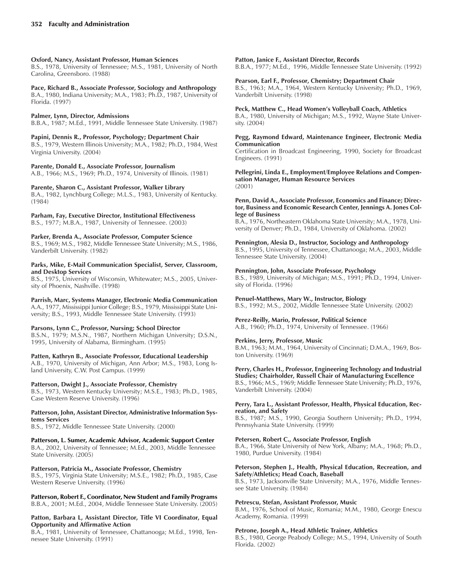### **Oxford, Nancy, Assistant Professor, Human Sciences**

B.S., 1978, University of Tennessee; M.S., 1981, University of North Carolina, Greensboro. (1988)

**Pace, Richard B., Associate Professor, Sociology and Anthropology** B.A., 1980, Indiana University; M.A., 1983; Ph.D., 1987, University of Florida. (1997)

### **Palmer, Lynn, Director, Admissions**

B.B.A., 1987; M.Ed., 1991, Middle Tennessee State University. (1987)

**Papini, Dennis R., Professor, Psychology; Department Chair** B.S., 1979, Western Illinois University; M.A., 1982; Ph.D., 1984, West Virginia University. (2004)

### **Parente, Donald E., Associate Professor, Journalism**

A.B., 1966; M.S., 1969; Ph.D., 1974, University of Illinois. (1981)

### **Parente, Sharon C., Assistant Professor, Walker Library**

B.A., 1982, Lynchburg College; M.L.S., 1983, University of Kentucky. (1984)

### **Parham, Fay, Executive Director, Institutional Effectiveness**

B.S., 1977; M.B.A., 1987, University of Tennessee. (2003)

### **Parker, Brenda A., Associate Professor, Computer Science**

B.S., 1969; M.S., 1982, Middle Tennessee State University; M.S., 1986, Vanderbilt University. (1982)

### **Parks, Mike, E-Mail Communication Specialist, Server, Classroom, and Desktop Services**

B.S., 1975, University of Wisconsin, Whitewater; M.S., 2005, University of Phoenix, Nashville. (1998)

**Parrish, Marc, Systems Manager, Electronic Media Communication** A.A., 1977, Mississippi Junior College; B.S., 1979, Mississippi State University; B.S., 1993, Middle Tennessee State University. (1993)

### **Parsons, Lynn C., Professor, Nursing; School Director**

B.S.N., 1979; M.S.N., 1987, Northern Michigan University; D.S.N., 1995, University of Alabama, Birmingham. (1995)

### **Patten, Kathryn B., Associate Professor, Educational Leadership**

A.B., 1970, University of Michigan, Ann Arbor; M.S., 1983, Long Island University, C.W. Post Campus. (1999)

### **Patterson, Dwight J., Associate Professor, Chemistry**

B.S., 1973, Western Kentucky University; M.S.E., 1983; Ph.D., 1985, Case Western Reserve University. (1996)

### **Patterson, John, Assistant Director, Administrative Information Systems Services**

B.S., 1972, Middle Tennessee State University. (2000)

**Patterson, L. Sumer, Academic Advisor, Academic Support Center** B.A., 2002, University of Tennessee; M.Ed., 2003, Middle Tennessee State University. (2005)

### **Patterson, Patricia M., Associate Professor, Chemistry**

B.S., 1975, Virginia State University; M.S.E., 1982; Ph.D., 1985, Case Western Reserve University. (1996)

**Patterson, Robert F., Coordinator, New Student and Family Programs** B.B.A., 2001; M.Ed., 2004, Middle Tennessee State University. (2005)

### **Patton, Barbara L, Assistant Director, Title VI Coordinator, Equal Opportunity and Affirmative Action**

B.A., 1981, University of Tennessee, Chattanooga; M.Ed., 1998, Tennessee State University. (1991)

### **Patton, Janice F., Assistant Director, Records**

B.B.A., 1977; M.Ed., 1996, Middle Tennessee State University. (1992)

### **Pearson, Earl F., Professor, Chemistry; Department Chair**

B.S., 1963; M.A., 1964, Western Kentucky University; Ph.D., 1969, Vanderbilt University. (1998)

### Peck, Matthew C., Head Women's Volleyball Coach, Athletics

B.A., 1980, University of Michigan; M.S., 1992, Wayne State University. (2004)

#### **Pegg, Raymond Edward, Maintenance Engineer, Electronic Media Communication**

Certification in Broadcast Engineering, 1990, Society for Broadcast Engineers. (1991)

**Pellegrini, Linda E., Employment/Employee Relations and Compensation Manager, Human Resource Services** (2001)

#### **Penn, David A., Associate Professor, Economics and Finance; Director, Business and Economic Research Center, Jennings A. Jones College of Business**

B.A., 1976, Northeastern Oklahoma State University; M.A., 1978, University of Denver; Ph.D., 1984, University of Oklahoma. (2002)

### **Pennington, Alesia D., Instructor, Sociology and Anthropology**

B.S., 1995, University of Tennessee, Chattanooga; M.A., 2003, Middle Tennessee State University. (2004)

### **Pennington, John, Associate Professor, Psychology**

B.S., 1989, University of Michigan; M.S., 1991; Ph.D., 1994, University of Florida. (1996)

### **Penuel-Matthews, Mary W., Instructor, Biology**

B.S., 1992; M.S., 2002, Middle Tennessee State University. (2002)

### **Perez-Reilly, Mario, Professor, Political Science**

A.B., 1960; Ph.D., 1974, University of Tennessee. (1966)

### **Perkins, Jerry, Professor, Music**

B.M., 1963; M.M., 1964, University of Cincinnati; D.M.A., 1969, Boston University. (1969)

#### **Perry, Charles H., Professor, Engineering Technology and Industrial Studies; Chairholder, Russell Chair of Manufacturing Excellence**

B.S., 1966; M.S., 1969; Middle Tennessee State University; Ph.D., 1976, Vanderbilt University. (2004)

### **Perry, Tara L., Assistant Professor, Health, Physical Education, Recreation, and Safety**

B.S., 1987; M.S., 1990, Georgia Southern University; Ph.D., 1994, Pennsylvania State University. (1999)

### **Petersen, Robert C., Associate Professor, English**

B.A., 1966, State University of New York, Albany; M.A., 1968; Ph.D., 1980, Purdue University. (1984)

#### **Peterson, Stephen J., Health, Physical Education, Recreation, and Safety/Athletics; Head Coach, Baseball**

B.S., 1973, Jacksonville State University; M.A., 1976, Middle Tennessee State University. (1984)

### **Petrescu, Stefan, Assistant Professor, Music**

B.M., 1976, School of Music, Romania; M.M., 1980, George Enescu Academy, Romania. (1999)

### **Petrone, Joseph A., Head Athletic Trainer, Athletics**

B.S., 1980, George Peabody College; M.S., 1994, University of South Florida. (2002)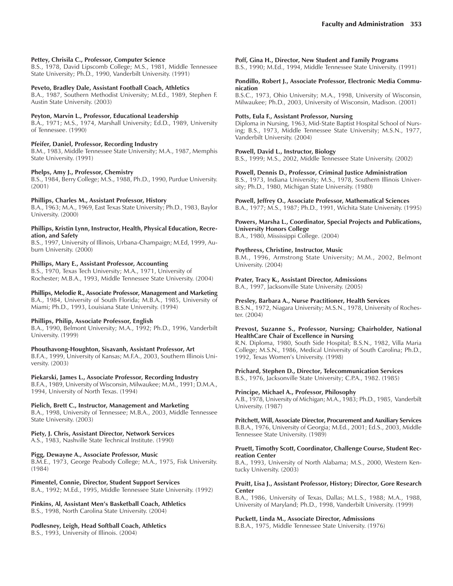### **Pettey, Chrisila C., Professor, Computer Science**

B.S., 1978, David Lipscomb College; M.S., 1981, Middle Tennessee State University; Ph.D., 1990, Vanderbilt University. (1991)

### **Peveto, Bradley Dale, Assistant Football Coach, Athletics**

B.A., 1987, Southern Methodist University; M.Ed., 1989, Stephen F. Austin State University. (2003)

### **Peyton, Marvin L., Professor, Educational Leadership**

B.A., 1971; M.S., 1974, Marshall University; Ed.D., 1989, University of Tennessee. (1990)

### **Pfeifer, Daniel, Professor, Recording Industry**

B.M., 1983, Middle Tennessee State University; M.A., 1987, Memphis State University. (1991)

### **Phelps, Amy J., Professor, Chemistry**

B.S., 1984, Berry College; M.S., 1988, Ph.D., 1990, Purdue University. (2001)

### **Phillips, Charles M., Assistant Professor, History**

B.A., 1963; M.A., 1969, East Texas State University; Ph.D., 1983, Baylor University. (2000)

#### **Phillips, Kristin Lynn, Instructor, Health, Physical Education, Recreation, and Safety**

B.S., 1997, University of Illinois, Urbana-Champaign; M.Ed, 1999, Auburn University. (2000)

### **Phillips, Mary E., Assistant Professor, Accounting**

B.S., 1970, Texas Tech University; M.A., 1971, University of Rochester; M.B.A., 1993, Middle Tennessee State University. (2004)

#### **Phillips, Melodie R., Associate Professor, Management and Marketing** B.A., 1984, University of South Florida; M.B.A., 1985, University of

Miami; Ph.D., 1993, Louisiana State University. (1994)

### **Phillips, Philip, Associate Professor, English**

B.A., 1990, Belmont University; M.A., 1992; Ph.D., 1996, Vanderbilt University. (1999)

### **Phouthavong-Houghton, Sisavanh, Assistant Professor, Art**

B.F.A., 1999, University of Kansas; M.F.A., 2003, Southern Illinois University. (2003)

### **Piekarski, James L., Associate Professor, Recording Industry**

B.F.A., 1989, University of Wisconsin, Milwaukee; M.M., 1991; D.M.A., 1994, University of North Texas. (1994)

**Pielich, Brett C., Instructor, Management and Marketing** B.A., 1998, University of Tennessee; M.B.A., 2003, Middle Tennessee State University. (2003)

### **Piety, J. Chris, Assistant Director, Network Services** A.S., 1983, Nashville State Technical Institute. (1990)

### **Pigg, Dewayne A., Associate Professor, Music**

B.M.E., 1973, George Peabody College; M.A., 1975, Fisk University. (1984)

#### **Pimentel, Connie, Director, Student Support Services** B.A., 1992; M.Ed., 1995, Middle Tennessee State University. (1992)

**Pinkins, Al, Assistant Menís Basketball Coach, Athletics** B.S., 1998, North Carolina State University. (2004)

# **Podlesney, Leigh, Head Softball Coach, Athletics**

B.S., 1993, University of Illinois. (2004)

**Poff, Gina H., Director, New Student and Family Programs** B.S., 1990; M.Ed., 1994, Middle Tennessee State University. (1991)

**Pondillo, Robert J., Associate Professor, Electronic Media Communication**

B.S.C., 1973, Ohio University; M.A., 1998, University of Wisconsin, Milwaukee; Ph.D., 2003, University of Wisconsin, Madison. (2001)

### **Potts, Eula F., Assistant Professor, Nursing**

Diploma in Nursing, 1963, Mid-State Baptist Hospital School of Nursing; B.S., 1973, Middle Tennessee State University; M.S.N., 1977, Vanderbilt University. (2004)

### **Powell, David L., Instructor, Biology**

B.S., 1999; M.S., 2002, Middle Tennessee State University. (2002)

### **Powell, Dennis D., Professor, Criminal Justice Administration**

B.S., 1973, Indiana University; M.S., 1978, Southern Illinois University; Ph.D., 1980, Michigan State University. (1980)

### **Powell, Jeffrey O., Associate Professor, Mathematical Sciences**

B.A., 1977; M.S., 1987; Ph.D., 1991, Wichita State University. (1995)

**Powers, Marsha L., Coordinator, Special Projects and Publications, University Honors College** B.A., 1980, Mississippi College. (2004)

### **Poythress, Christine, Instructor, Music**

B.M., 1996, Armstrong State University; M.M., 2002, Belmont University. (2004)

### **Prater, Tracy K., Assistant Director, Admissions**

B.A., 1997, Jacksonville State University. (2005)

### **Presley, Barbara A., Nurse Practitioner, Health Services**

B.S.N., 1972, Niagara University; M.S.N., 1978, University of Rochester. (2004)

### **Prevost, Suzanne S., Professor, Nursing; Chairholder, National HealthCare Chair of Excellence in Nursing**

R.N. Diploma, 1980, South Side Hospital; B.S.N., 1982, Villa Maria College; M.S.N., 1986, Medical University of South Carolina; Ph.D., 1992, Texas Womenís University. (1998)

### **Prichard, Stephen D., Director, Telecommunication Services**

B.S., 1976, Jacksonville State University; C.P.A., 1982. (1985)

### **Principe, Michael A., Professor, Philosophy**

A.B., 1978, University of Michigan; M.A., 1983; Ph.D., 1985, Vanderbilt University. (1987)

**Pritchett, Will, Associate Director, Procurement and Auxiliary Services** B.B.A., 1976, University of Georgia; M.Ed., 2001; Ed.S., 2003, Middle Tennessee State University. (1989)

#### **Pruett, Timothy Scott, Coordinator, Challenge Course, Student Recreation Center**

B.A., 1993, University of North Alabama; M.S., 2000, Western Kentucky University. (2003)

### **Pruitt, Lisa J., Assistant Professor, History; Director, Gore Research Center**

B.A., 1986, University of Texas, Dallas; M.L.S., 1988; M.A., 1988, University of Maryland; Ph.D., 1998, Vanderbilt University. (1999)

### **Puckett, Linda M., Associate Director, Admissions**

B.B.A., 1975, Middle Tennessee State University. (1976)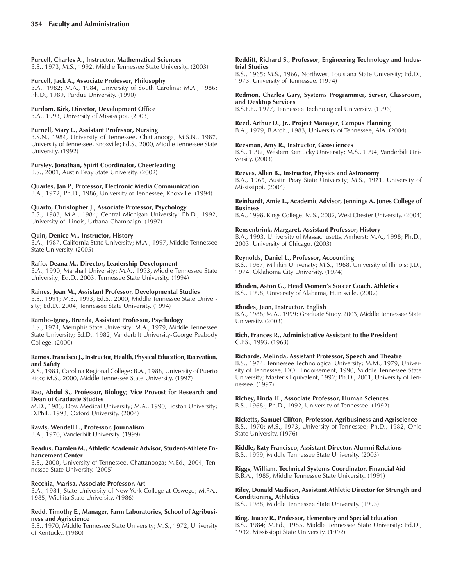### **Purcell, Charles A., Instructor, Mathematical Sciences**

B.S., 1973, M.S., 1992, Middle Tennessee State University. (2003)

### **Purcell, Jack A., Associate Professor, Philosophy**

B.A., 1982; M.A., 1984, University of South Carolina; M.A., 1986; Ph.D., 1989, Purdue University. (1990)

### **Purdom, Kirk, Director, Development Office**

B.A., 1993, University of Mississippi. (2003)

### **Purnell, Mary L., Assistant Professor, Nursing**

B.S.N., 1984, University of Tennessee, Chattanooga; M.S.N., 1987, University of Tennessee, Knoxville; Ed.S., 2000, Middle Tennessee State University. (1992)

### **Pursley, Jonathan, Spirit Coordinator, Cheerleading**

B.S., 2001, Austin Peay State University. (2002)

**Quarles, Jan P., Professor, Electronic Media Communication** B.A., 1972; Ph.D., 1986, University of Tennessee, Knoxville. (1994)

### **Quarto, Christopher J., Associate Professor, Psychology**

B.S., 1983; M.A., 1984; Central Michigan University; Ph.D., 1992, University of Illinois, Urbana-Champaign. (1997)

### **Quin, Denice M., Instructor, History**

B.A., 1987, California State University; M.A., 1997, Middle Tennessee State University. (2005)

### **Raffo, Deana M., Director, Leadership Development**

B.A., 1990, Marshall University; M.A., 1993, Middle Tennessee State University; Ed.D., 2003, Tennessee State University. (1994)

### **Raines, Joan M., Assistant Professor, Developmental Studies**

B.S., 1991; M.S., 1993, Ed.S., 2000, Middle Tennessee State University; Ed.D., 2004, Tennessee State University. (1994)

### **Rambo-Igney, Brenda, Assistant Professor, Psychology**

B.S., 1974, Memphis State University; M.A., 1979, Middle Tennessee State University; Ed.D., 1982, Vanderbilt University-George Peabody College. (2000)

### **Ramos, Francisco J., Instructor, Health, Physical Education, Recreation, and Safety**

A.S., 1983, Carolina Regional College; B.A., 1988, University of Puerto Rico; M.S., 2000, Middle Tennessee State University. (1997)

### **Rao, Abdul S., Professor, Biology; Vice Provost for Research and Dean of Graduate Studies**

M.D., 1983, Dow Medical University; M.A., 1990, Boston University; D.Phil., 1993, Oxford University. (2004)

### **Rawls, Wendell L., Professor, Journalism**

B.A., 1970, Vanderbilt University. (1999)

### **Readus, Damien M., Athletic Academic Advisor, Student-Athlete Enhancement Center**

B.S., 2000, University of Tennessee, Chattanooga; M.Ed., 2004, Tennessee State University. (2005)

### **Recchia, Marisa, Associate Professor, Art**

B.A., 1981, State University of New York College at Oswego; M.F.A., 1985, Wichita State University. (1986)

### **Redd, Timothy E., Manager, Farm Laboratories, School of Agribusiness and Agriscience**

B.S., 1970, Middle Tennessee State University; M.S., 1972, University of Kentucky. (1980)

#### **Redditt, Richard S., Professor, Engineering Technology and Industrial Studies**

B.S., 1965; M.S., 1966, Northwest Louisiana State University; Ed.D., 1973, University of Tennessee. (1974)

#### **Redmon, Charles Gary, Systems Programmer, Server, Classroom, and Desktop Services**

B.S.E.E., 1977, Tennessee Technological University. (1996)

### **Reed, Arthur D., Jr., Project Manager, Campus Planning**

B.A., 1979; B.Arch., 1983, University of Tennessee; AIA. (2004)

### **Reesman, Amy R., Instructor, Geosciences**

B.S., 1992, Western Kentucky University; M.S., 1994, Vanderbilt University. (2003)

### **Reeves, Allen B., Instructor, Physics and Astronomy**

B.A., 1965, Austin Peay State University; M.S., 1971, University of Mississippi. (2004)

#### **Reinhardt, Amie L., Academic Advisor, Jennings A. Jones College of Business**

B.A., 1998, Kings College; M.S., 2002, West Chester University. (2004)

### **Rensenbrink, Margaret, Assistant Professor, History**

B.A., 1993, University of Massachusetts, Amherst; M.A., 1998; Ph.D., 2003, University of Chicago. (2003)

### **Reynolds, Daniel L., Professor, Accounting**

B.S., 1967, Millikin University; M.S., 1968, University of Illinois; J.D., 1974, Oklahoma City University. (1974)

### **Rhoden, Aston G., Head Womenís Soccer Coach, Athletics**

B.S., 1998, University of Alabama, Huntsville. (2002)

### **Rhodes, Jean, Instructor, English**

State University. (1976)

B.A., 1988; M.A., 1999; Graduate Study, 2003, Middle Tennessee State University. (2003)

### **Rich, Frances R., Administrative Assistant to the President** C.P.S., 1993. (1963)

### **Richards, Melinda, Assistant Professor, Speech and Theatre**

B.S., 1974, Tennessee Technological University; M.M., 1979, University of Tennessee; DOE Endorsement, 1990, Middle Tennessee State University; Master's Equivalent, 1992; Ph.D., 2001, University of Tennessee. (1997)

#### **Richey, Linda H., Associate Professor, Human Sciences** B.S., 1968;, Ph.D., 1992, University of Tennessee. (1992)

**Ricketts, Samuel Clifton, Professor, Agribusiness and Agriscience** B.S., 1970; M.S., 1973, University of Tennessee; Ph.D., 1982, Ohio

**Riddle, Katy Francisco, Assistant Director, Alumni Relations** B.S., 1999, Middle Tennessee State University. (2003)

**Riggs, William, Technical Systems Coordinator, Financial Aid** B.B.A., 1985, Middle Tennessee State University. (1991)

### **Riley, Donald Madison, Assistant Athletic Director for Strength and Conditioning, Athletics**

B.S., 1988, Middle Tennessee State University. (1993)

### **Ring, Tracey R., Professor, Elementary and Special Education**

B.S., 1984; M.Ed., 1985, Middle Tennessee State University; Ed.D., 1992, Mississippi State University. (1992)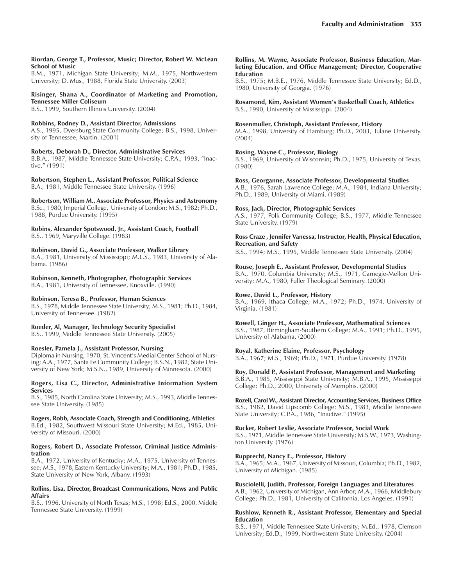#### **Riordan, George T., Professor, Music; Director, Robert W. McLean School of Music**

B.M., 1971, Michigan State University; M.M., 1975, Northwestern University; D. Mus., 1988, Florida State University. (2003)

### **Risinger, Shana A., Coordinator of Marketing and Promotion, Tennessee Miller Coliseum**

B.S., 1999, Southern Illinois University. (2004)

#### **Robbins, Rodney D., Assistant Director, Admissions** A.S., 1995, Dyersburg State Community College; B.S., 1998, University of Tennessee, Martin. (2001)

**Roberts, Deborah D., Director, Administrative Services** B.B.A., 1987, Middle Tennessee State University; C.P.A., 1993, "Inactive." (1991)

#### **Robertson, Stephen L., Assistant Professor, Political Science** B.A., 1981, Middle Tennessee State University. (1996)

**Robertson, William M., Associate Professor, Physics and Astronomy** B.Sc., 1980, Imperial College, University of London; M.S., 1982; Ph.D., 1988, Purdue University. (1995)

### **Robins, Alexander Spotswood, Jr., Assistant Coach, Football** B.S., 1969, Maryville College. (1983)

**Robinson, David G., Associate Professor, Walker Library** B.A., 1981, University of Mississippi; M.L.S., 1983, University of Alabama. (1986)

# **Robinson, Kenneth, Photographer, Photographic Services**

B.A., 1981, University of Tennessee, Knoxville. (1990)

### **Robinson, Teresa B., Professor, Human Sciences**

B.S., 1978, Middle Tennessee State University; M.S., 1981; Ph.D., 1984, University of Tennessee. (1982)

### **Roeder, Al, Manager, Technology Security Specialist**

B.S., 1999, Middle Tennessee State University. (2005)

### **Roesler, Pamela J., Assistant Professor, Nursing**

Diploma in Nursing, 1970, St. Vincent's Medial Center School of Nursing; A.A., 1977, Santa Fe Community College; B.S.N., 1982, State University of New York; M.S.N., 1989, University of Minnesota. (2000)

### **Rogers, Lisa C., Director, Administrative Information System Services**

B.S., 1985, North Carolina State University; M.S., 1993, Middle Tennessee State University. (1985)

### **Rogers, Robb, Associate Coach, Strength and Conditioning, Athletics**

B.Ed., 1982, Southwest Missouri State University; M.Ed., 1985, University of Missouri. (2000)

### **Rogers, Robert D., Associate Professor, Criminal Justice Administration**

B.A., 1972, University of Kentucky; M.A., 1975, University of Tennessee; M.S., 1978, Eastern Kentucky University; M.A., 1981; Ph.D., 1985, State University of New York, Albany. (1993)

### **Rollins, Lisa, Director, Broadcast Communications, News and Public Affairs**

B.S., 1996, University of North Texas; M.S., 1998; Ed.S., 2000, Middle Tennessee State University. (1999)

### **Rollins, M. Wayne, Associate Professor, Business Education, Marketing Education, and Office Management; Director, Cooperative Education**

B.S., 1975; M.B.E., 1976, Middle Tennessee State University; Ed.D., 1980, University of Georgia. (1976)

### **Rosamond, Kim, Assistant Womenís Basketball Coach, Athletics** B.S., 1990, University of Mississippi. (2004)

### **Rosenmuller, Christoph, Assistant Professor, History**

M.A., 1998, University of Hamburg; Ph.D., 2003, Tulane University. (2004)

### **Rosing, Wayne C., Professor, Biology**

B.S., 1969, University of Wisconsin; Ph.D., 1975, University of Texas. (1980)

### **Ross, Georganne, Associate Professor, Developmental Studies**

A.B., 1976, Sarah Lawrence College; M.A., 1984, Indiana University; Ph.D., 1989, University of Miami. (1989)

### **Ross, Jack, Director, Photographic Services**

A.S., 1977, Polk Community College; B.S., 1977, Middle Tennessee State University. (1979)

### **Ross Craze , Jennifer Vanessa, Instructor, Health, Physical Education, Recreation, and Safety**

B.S., 1994; M.S., 1995, Middle Tennessee State University. (2004)

### **Rouse, Joseph E., Assistant Professor, Developmental Studies**

B.A., 1970, Columbia University; M.S., 1971, Carnegie-Mellon University; M.A., 1980, Fuller Theological Seminary. (2000)

### **Rowe, David L., Professor, History**

B.A., 1969, Ithaca College; M.A., 1972; Ph.D., 1974, University of Virginia. (1981)

### **Rowell, Ginger H., Associate Professor, Mathematical Sciences**

B.S., 1987, Birmingham-Southern College; M.A., 1991; Ph.D., 1995, University of Alabama. (2000)

### **Royal, Katherine Elaine, Professor, Psychology**

B.A., 1967; M.S., 1969; Ph.D., 1971, Purdue University. (1978)

### **Roy, Donald P., Assistant Professor, Management and Marketing**

B.B.A., 1985, Mississippi State University; M.B.A., 1995, Mississippi College; Ph.D., 2000, University of Memphis. (2000)

### **Rozell, Carol W., Assistant Director, Accounting Services, Business Office**

B.S., 1982, David Lipscomb College; M.S., 1983, Middle Tennessee State University; C.P.A., 1986, "Inactive." (1995)

### **Rucker, Robert Leslie, Associate Professor, Social Work**

B.S., 1971, Middle Tennessee State University; M.S.W., 1973, Washington University. (1976)

### **Rupprecht, Nancy E., Professor, History**

B.A., 1965; M.A., 1967, University of Missouri, Columbia; Ph.D., 1982, University of Michigan. (1985)

### **Rusciolelli, Judith, Professor, Foreign Languages and Literatures**

A.B., 1962, University of Michigan, Ann Arbor; M.A., 1966, Middlebury College; Ph.D., 1981, University of California, Los Angeles. (1991)

### **Rushlow, Kenneth R., Assistant Professor, Elementary and Special Education**

B.S., 1971, Middle Tennessee State University; M.Ed., 1978, Clemson University; Ed.D., 1999, Northwestern State University. (2004)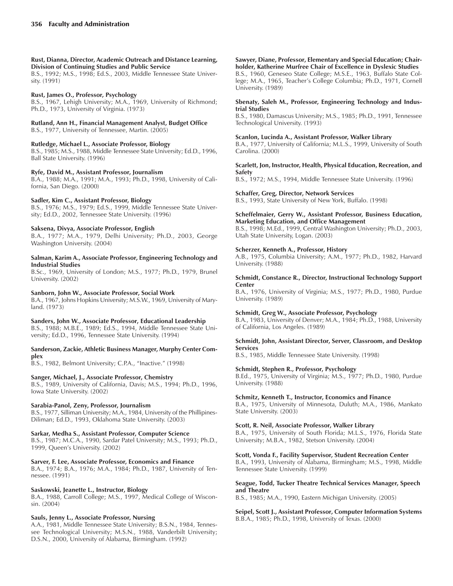**Rust, Dianna, Director, Academic Outreach and Distance Learning, Division of Continuing Studies and Public Service**

B.S., 1992; M.S., 1998; Ed.S., 2003, Middle Tennessee State University. (1991)

### **Rust, James O., Professor, Psychology**

B.S., 1967, Lehigh University; M.A., 1969, University of Richmond; Ph.D., 1973, University of Virginia. (1973)

### **Rutland, Ann H., Financial Management Analyst, Budget Office**

B.S., 1977, University of Tennessee, Martin. (2005)

**Rutledge, Michael L., Associate Professor, Biology** B.S., 1985; M.S., 1988, Middle Tennessee State University; Ed.D., 1996, Ball State University. (1996)

### **Ryfe, David M., Assistant Professor, Journalism**

B.A., 1988; M.A., 1991; M.A., 1993; Ph.D., 1998, University of California, San Diego. (2000)

### **Sadler, Kim C., Assistant Professor, Biology**

B.S., 1976; M.S., 1979; Ed.S., 1999, Middle Tennessee State University; Ed.D., 2002, Tennessee State University. (1996)

### **Saksena, Divya, Associate Professor, English**

B.A., 1977; M.A., 1979, Delhi University; Ph.D., 2003, George Washington University. (2004)

### **Salman, Karim A., Associate Professor, Engineering Technology and Industrial Studies**

B.Sc., 1969, University of London; M.S., 1977; Ph.D., 1979, Brunel University. (2002)

### **Sanborn, John W., Associate Professor, Social Work**

B.A., 1967, Johns Hopkins University; M.S.W., 1969, University of Maryland. (1973)

### **Sanders, John W., Associate Professor, Educational Leadership**

B.S., 1988; M.B.E., 1989; Ed.S., 1994, Middle Tennessee State University; Ed.D., 1996, Tennessee State University. (1994)

### **Sanderson, Zackie, Athletic Business Manager, Murphy Center Complex**

B.S., 1982, Belmont University; C.P.A., "Inactive." (1998)

### **Sanger, Michael, J., Associate Professor, Chemistry**

B.S., 1989, University of California, Davis; M.S., 1994; Ph.D., 1996, Iowa State University. (2002)

### **Sarabia-Panol, Zeny, Professor, Journalism**

B.S., 1977, Silliman University; M.A., 1984, University of the Phillipines-Diliman; Ed.D., 1993, Oklahoma State University. (2003)

### **Sarkar, Medha S., Assistant Professor, Computer Science**

B.S., 1987; M.C.A., 1990, Sardar Patel University; M.S., 1993; Ph.D., 1999, Queen's University. (2002)

### **Sarver, F. Lee, Associate Professor, Economics and Finance**

B.A., 1974; B.A., 1976; M.A., 1984; Ph.D., 1987, University of Tennessee. (1991)

### **Saskowski, Jeanette L., Instructor, Biology**

B.A., 1988, Carroll College; M.S., 1997, Medical College of Wisconsin. (2004)

### **Sauls, Jenny L., Associate Professor, Nursing**

A.A., 1981, Middle Tennessee State University; B.S.N., 1984, Tennessee Technological University; M.S.N., 1988, Vanderbilt University; D.S.N., 2000, University of Alabama, Birmingham. (1992)

#### **Sawyer, Diane, Professor, Elementary and Special Education; Chairholder, Katherine Murfree Chair of Excellence in Dyslexic Studies** B.S., 1960, Geneseo State College; M.S.E., 1963, Buffalo State College; M.A., 1965, Teacher's College Columbia; Ph.D., 1971, Cornell University. (1989)

### **Sbenaty, Saleh M., Professor, Engineering Technology and Industrial Studies**

B.S., 1980, Damascus University; M.S., 1985; Ph.D., 1991, Tennessee Technological University. (1993)

### **Scanlon, Lucinda A., Assistant Professor, Walker Library**

B.A., 1977, University of California; M.L.S., 1999, University of South Carolina. (2000)

### **Scarlett, Jon, Instructor, Health, Physical Education, Recreation, and Safety**

B.S., 1972; M.S., 1994, Middle Tennessee State University. (1996)

### **Schaffer, Greg, Director, Network Services**

B.S., 1993, State University of New York, Buffalo. (1998)

### **Scheffelmaier, Gerry W., Assistant Professor, Business Education, Marketing Education, and Office Management**

B.S., 1998; M.Ed., 1999, Central Washington University; Ph.D., 2003, Utah State University, Logan. (2003)

### **Scherzer, Kenneth A., Professor, History**

A.B., 1975, Columbia University; A.M., 1977; Ph.D., 1982, Harvard University. (1988)

### **Schmidt, Constance R., Director, Instructional Technology Support Center**

B.A., 1976, University of Virginia; M.S., 1977; Ph.D., 1980, Purdue University. (1989)

### **Schmidt, Greg W., Associate Professor, Psychology**

B.A., 1983, University of Denver; M.A., 1984; Ph.D., 1988, University of California, Los Angeles. (1989)

### **Schmidt, John, Assistant Director, Server, Classroom, and Desktop Services**

B.S., 1985, Middle Tennessee State University. (1998)

### **Schmidt, Stephen R., Professor, Psychology**

B.Ed., 1975, University of Virginia; M.S., 1977; Ph.D., 1980, Purdue University. (1988)

### **Schmitz, Kenneth T., Instructor, Economics and Finance**

B.A., 1975, University of Minnesota, Duluth; M.A., 1986, Mankato State University. (2003)

### **Scott, R. Neil, Associate Professor, Walker Library**

B.A., 1975, University of South Florida; M.L.S., 1976, Florida State University; M.B.A., 1982, Stetson University. (2004)

### **Scott, Vonda F., Facility Supervisor, Student Recreation Center**

B.A., 1993, University of Alabama, Birmingham; M.S., 1998, Middle Tennessee State University. (1999)

### **Seague, Todd, Tucker Theatre Technical Services Manager, Speech and Theatre**

B.S., 1985; M.A., 1990, Eastern Michigan University. (2005)

### **Seipel, Scott J., Assistant Professor, Computer Information Systems** B.B.A., 1985; Ph.D., 1998, University of Texas. (2000)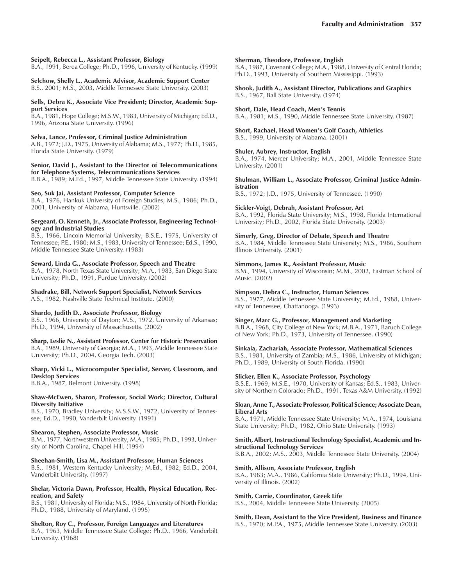### **Seipelt, Rebecca L., Assistant Professor, Biology**

B.A., 1991, Berea College; Ph.D., 1996, University of Kentucky. (1999)

### **Selchow, Shelly L., Academic Advisor, Academic Support Center**

B.S., 2001; M.S., 2003, Middle Tennessee State University. (2003)

#### **Sells, Debra K., Associate Vice President; Director, Academic Support Services**

B.A., 1981, Hope College; M.S.W., 1983, University of Michigan; Ed.D., 1996, Arizona State University. (1996)

#### **Selva, Lance, Professor, Criminal Justice Administration**

A.B., 1972; J.D., 1975, University of Alabama; M.S., 1977; Ph.D., 1985, Florida State University. (1979)

### **Senior, David J., Assistant to the Director of Telecommunications for Telephone Systems, Telecommunications Services**

B.B.A., 1989; M.Ed., 1997, Middle Tennessee State University. (1994)

### **Seo, Suk Jai, Assistant Professor, Computer Science**

B.A., 1976, Hankuk University of Foreign Studies; M.S., 1986; Ph.D., 2001, University of Alabama, Huntsville. (2002)

#### **Sergeant, O. Kenneth, Jr., Associate Professor, Engineering Technology and Industrial Studies**

B.S., 1966, Lincoln Memorial University; B.S.E., 1975, University of Tennessee; P.E., 1980; M.S., 1983, University of Tennessee; Ed.S., 1990, Middle Tennessee State University. (1983)

### **Seward, Linda G., Associate Professor, Speech and Theatre**

B.A., 1978, North Texas State University; M.A., 1983, San Diego State University; Ph.D., 1991, Purdue University. (2002)

#### **Shadrake, Bill, Network Support Specialist, Network Services** A.S., 1982, Nashville State Technical Institute. (2000)

**Shardo, Judith D., Associate Professor, Biology**

B.S., 1966, University of Dayton; M.S., 1972, University of Arkansas; Ph.D., 1994, University of Massachusetts. (2002)

### **Sharp, Leslie N., Assistant Professor, Center for Historic Preservation**

B.A., 1989, University of Georgia; M.A., 1993, Middle Tennessee State University; Ph.D., 2004, Georgia Tech. (2003)

### **Sharp, Vicki L., Microcomputer Specialist, Server, Classroom, and Desktop Services**

B.B.A., 1987, Belmont University. (1998)

#### **Shaw-McEwen, Sharon, Professor, Social Work; Director, Cultural Diversity Initiative**

B.S., 1970, Bradley University; M.S.S.W., 1972, University of Tennessee; Ed.D., 1990, Vanderbilt University. (1991)

#### **Shearon, Stephen, Associate Professor, Music**

B.M., 1977, Northwestern University; M.A., 1985; Ph.D., 1993, University of North Carolina, Chapel Hill. (1994)

#### **Sheehan-Smith, Lisa M., Assistant Professor, Human Sciences**

B.S., 1981, Western Kentucky University; M.Ed., 1982; Ed.D., 2004, Vanderbilt University. (1997)

### **Shelar, Victoria Dawn, Professor, Health, Physical Education, Recreation, and Safety**

B.S., 1981, University of Florida; M.S., 1984, University of North Florida; Ph.D., 1988, University of Maryland. (1995)

### **Shelton, Roy C., Professor, Foreign Languages and Literatures**

B.A., 1963, Middle Tennessee State College; Ph.D., 1966, Vanderbilt University. (1968)

#### **Sherman, Theodore, Professor, English**

B.A., 1987, Covenant College; M.A., 1988, University of Central Florida; Ph.D., 1993, University of Southern Mississippi. (1993)

**Shook, Judith A., Assistant Director, Publications and Graphics** B.S., 1967, Ball State University. (1974)

#### **Short, Dale, Head Coach, Men's Tennis**

B.A., 1981; M.S., 1990, Middle Tennessee State University. (1987)

#### **Short, Rachael, Head Womenís Golf Coach, Athletics** B.S., 1999, University of Alabama. (2001)

### **Shuler, Aubrey, Instructor, English**

B.A., 1974, Mercer University; M.A., 2001, Middle Tennessee State University. (2001)

#### **Shulman, William L., Associate Professor, Criminal Justice Administration**

B.S., 1972; J.D., 1975, University of Tennessee. (1990)

### **Sickler-Voigt, Debrah, Assistant Professor, Art**

B.A., 1992, Florida State University; M.S., 1998, Florida International University; Ph.D., 2002, Florida State University. (2003)

### **Simerly, Greg, Director of Debate, Speech and Theatre**

B.A., 1984, Middle Tennessee State University; M.S., 1986, Southern Illinois University. (2001)

### **Simmons, James R., Assistant Professor, Music**

B.M., 1994, University of Wisconsin; M.M., 2002, Eastman School of Music. (2002)

### **Simpson, Debra C., Instructor, Human Sciences**

B.S., 1977, Middle Tennessee State University; M.Ed., 1988, University of Tennessee, Chattanooga. (1993)

#### **Singer, Marc G., Professor, Management and Marketing**

B.B.A., 1968, City College of New York; M.B.A., 1971, Baruch College of New York; Ph.D., 1973, University of Tennessee. (1990)

#### **Sinkala, Zachariah, Associate Professor, Mathematical Sciences**

B.S., 1981, University of Zambia; M.S., 1986, University of Michigan; Ph.D., 1989, University of South Florida. (1990)

### **Slicker, Ellen K., Associate Professor, Psychology**

B.S.E., 1969; M.S.E., 1970, University of Kansas; Ed.S., 1983, University of Northern Colorado; Ph.D., 1991, Texas A&M University. (1992)

#### **Sloan, Anne T., Associate Professor, Political Science; Associate Dean, Liberal Arts**

B.A., 1971, Middle Tennessee State University; M.A., 1974, Louisiana State University; Ph.D., 1982, Ohio State University. (1993)

#### **Smith, Albert, Instructional Technology Specialist, Academic and Instructional Technology Services**

B.B.A., 2002; M.S., 2003, Middle Tennessee State University. (2004)

### **Smith, Allison, Associate Professor, English**

B.A., 1983; M.A., 1986, California State University; Ph.D., 1994, University of Illinois. (2002)

#### **Smith, Carrie, Coordinator, Greek Life**

B.S., 2004, Middle Tennessee State University. (2005)

### **Smith, Dean, Assistant to the Vice President, Business and Finance**

B.S., 1970; M.P.A., 1975, Middle Tennessee State University. (2003)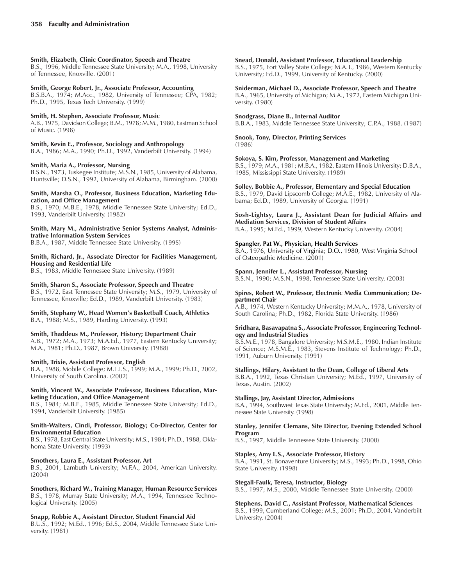### **Smith, Elizabeth, Clinic Coordinator, Speech and Theatre**

B.S., 1996, Middle Tennessee State University; M.A., 1998, University of Tennessee, Knoxville. (2001)

### **Smith, George Robert, Jr., Associate Professor, Accounting**

B.S.B.A., 1974; M.Acc., 1982, University of Tennessee; CPA, 1982; Ph.D., 1995, Texas Tech University. (1999)

### **Smith, H. Stephen, Associate Professor, Music**

A.B., 1975, Davidson College; B.M., 1978; M.M., 1980, Eastman School of Music. (1998)

### **Smith, Kevin E., Professor, Sociology and Anthropology**

B.A., 1986; M.A., 1990; Ph.D., 1992, Vanderbilt University. (1994)

### **Smith, Maria A., Professor, Nursing**

B.S.N., 1973, Tuskegee Institute; M.S.N., 1985, University of Alabama, Huntsville; D.S.N., 1992, University of Alabama, Birmingham. (2000)

### **Smith, Marsha O., Professor, Business Education, Marketing Education, and Office Management**

B.S., 1970; M.B.E., 1978, Middle Tennessee State University; Ed.D., 1993, Vanderbilt University. (1982)

### **Smith, Mary M., Administrative Senior Systems Analyst, Administrative Information System Services**

B.B.A., 1987, Middle Tennessee State University. (1995)

### **Smith, Richard, Jr., Associate Director for Facilities Management, Housing and Residential Life**

B.S., 1983, Middle Tennessee State University. (1989)

### **Smith, Sharon S., Associate Professor, Speech and Theatre**

B.S., 1972, East Tennessee State University; M.S., 1979, University of Tennessee, Knoxville; Ed.D., 1989, Vanderbilt University. (1983)

### Smith, Stephany W., Head Women's Basketball Coach, Athletics B.A., 1988; M.S., 1989, Harding University. (1993)

### **Smith, Thaddeus M., Professor, History; Department Chair**

A.B., 1972; M.A., 1973; M.A.Ed., 1977, Eastern Kentucky University; M.A., 1981; Ph.D., 1987, Brown University. (1988)

### **Smith, Trixie, Assistant Professor, English**

B.A., 1988, Mobile College; M.L.I.S., 1999; M.A., 1999; Ph.D., 2002, University of South Carolina. (2002)

#### **Smith, Vincent W., Associate Professor, Business Education, Marketing Education, and Office Management**

B.S., 1984; M.B.E., 1985, Middle Tennessee State University; Ed.D., 1994, Vanderbilt University. (1985)

### **Smith-Walters, Cindi, Professor, Biology; Co-Director, Center for Environmental Education**

B.S., 1978, East Central State University; M.S., 1984; Ph.D., 1988, Oklahoma State University. (1993)

### **Smothers, Laura E., Assistant Professor, Art**

B.S., 2001, Lambuth University; M.F.A., 2004, American University. (2004)

#### **Smothers, Richard W., Training Manager, Human Resource Services** B.S., 1978, Murray State University; M.A., 1994, Tennessee Technological University. (2005)

### **Snapp, Robbie A., Assistant Director, Student Financial Aid**

B.U.S., 1992; M.Ed., 1996; Ed.S., 2004, Middle Tennessee State University. (1981)

### **Snead, Donald, Assistant Professor, Educational Leadership**

B.S., 1975, Fort Valley State College; M.A.T., 1986, Western Kentucky University; Ed.D., 1999, University of Kentucky. (2000)

### **Sniderman, Michael D., Associate Professor, Speech and Theatre**

B.A., 1965, University of Michigan; M.A., 1972, Eastern Michigan University. (1980)

#### **Snodgrass, Diane B., Internal Auditor**

B.B.A., 1983, Middle Tennessee State University; C.P.A., 1988. (1987)

# **Snook, Tony, Director, Printing Services**

(1986)

### **Sokoya, S. Kim, Professor, Management and Marketing**

B.S., 1979; M.A., 1981; M.B.A., 1982, Eastern Illinois University; D.B.A., 1985, Mississippi State University. (1989)

### **Solley, Bobbie A., Professor, Elementary and Special Education**

B.S., 1979, David Lipscomb College; M.A.E., 1982, University of Alabama; Ed.D., 1989, University of Georgia. (1991)

### **Sosh-Lightsy, Laura J., Assistant Dean for Judicial Affairs and Mediation Services, Division of Student Affairs**

B.A., 1995; M.Ed., 1999, Western Kentucky University. (2004)

### **Spangler, Pat W., Physician, Health Services**

B.A., 1976, University of Virginia; D.O., 1980, West Virginia School of Osteopathic Medicine. (2001)

### **Spann, Jennifer L., Assistant Professor, Nursing**

B.S.N., 1990; M.S.N., 1998, Tennessee State University. (2003)

#### **Spires, Robert W., Professor, Electronic Media Communication; Department Chair**

A.B., 1974, Western Kentucky University; M.M.A., 1978, University of South Carolina; Ph.D., 1982, Florida State University. (1986)

#### **Sridhara, Basavapatna S., Associate Professor, Engineering Technology and Industrial Studies**

B.S.M.E., 1978, Bangalore University; M.S.M.E., 1980, Indian Institute of Science; M.S.M.E., 1983, Stevens Institute of Technology; Ph.D., 1991, Auburn University. (1991)

### **Stallings, Hilary, Assistant to the Dean, College of Liberal Arts**

B.B.A., 1992, Texas Christian University; M.Ed., 1997, University of Texas, Austin. (2002)

### **Stallings, Jay, Assistant Director, Admissions**

B.A., 1994, Southwest Texas State University; M.Ed., 2001, Middle Tennessee State University. (1998)

### **Stanley, Jennifer Clemans, Site Director, Evening Extended School Program**

B.S., 1997, Middle Tennessee State University. (2000)

### **Staples, Amy L.S., Associate Professor, History**

B.A., 1991, St. Bonaventure University; M.S., 1993; Ph.D., 1998, Ohio State University. (1998)

### **Stegall-Faulk, Teresa, Instructor, Biology**

B.S., 1997; M.S., 2000, Middle Tennessee State University. (2000)

# **Stephens, David C., Assistant Professor, Mathematical Sciences**

B.S., 1999, Cumberland College; M.S., 2001; Ph.D., 2004, Vanderbilt University. (2004)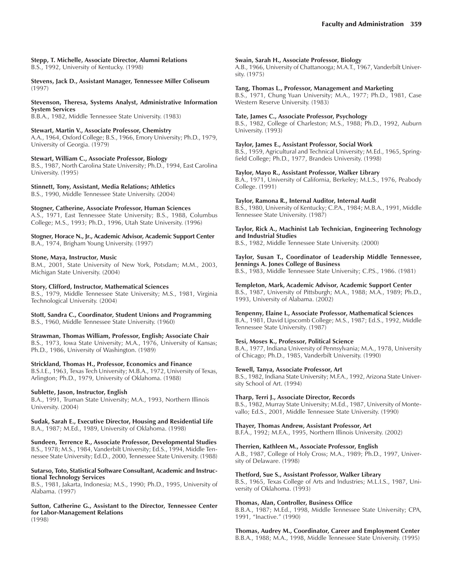#### **Stepp, T. Michelle, Associate Director, Alumni Relations** B.S., 1992, University of Kentucky. (1998)

**Stevens, Jack D., Assistant Manager, Tennessee Miller Coliseum** (1997)

**Stevenson, Theresa, Systems Analyst, Administrative Information System Services** B.B.A., 1982, Middle Tennessee State University. (1983)

**Stewart, Martin V., Associate Professor, Chemistry**

A.A., 1964, Oxford College; B.S., 1966, Emory University; Ph.D., 1979, University of Georgia. (1979)

**Stewart, William C., Associate Professor, Biology**

B.S., 1987, North Carolina State University; Ph.D., 1994, East Carolina University. (1995)

**Stinnett, Tony, Assistant, Media Relations; Athletics**

B.S., 1990, Middle Tennessee State University. (2004)

**Stogner, Catherine, Associate Professor, Human Sciences**

A.S., 1971, East Tennessee State University; B.S., 1988, Columbus College; M.S., 1993; Ph.D., 1996, Utah State University. (1996)

**Stogner, Horace N., Jr., Academic Advisor, Academic Support Center** B.A., 1974, Brigham Young University. (1997)

### **Stone, Maya, Instructor, Music**

B.M., 2001, State University of New York, Potsdam; M.M., 2003, Michigan State University. (2004)

**Story, Clifford, Instructor, Mathematical Sciences**

B.S., 1979, Middle Tennessee State University; M.S., 1981, Virginia Technological University. (2004)

**Stott, Sandra C., Coordinator, Student Unions and Programming** B.S., 1960, Middle Tennessee State University. (1960)

**Strawman, Thomas William, Professor, English; Associate Chair** B.S., 1973, Iowa State University; M.A., 1976, University of Kansas; Ph.D., 1986, University of Washington. (1989)

### **Strickland, Thomas H., Professor, Economics and Finance**

B.S.I.E., 1963, Texas Tech University; M.B.A., 1972, University of Texas, Arlington; Ph.D., 1979, University of Oklahoma. (1988)

### **Sublette, Jason, Instructor, English**

B.A., 1991, Truman State University; M.A., 1993, Northern Illinois University. (2004)

**Sudak, Sarah E., Executive Director, Housing and Residential Life** B.A., 1987; M.Ed., 1989, University of Oklahoma. (1998)

**Sundeen, Terrence R., Associate Professor, Developmental Studies** B.S., 1978; M.S., 1984, Vanderbilt University; Ed.S., 1994, Middle Tennessee State University; Ed.D., 2000, Tennessee State University. (1988)

### **Sutarso, Toto, Statistical Software Consultant, Academic and Instructional Technology Services**

B.S., 1981, Jakarta, Indonesia; M.S., 1990; Ph.D., 1995, University of Alabama. (1997)

**Sutton, Catherine G., Assistant to the Director, Tennessee Center for Labor-Management Relations** (1998)

### **Swain, Sarah H., Associate Professor, Biology**

A.B., 1966, University of Chattanooga; M.A.T., 1967, Vanderbilt University. (1975)

### **Tang, Thomas L., Professor, Management and Marketing**

B.S., 1971, Chung Yuan University; M.A., 1977; Ph.D., 1981, Case Western Reserve University. (1983)

### **Tate, James C., Associate Professor, Psychology**

B.S., 1982, College of Charleston; M.S., 1988; Ph.D., 1992, Auburn University. (1993)

### **Taylor, James E., Assistant Professor, Social Work**

B.S., 1959, Agricultural and Technical University; M.Ed., 1965, Springfield College; Ph.D., 1977, Brandeis University. (1998)

### **Taylor, Mayo R., Assistant Professor, Walker Library**

B.A., 1971, University of California, Berkeley; M.L.S., 1976, Peabody College. (1991)

### **Taylor, Ramona R., Internal Auditor, Internal Audit**

B.S., 1980, University of Kentucky; C.P.A., 1984; M.B.A., 1991, Middle Tennessee State University. (1987)

### **Taylor, Rick A., Machinist Lab Technician, Engineering Technology and Industrial Studies**

B.S., 1982, Middle Tennessee State University. (2000)

### **Taylor, Susan T., Coordinator of Leadership Middle Tennessee, Jennings A. Jones College of Business**

B.S., 1983, Middle Tennessee State University; C.P.S., 1986. (1981)

### **Templeton, Mark, Academic Advisor, Academic Support Center**

B.S., 1987, University of Pittsburgh; M.A., 1988; M.A., 1989; Ph.D., 1993, University of Alabama. (2002)

### **Tenpenny, Elaine I., Associate Professor, Mathematical Sciences**

B.A., 1981, David Lipscomb College; M.S., 1987; Ed.S., 1992, Middle Tennessee State University. (1987)

### **Tesi, Moses K., Professor, Political Science**

B.A., 1977, Indiana University of Pennsylvania; M.A., 1978, University of Chicago; Ph.D., 1985, Vanderbilt University. (1990)

### **Tewell, Tanya, Associate Professor, Art**

B.S., 1982, Indiana State University; M.F.A., 1992, Arizona State University School of Art. (1994)

### **Tharp, Terri J., Associate Director, Records**

B.S., 1982, Murray State University; M.Ed., 1987, University of Montevallo; Ed.S., 2001, Middle Tennessee State University. (1990)

### **Thayer, Thomas Andrew, Assistant Professor, Art**

B.F.A., 1992; M.F.A., 1995, Northern Illinois University. (2002)

### **Therrien, Kathleen M., Associate Professor, English**

A.B., 1987, College of Holy Cross; M.A., 1989; Ph.D., 1997, University of Delaware. (1998)

### **Thetford, Sue S., Assistant Professor, Walker Library**

B.S., 1965, Texas College of Arts and Industries; M.L.I.S., 1987, University of Oklahoma. (1993)

### **Thomas, Alan, Controller, Business Office**

B.B.A., 1987; M.Ed., 1998, Middle Tennessee State University; CPA, 1991, "Inactive." (1990)

**Thomas, Audrey M., Coordinator, Career and Employment Center** B.B.A., 1988; M.A., 1998, Middle Tennessee State University. (1995)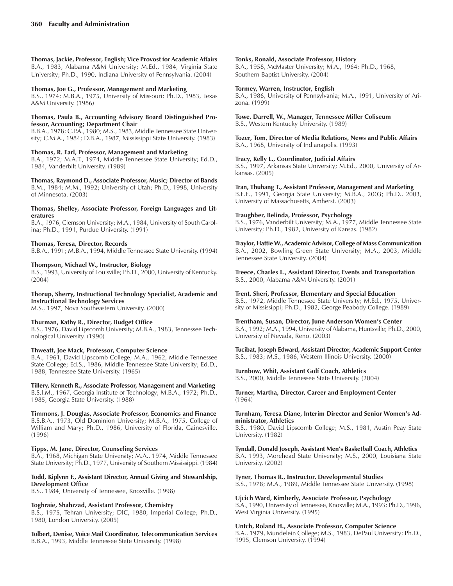**Thomas, Jackie, Professor, English; Vice Provost for Academic Affairs** B.A., 1983, Alabama A&M University; M.Ed., 1984, Virginia State University; Ph.D., 1990, Indiana University of Pennsylvania. (2004)

### **Thomas, Joe G., Professor, Management and Marketing**

B.S., 1974; M.B.A., 1975, University of Missouri; Ph.D., 1983, Texas A&M University. (1986)

### **Thomas, Paula B., Accounting Advisory Board Distinguished Professor, Accounting; Department Chair**

B.B.A., 1978; C.P.A., 1980; M.S., 1983, Middle Tennessee State University; C.M.A., 1984; D.B.A., 1987, Mississippi State University. (1983)

**Thomas, R. Earl, Professor, Management and Marketing** B.A., 1972; M.A.T., 1974, Middle Tennessee State University; Ed.D., 1984, Vanderbilt University. (1989)

**Thomas, Raymond D., Associate Professor, Music; Director of Bands** B.M., 1984; M.M., 1992; University of Utah; Ph.D., 1998, University of Minnesota. (2003)

### **Thomas, Shelley, Associate Professor, Foreign Languages and Literatures**

B.A., 1976, Clemson University; M.A., 1984, University of South Carolina; Ph.D., 1991, Purdue University. (1991)

### **Thomas, Teresa, Director, Records**

B.B.A., 1991; M.B.A., 1994, Middle Tennessee State University. (1994)

### **Thompson, Michael W., Instructor, Biology**

B.S., 1993, University of Louisville; Ph.D., 2000, University of Kentucky. (2004)

### **Thorup, Sherry, Instructional Technology Specialist, Academic and Instructional Technology Services**

M.S., 1997, Nova Southeastern University. (2000)

#### **Thurman, Kathy R., Director, Budget Office**

B.S., 1976, David Lipscomb University; M.B.A., 1983, Tennessee Technological University. (1990)

### **Thweatt, Joe Mack, Professor, Computer Science**

B.A., 1961, David Lipscomb College; M.A., 1962, Middle Tennessee State College; Ed.S., 1986, Middle Tennessee State University; Ed.D., 1988, Tennessee State University. (1965)

**Tillery, Kenneth R., Associate Professor, Management and Marketing** B.S.I.M., 1967, Georgia Institute of Technology; M.B.A., 1972; Ph.D.,

# 1985, Georgia State University. (1988)

**Timmons, J. Douglas, Associate Professor, Economics and Finance** B.S.B.A., 1973, Old Dominion University; M.B.A., 1975, College of William and Mary; Ph.D., 1986, University of Florida, Gainesville. (1996)

### **Tipps, M. Jane, Director, Counseling Services**

B.A., 1968, Michigan State University; M.A., 1974, Middle Tennessee State University; Ph.D., 1977, University of Southern Mississippi. (1984)

### **Todd, Kiplynn F., Assistant Director, Annual Giving and Stewardship, Development Office**

B.S., 1984, University of Tennessee, Knoxville. (1998)

### **Toghraie, Shahrzad, Assistant Professor, Chemistry**

B.S., 1975, Tehran University; DIC, 1980, Imperial College; Ph.D., 1980, London University. (2005)

**Tolbert, Denise, Voice Mail Coordinator, Telecommunication Services** B.B.A., 1993, Middle Tennessee State University. (1998)

#### **Tonks, Ronald, Associate Professor, History**

B.A., 1958, McMaster University; M.A., 1964; Ph.D., 1968, Southern Baptist University. (2004)

### **Tormey, Warren, Instructor, English**

B.A., 1986, University of Pennsylvania; M.A., 1991, University of Arizona. (1999)

#### **Towe, Darrell, W., Manager, Tennessee Miller Coliseum** B.S., Western Kentucky University. (1989)

**Tozer, Tom, Director of Media Relations, News and Public Affairs** B.A., 1968, University of Indianapolis. (1993)

### **Tracy, Kelly L., Coordinator, Judicial Affairs**

B.S., 1997, Arkansas State University; M.Ed., 2000, University of Arkansas. (2005)

#### **Tran, Thuhang T., Assistant Professor, Management and Marketing**

B.E.E., 1991, Georgia State University; M.B.A., 2003; Ph.D., 2003, University of Massachusetts, Amherst. (2003)

### **Traughber, Belinda, Professor, Psychology**

B.S., 1976, Vanderbilt University; M.A., 1977, Middle Tennessee State University; Ph.D., 1982, University of Kansas. (1982)

### **Traylor, Hattie W., Academic Advisor, College of Mass Communication**

B.A., 2002, Bowling Green State University; M.A., 2003, Middle Tennessee State University. (2004)

**Treece, Charles L., Assistant Director, Events and Transportation** B.S., 2000, Alabama A&M University. (2001)

### **Trent, Sheri, Professor, Elementary and Special Education**

B.S., 1972, Middle Tennessee State University; M.Ed., 1975, University of Mississippi; Ph.D., 1982, George Peabody College. (1989)

### **Trentham, Susan, Director, June Anderson Womenís Center**

B.A., 1992; M.A., 1994, University of Alabama, Huntsville; Ph.D., 2000, University of Nevada, Reno. (2003)

#### **Tucibat, Joseph Edward, Assistant Director, Academic Support Center** B.S., 1983; M.S., 1986, Western Illinois University. (2000)

### **Turnbow, Whit, Assistant Golf Coach, Athletics**

B.S., 2000, Middle Tennessee State University. (2004)

**Turner, Martha, Director, Career and Employment Center** (1964)

#### Turnham, Teresa Diane, Interim Director and Senior Women's Ad**ministrator, Athletics**

B.S., 1980, David Lipscomb College; M.S., 1981, Austin Peay State University. (1982)

#### **Tyndall, Donald Joseph, Assistant Men's Basketball Coach, Athletics**

B.A. 1993, Morehead State University; M.S., 2000, Louisiana State University. (2002)

**Tyner, Thomas R., Instructor, Developmental Studies** B.S., 1978; M.A., 1989, Middle Tennessee State University. (1998)

#### **Ujcich Ward, Kimberly, Associate Professor, Psychology**

B.A., 1990, University of Tennessee, Knoxville; M.A., 1993; Ph.D., 1996, West Virginia University. (1995)

### **Untch, Roland H., Associate Professor, Computer Science**

B.A., 1979, Mundelein College; M.S., 1983, DePaul University; Ph.D., 1995, Clemson University. (1994)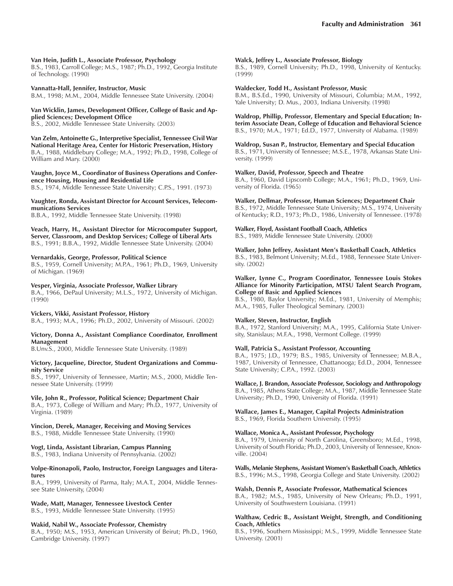### **Van Hein, Judith L., Associate Professor, Psychology**

B.S., 1983, Carroll College; M.S., 1987; Ph.D., 1992, Georgia Institute of Technology. (1990)

### **Vannatta-Hall, Jennifer, Instructor, Music**

B.M., 1998; M.M., 2004, Middle Tennessee State University. (2004)

### **Van Wicklin, James, Development Officer, College of Basic and Applied Sciences; Development Office**

B.S., 2002, Middle Tennessee State University. (2003)

**Van Zelm, Antoinette G., Interpretive Specialist, Tennessee Civil War National Heritage Area, Center for Historic Preservation, History** B.A., 1988, Middlebury College; M.A., 1992; Ph.D., 1998, College of William and Mary. (2000)

**Vaughn, Joyce M., Coordinator of Business Operations and Conference Housing, Housing and Residential Life** B.S., 1974, Middle Tennessee State University; C.P.S., 1991. (1973)

### **Vaughter, Ronda, Assistant Director for Account Services, Telecommunications Services**

B.B.A., 1992, Middle Tennessee State University. (1998)

**Veach, Harry, H., Assistant Director for Microcomputer Support, Server, Classroom, and Desktop Services; College of Liberal Arts** B.S., 1991; B.B.A., 1992, Middle Tennessee State University. (2004)

### **Vernardakis, George, Professor, Political Science**

B.S., 1959, Cornell University; M.P.A., 1961; Ph.D., 1969, University of Michigan. (1969)

### **Vesper, Virginia, Associate Professor, Walker Library**

B.A., 1966, DePaul University; M.L.S., 1972, University of Michigan. (1990)

#### **Vickers, Vikki, Assistant Professor, History**

B.A., 1993; M.A., 1996; Ph.D., 2002, University of Missouri. (2002)

#### **Victory, Donna A., Assistant Compliance Coordinator, Enrollment Management**

B.Unv.S., 2000, Middle Tennessee State University. (1989)

#### **Victory, Jacqueline, Director, Student Organizations and Community Service**

B.S., 1997, University of Tennessee, Martin; M.S., 2000, Middle Tennessee State University. (1999)

### **Vile, John R., Professor, Political Science; Department Chair**

B.A., 1973, College of William and Mary; Ph.D., 1977, University of Virginia. (1989)

### **Vincion, Derek, Manager, Receiving and Moving Services**

B.S., 1988, Middle Tennessee State University. (1990)

### **Vogt, Linda, Assistant Librarian, Campus Planning**

B.S., 1983, Indiana University of Pennsylvania. (2002)

#### **Volpe-Rinonapoli, Paolo, Instructor, Foreign Languages and Literatures**

B.A., 1999, University of Parma, Italy; M.A.T., 2004, Middle Tennessee State University, (2004)

#### **Wade, Matt, Manager, Tennessee Livestock Center** B.S., 1993, Middle Tennessee State University. (1995)

### **Wakid, Nabil W., Associate Professor, Chemistry**

B.A., 1950; M.S., 1953, American University of Beirut; Ph.D., 1960, Cambridge University. (1997)

#### **Walck, Jeffrey L., Associate Professor, Biology**

B.S., 1989, Cornell University; Ph.D., 1998, University of Kentucky. (1999)

### **Waldecker, Todd H., Assistant Professor, Music**

B.M., B.S.Ed., 1990, University of Missouri, Columbia; M.M., 1992, Yale University; D. Mus., 2003, Indiana University. (1998)

**Waldrop, Phillip, Professor, Elementary and Special Education; Interim Associate Dean, College of Education and Behavioral Science** B.S., 1970; M.A., 1971; Ed.D., 1977, University of Alabama. (1989)

### **Waldrop, Susan P., Instructor, Elementary and Special Education**

B.S., 1971, University of Tennessee; M.S.E., 1978, Arkansas State University. (1999)

### **Walker, David, Professor, Speech and Theatre**

B.A., 1960, David Lipscomb College; M.A., 1961; Ph.D., 1969, University of Florida. (1965)

### **Walker, Dellmar, Professor, Human Sciences; Department Chair**

B.S., 1972, Middle Tennessee State University; M.S., 1974, University of Kentucky; R.D., 1973; Ph.D., 1986, University of Tennessee. (1978)

### **Walker, Floyd, Assistant Football Coach, Athletics**

B.S., 1989, Middle Tennessee State University. (2000)

### **Walker, John Jeffrey, Assistant Menís Basketball Coach, Athletics**

B.S., 1983, Belmont University; M.Ed., 1988, Tennessee State University. (2002)

### **Walker, Lynne C., Program Coordinator, Tennessee Louis Stokes Alliance for Minority Participation, MTSU Talent Search Program, College of Basic and Applied Sciences**

B.S., 1980, Baylor University; M.Ed., 1981, University of Memphis; M.A., 1985, Fuller Theological Seminary. (2003)

### **Walker, Steven, Instructor, English**

B.A., 1972, Stanford University; M.A., 1995, California State University, Stanislaus; M.F.A., 1998, Vermont College. (1999)

### **Wall, Patricia S., Assistant Professor, Accounting**

B.A., 1975; J.D., 1979; B.S., 1985, University of Tennessee; M.B.A., 1987, University of Tennessee, Chattanooga; Ed.D., 2004, Tennessee State University; C.P.A., 1992. (2003)

### **Wallace, J. Brandon, Associate Professor, Sociology and Anthropology** B.A., 1985, Athens State College; M.A., 1987, Middle Tennessee State

University; Ph.D., 1990, University of Florida. (1991)

### **Wallace, James E., Manager, Capital Projects Administration** B.S., 1969, Florida Southern University. (1995)

### **Wallace, Monica A., Assistant Professor, Psychology**

B.A., 1979, University of North Carolina, Greensboro; M.Ed., 1998, University of South Florida; Ph.D., 2003, University of Tennessee, Knoxville. (2004)

### **Walls, Melanie Stephens, Assistant Womenís Basketball Coach, Athletics**

B.S., 1996; M.S., 1998, Georgia College and State University. (2002)

### **Walsh, Dennis P., Associate Professor, Mathematical Sciences**

B.A., 1982; M.S., 1985, University of New Orleans; Ph.D., 1991, University of Southwestern Louisiana. (1991)

#### **Walthaw, Cedric B., Assistant Weight, Strength, and Conditioning Coach, Athletics**

B.S., 1996, Southern Mississippi; M.S., 1999, Middle Tennessee State University. (2001)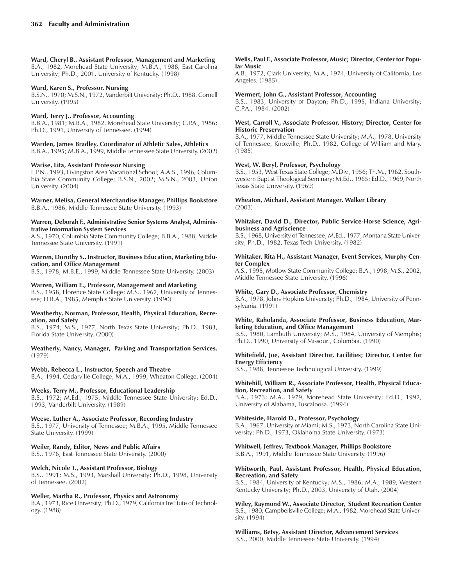### **Ward, Cheryl B., Assistant Professor, Management and Marketing**

B.A., 1982, Morehead State University; M.B.A., 1988, East Carolina University; Ph.D., 2001, University of Kentucky. (1998)

### **Ward, Karen S., Professor, Nursing**

B.S.N., 1970; M.S.N., 1972, Vanderbilt University; Ph.D., 1988, Cornell University. (1995)

### **Ward, Terry J., Professor, Accounting**

B.B.A., 1981; M.B.A., 1982, Morehead State University; C.P.A., 1986; Ph.D., 1991, University of Tennessee. (1994)

### **Warden, James Bradley, Coordinator of Athletic Sales, Athletics**

B.B.A., 1995; M.B.A., 1999, Middle Tennessee State University. (2002)

### **Warise, Lita, Assistant Professor Nursing**

L.P.N., 1993, Livingston Area Vocational School; A.A.S., 1996, Columbia State Community College; B.S.N., 2002; M.S.N., 2003, Union University. (2004)

**Warner, Melisa, General Merchandise Manager, Phillips Bookstore** B.B.A., 1986, Middle Tennessee State University. (1993)

#### **Warren, Deborah F., Administrative Senior Systems Analyst, Administrative Information System Services**

A.S., 1970, Columbia State Community College; B.B.A., 1988, Middle Tennessee State University. (1991)

### **Warren, Dorothy S., Instructor, Business Education, Marketing Education, and Office Management**

B.S., 1978; M.B.E., 1999, Middle Tennessee State University. (2003)

### **Warren, William E., Professor, Management and Marketing**

B.S., 1958, Florence State College; M.S., 1962, University of Tennessee; D.B.A., 1985, Memphis State University. (1990)

#### **Weatherby, Norman, Professor, Health, Physical Education, Recreation, and Safety**

B.S., 1974; M.S., 1977, North Texas State University; Ph.D., 1983, Florida State University. (2000)

**Weatherly, Nancy, Manager, Parking and Transportation Services.** (1979)

# **Webb, Rebecca L., Instructor, Speech and Theatre**

B.A., 1994, Cedarville College; M.A., 1999, Wheaton College. (2004)

### **Weeks, Terry M., Professor, Educational Leadership**

B.S., 1972; M.Ed., 1975, Middle Tennessee State University; Ed.D., 1993, Vanderbilt University. (1989)

#### **Weese, Luther A., Associate Professor, Recording Industry** B.S., 1977, University of Tennessee; M.B.A., 1995, Middle Tennessee State University. (1999)

### **Weiler, Randy, Editor, News and Public Affairs**

B.S., 1976, East Tennessee State University. (2000)

### **Welch, Nicole T., Assistant Professor, Biology**

B.S., 1991; M.S., 1993, Marshall University; Ph.D., 1998, University of Tennessee. (2002)

### **Weller, Martha R., Professor, Physics and Astronomy**

B.A., 1973, Rice University; Ph.D., 1979, California Institute of Technology. (1988)

### **Wells, Paul F., Associate Professor, Music; Director, Center for Popular Music**

A.B., 1972, Clark University; M.A., 1974, University of California, Los Angeles. (1985)

### **Wermert, John G., Assistant Professor, Accounting**

B.S., 1983, University of Dayton; Ph.D., 1995, Indiana University; C.P.A., 1984. (2002)

### **West, Carroll V., Associate Professor, History; Director, Center for Historic Preservation**

B.A., 1977, Middle Tennessee State University; M.A., 1978, University of Tennessee, Knoxville; Ph.D., 1982, College of William and Mary. (1985)

### **West, W. Beryl, Professor, Psychology**

B.S., 1953, West Texas State College; M.Div., 1956; Th.M., 1962, Southwestern Baptist Theological Seminary; M.Ed., 1965; Ed.D., 1969, North Texas State University. (1969)

### **Wheaton, Michael, Assistant Manager, Walker Library** (2003)

### **Whitaker, David D., Director, Public Service-Horse Science, Agribusiness and Agriscience**

B.S., 1968, University of Tennessee; M.Ed., 1977, Montana State University; Ph.D., 1982, Texas Tech University. (1982)

#### **Whitaker, Rita H., Assistant Manager, Event Services, Murphy Center Complex**

A.S., 1995, Motlow State Community College; B.A., 1998; M.S., 2002, Middle Tennessee State University. (1996)

### **White, Gary D., Associate Professor, Chemistry**

B.A., 1978, Johns Hopkins University; Ph.D., 1984, University of Pennsylvania. (1991)

### **White, Raholanda, Associate Professor, Business Education, Marketing Education, and Office Management**

B.S., 1980, Lambuth University; M.S., 1984, University of Memphis; Ph.D., 1990, University of Missouri, Columbia. (1990)

### **Whitefield, Joe, Assistant Director, Facilities; Director, Center for Energy Efficiency**

B.S., 1988, Tennessee Technological University. (1999)

### **Whitehill, William R., Associate Professor, Health, Physical Education, Recreation, and Safety**

B.A., 1973; M.A., 1979, Morehead State University; Ed.D., 1992, University of Alabama, Tuscaloosa. (1994)

### **Whiteside, Harold D., Professor, Psychology**

B.A., 1967, University of Miami; M.S., 1973, North Carolina State University; Ph.D., 1973, Oklahoma State University. (1973)

### **Whitwell, Jeffrey, Textbook Manager, Phillips Bookstore** B.B.A., 1991, Middle Tennessee State University. (1996)

### **Whitworth, Paul, Assistant Professor, Health, Physical Education, Recreation, and Safety**

B.S., 1984, University of Kentucky; M.S., 1986; M.A., 1989, Western Kentucky University; Ph.D., 2003, University of Utah. (2004)

**Wiley, Raymond W., Associate Director, Student Recreation Center** B.S., 1980, Campbellsville College; M.A., 1982, Morehead State University. (1994)

**Williams, Betsy, Assistant Director, Advancement Services** B.S., 2000, Middle Tennessee State University. (1994)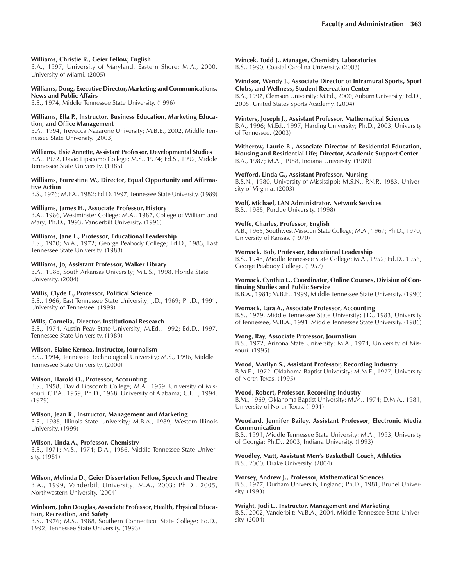### **Williams, Christie R., Geier Fellow, English**

B.A., 1997, University of Maryland, Eastern Shore; M.A., 2000, University of Miami. (2005)

#### **Williams, Doug, Executive Director, Marketing and Communications, News and Public Affairs**

B.S., 1974, Middle Tennessee State University. (1996)

### **Williams, Ella P., Instructor, Business Education, Marketing Education, and Office Management**

B.A., 1994, Trevecca Nazarene University; M.B.E., 2002, Middle Tennessee State University. (2003)

#### **Williams, Elsie Annette, Assistant Professor, Developmental Studies**

B.A., 1972, David Lipscomb College; M.S., 1974; Ed.S., 1992, Middle Tennessee State University. (1985)

**Williams, Forrestine W., Director, Equal Opportunity and Affirmative Action**

B.S., 1976; M.P.A., 1982; Ed.D. 1997, Tennessee State University. (1989)

### **Williams, James H., Associate Professor, History**

B.A., 1986, Westminster College; M.A., 1987, College of William and Mary; Ph.D., 1993, Vanderbilt University. (1996)

### **Williams, Jane L., Professor, Educational Leadership**

B.S., 1970; M.A., 1972; George Peabody College; Ed.D., 1983, East Tennessee State University. (1988)

### **Williams, Jo, Assistant Professor, Walker Library**

B.A., 1988, South Arkansas University; M.L.S., 1998, Florida State University. (2004)

#### **Willis, Clyde E., Professor, Political Science**

B.S., 1966, East Tennessee State University; J.D., 1969; Ph.D., 1991, University of Tennessee. (1999)

#### **Wills, Cornelia, Director, Institutional Research**

B.S., 1974, Austin Peay State University; M.Ed., 1992; Ed.D., 1997, Tennessee State University. (1989)

### **Wilson, Elaine Kernea, Instructor, Journalism**

B.S., 1994, Tennessee Technological University; M.S., 1996, Middle Tennessee State University. (2000)

### **Wilson, Harold O., Professor, Accounting**

B.S., 1958, David Lipscomb College; M.A., 1959, University of Missouri; C.P.A., 1959; Ph.D., 1968, University of Alabama; C.F.E., 1994. (1979)

#### **Wilson, Jean R., Instructor, Management and Marketing**

B.S., 1985, Illinois State University; M.B.A., 1989, Western Illinois University. (1999)

#### **Wilson, Linda A., Professor, Chemistry**

B.S., 1971; M.S., 1974; D.A., 1986, Middle Tennessee State University. (1981)

**Wilson, Melinda D., Geier Dissertation Fellow, Speech and Theatre** B.A., 1999, Vanderbilt University; M.A., 2003; Ph.D., 2005, Northwestern University. (2004)

### **Winborn, John Douglas, Associate Professor, Health, Physical Education, Recreation, and Safety**

B.S., 1976; M.S., 1988, Southern Connecticut State College; Ed.D., 1992, Tennessee State University. (1993)

**Wincek, Todd J., Manager, Chemistry Laboratories** B.S., 1990, Coastal Carolina University. (2003)

### **Windsor, Wendy J., Associate Director of Intramural Sports, Sport Clubs, and Wellness, Student Recreation Center**

B.A., 1997, Clemson University; M.Ed., 2000, Auburn University; Ed.D., 2005, United States Sports Academy. (2004)

#### **Winters, Joseph J., Assistant Professor, Mathematical Sciences**

B.A., 1996; M.Ed., 1997, Harding University; Ph.D., 2003, University of Tennessee. (2003)

**Witherow, Laurie B., Associate Director of Residential Education, Housing and Residential Life; Director, Academic Support Center** B.A., 1987; M.A., 1988, Indiana University. (1989)

### **Wofford, Linda G., Assistant Professor, Nursing**

B.S.N., 1980, University of Mississippi; M.S.N., P.N.P., 1983, University of Virginia. (2003)

### **Wolf, Michael, LAN Administrator, Network Services**

B.S., 1985, Purdue University. (1998)

### **Wolfe, Charles, Professor, English**

A.B., 1965, Southwest Missouri State College; M.A., 1967; Ph.D., 1970, University of Kansas. (1970)

### **Womack, Bob, Professor, Educational Leadership**

B.S., 1948, Middle Tennessee State College; M.A., 1952; Ed.D., 1956, George Peabody College. (1957)

### **Womack, Cynthia L., Coordinator, Online Courses, Division of Continuing Studies and Public Service**

B.B.A., 1981; M.B.E., 1999, Middle Tennessee State University. (1990)

### **Womack, Lara A., Associate Professor, Accounting**

B.S., 1979, Middle Tennessee State University; J.D., 1983, University of Tennessee; M.B.A., 1991, Middle Tennessee State University. (1986)

### **Wong, Ray, Associate Professor, Journalism**

B.S., 1972, Arizona State University; M.A., 1974, University of Missouri. (1995)

### **Wood, Marilyn S., Assistant Professor, Recording Industry**

B.M.E., 1972, Oklahoma Baptist University; M.M.E., 1977, University of North Texas. (1995)

#### **Wood, Robert, Professor, Recording Industry**

B.M., 1969, Oklahoma Baptist University; M.M., 1974; D.M.A., 1981, University of North Texas. (1991)

#### **Woodard, Jennifer Bailey, Assistant Professor, Electronic Media Communication**

B.S., 1991, Middle Tennessee State University; M.A., 1993, University of Georgia; Ph.D., 2003, Indiana University. (1993)

#### **Woodley, Matt, Assistant Menís Basketball Coach, Athletics** B.S., 2000, Drake University. (2004)

### **Worsey, Andrew J., Professor, Mathematical Sciences**

B.S., 1977, Durham University, England; Ph.D., 1981, Brunel University. (1993)

### **Wright, Jodi L., Instructor, Management and Marketing**

B.S., 2002, Vanderbilt; M.B.A., 2004, Middle Tennessee State University. (2004)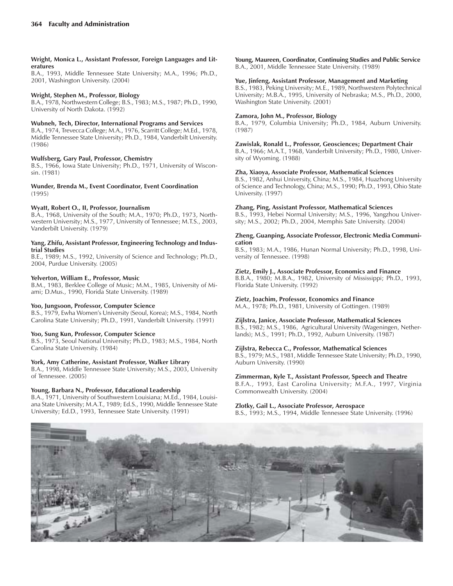### **Wright, Monica L., Assistant Professor, Foreign Languages and Literatures**

B.A., 1993, Middle Tennessee State University; M.A., 1996; Ph.D., 2001, Washington University. (2004)

### **Wright, Stephen M., Professor, Biology**

B.A., 1978, Northwestern College; B.S., 1983; M.S., 1987; Ph.D., 1990, University of North Dakota. (1992)

### **Wubneh, Tech, Director, International Programs and Services**

B.A., 1974, Trevecca College; M.A., 1976, Scarritt College; M.Ed., 1978, Middle Tennessee State University; Ph.D., 1984, Vanderbilt University. (1986)

### **Wulfsberg, Gary Paul, Professor, Chemistry**

B.S., 1966, Iowa State University; Ph.D., 1971, University of Wisconsin. (1981)

**Wunder, Brenda M., Event Coordinator, Event Coordination** (1995)

### **Wyatt, Robert O., II, Professor, Journalism**

B.A., 1968, University of the South; M.A., 1970; Ph.D., 1973, Northwestern University; M.S., 1977, University of Tennessee; M.T.S., 2003, Vanderbilt University. (1979)

#### **Yang, Zhifu, Assistant Professor, Engineering Technology and Industrial Studies**

B.E., 1989; M.S., 1992, University of Science and Technology; Ph.D., 2004, Purdue University. (2005)

### **Yelverton, William E., Professor, Music**

B.M., 1983, Berklee College of Music; M.M., 1985, University of Miami; D.Mus., 1990, Florida State University. (1989)

### **Yoo, Jungsoon, Professor, Computer Science**

B.S., 1979, Ewha Womenís University (Seoul, Korea); M.S., 1984, North Carolina State University; Ph.D., 1991, Vanderbilt University. (1991)

### **Yoo, Sung Kun, Professor, Computer Science**

B.S., 1973, Seoul National University; Ph.D., 1983; M.S., 1984, North Carolina State University. (1984)

### **York, Amy Catherine, Assistant Professor, Walker Library**

B.A., 1998, Middle Tennessee State University; M.S., 2003, University of Tennessee. (2005)

### **Young, Barbara N., Professor, Educational Leadership**

B.A., 1971, University of Southwestern Louisiana; M.Ed., 1984, Louisiana State University; M.A.T., 1989; Ed.S., 1990, Middle Tennessee State University; Ed.D., 1993, Tennessee State University. (1991)

**Young, Maureen, Coordinator, Continuing Studies and Public Service** B.A., 2001, Middle Tennessee State University. (1989)

### **Yue, Jinfeng, Assistant Professor, Management and Marketing**

B.S., 1983, Peking University; M.E., 1989, Northwestern Polytechnical University; M.B.A., 1995, University of Nebraska; M.S., Ph.D., 2000, Washington State University. (2001)

### **Zamora, John M., Professor, Biology**

B.A., 1979, Columbia University; Ph.D., 1984, Auburn University. (1987)

### **Zawislak, Ronald L., Professor, Geosciences; Department Chair**

B.A., 1966; M.A.T., 1968, Vanderbilt University; Ph.D., 1980, University of Wyoming. (1988)

### **Zha, Xiaoya, Associate Professor, Mathematical Sciences**

B.S., 1982, Anhui University, China; M.S., 1984, Huazhong University of Science and Technology, China; M.S., 1990; Ph.D., 1993, Ohio State University. (1997)

### **Zhang, Ping, Assistant Professor, Mathematical Sciences**

B.S., 1993, Hebei Normal University; M.S., 1996, Yangzhou University; M.S., 2002; Ph.D., 2004, Memphis Sate University. (2004)

### **Zheng, Guanping, Associate Professor, Electronic Media Communication**

B.S., 1983; M.A., 1986, Hunan Normal University; Ph.D., 1998, University of Tennessee. (1998)

### **Zietz, Emily J., Associate Professor, Economics and Finance**

B.B.A., 1980; M.B.A., 1982, University of Mississippi; Ph.D., 1993, Florida State University. (1992)

### **Zietz, Joachim, Professor, Economics and Finance**

M.A., 1978; Ph.D., 1981, University of Gottingen. (1989)

### **Zijlstra, Janice, Associate Professor, Mathematical Sciences**

B.S., 1982; M.S., 1986, Agricultural University (Wageningen, Netherlands); M.S., 1991; Ph.D., 1992, Auburn University. (1987)

### **Zijlstra, Rebecca C., Professor, Mathematical Sciences**

B.S., 1979; M.S., 1981, Middle Tennessee State University; Ph.D., 1990, Auburn University. (1990)

### **Zimmerman, Kyle T., Assistant Professor, Speech and Theatre**

B.F.A., 1993, East Carolina University; M.F.A., 1997, Virginia Commonwealth University. (2004)

### **Zlotky, Gail L., Associate Professor, Aerospace**

B.S., 1993; M.S., 1994, Middle Tennessee State University. (1996)

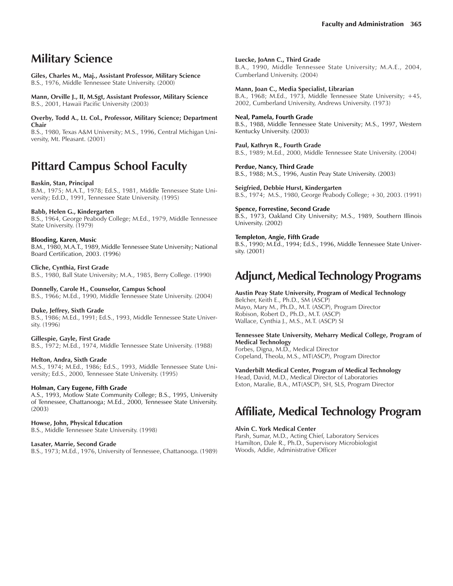# **Military Science**

**Giles, Charles M., Maj., Assistant Professor, Military Science** B.S., 1976, Middle Tennessee State University. (2000)

**Mann, Orville J., II, M.Sgt, Assistant Professor, Military Science** B.S., 2001, Hawaii Pacific University (2003)

**Overby, Todd A., Lt. Col., Professor, Military Science; Department Chair**

B.S., 1980, Texas A&M University; M.S., 1996, Central Michigan University, Mt. Pleasant. (2001)

# **Pittard Campus School Faculty**

### **Baskin, Stan, Principal**

B.M., 1975; M.A.T., 1978; Ed.S., 1981, Middle Tennessee State University; Ed.D., 1991, Tennessee State University. (1995)

### **Babb, Helen G., Kindergarten**

B.S., 1964, George Peabody College; M.Ed., 1979, Middle Tennessee State University. (1979)

### **Blooding, Karen, Music**

B.M., 1980, M.A.T., 1989, Middle Tennessee State University; National Board Certification, 2003. (1996)

### **Cliche, Cynthia, First Grade**

B.S., 1980, Ball State University; M.A., 1985, Berry College. (1990)

### **Donnelly, Carole H., Counselor, Campus School**

B.S., 1966; M.Ed., 1990, Middle Tennessee State University. (2004)

#### **Duke, Jeffrey, Sixth Grade**

B.S., 1986; M.Ed., 1991; Ed.S., 1993, Middle Tennessee State University. (1996)

#### **Gillespie, Gayle, First Grade**

B.S., 1972; M.Ed., 1974, Middle Tennessee State University. (1988)

#### **Helton, Andra, Sixth Grade**

M.S., 1974; M.Ed., 1986; Ed.S., 1993, Middle Tennessee State University; Ed.S., 2000, Tennessee State University. (1995)

#### **Holman, Cary Eugene, Fifth Grade**

A.S., 1993, Motlow State Community College; B.S., 1995, University of Tennessee, Chattanooga; M.Ed., 2000, Tennessee State University. (2003)

#### **Howse, John, Physical Education**

B.S., Middle Tennessee State University. (1998)

#### **Lasater, Marrie, Second Grade**

B.S., 1973; M.Ed., 1976, University of Tennessee, Chattanooga. (1989)

**Luecke, JoAnn C., Third Grade**

B.A., 1990, Middle Tennessee State University; M.A.E., 2004, Cumberland University. (2004)

#### **Mann, Joan C., Media Specialist, Librarian**

B.A., 1968; M.Ed., 1973, Middle Tennessee State University; +45, 2002, Cumberland University, Andrews University. (1973)

### **Neal, Pamela, Fourth Grade**

B.S., 1988, Middle Tennessee State University; M.S., 1997, Western Kentucky University. (2003)

**Paul, Kathryn R., Fourth Grade** B.S., 1989; M.Ed., 2000, Middle Tennessee State University. (2004)

**Perdue, Nancy, Third Grade** B.S., 1988; M.S., 1996, Austin Peay State University. (2003)

**Seigfried, Debbie Hurst, Kindergarten** B.S., 1974; M.S., 1980, George Peabody College; +30, 2003. (1991)

**Spence, Forrestine, Second Grade** B.S., 1973, Oakland City University; M.S., 1989, Southern Illinois University. (2002)

### **Templeton, Angie, Fifth Grade** B.S., 1990; M.Ed., 1994; Ed.S., 1996, Middle Tennessee State University. (2001)

# **Adjunct, Medical Technology Programs**

### **Austin Peay State University, Program of Medical Technology** Belcher, Keith E., Ph.D., SM (ASCP) Mayo, Mary M., Ph.D., M.T. (ASCP), Program Director

Robison, Robert D., Ph.D., M.T. (ASCP) Wallace, Cynthia J., M.S., M.T. (ASCP) SI

### **Tennessee State University, Meharry Medical College, Program of Medical Technology**

Forbes, Digna, M.D., Medical Director Copeland, Theola, M.S., MT(ASCP), Program Director

### **Vanderbilt Medical Center, Program of Medical Technology**

Head, David, M.D., Medical Director of Laboratories Exton, Maralie, B.A., MT(ASCP), SH, SLS, Program Director

# **Affiliate, Medical Technology Program**

#### **Alvin C. York Medical Center**

Parsh, Sumar, M.D., Acting Chief, Laboratory Services Hamilton, Dale R., Ph.D., Supervisory Microbiologist Woods, Addie, Administrative Officer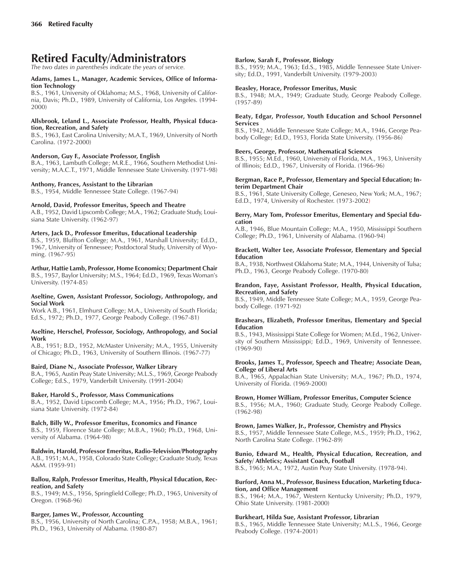# **Retired Faculty/Administrators**

*The two dates in parentheses indicate the years of service.*

#### **Adams, James L., Manager, Academic Services, Office of Information Technology**

B.S., 1961, University of Oklahoma; M.S., 1968, University of California, Davis; Ph.D., 1989, University of California, Los Angeles. (1994- 2000)

### **Allsbrook, Leland L., Associate Professor, Health, Physical Education, Recreation, and Safety**

B.S., 1963, East Carolina University; M.A.T., 1969, University of North Carolina. (1972-2000)

### **Anderson, Guy F., Associate Professor, English**

B.A., 1963, Lambuth College; M.R.E., 1966, Southern Methodist University; M.A.C.T., 1971, Middle Tennessee State University. (1971-98)

### **Anthony, Frances, Assistant to the Librarian**

B.S., 1954, Middle Tennessee State College. (1967-94)

### **Arnold, David, Professor Emeritus, Speech and Theatre**

A.B., 1952, David Lipscomb College; M.A., 1962; Graduate Study, Louisiana State University. (1962-97)

### **Arters, Jack D., Professor Emeritus, Educational Leadership**

B.S., 1959, Bluffton College; M.A., 1961, Marshall University; Ed.D., 1967, University of Tennessee; Postdoctoral Study, University of Wyoming. (1967-95)

**Arthur, Hattie Lamb, Professor, Home Economics; Department Chair** B.S., 1957, Baylor University; M.S., 1964; Ed.D., 1969, Texas Womanís University. (1974-85)

#### **Aseltine, Gwen, Assistant Professor, Sociology, Anthropology, and Social Work**

Work A.B., 1961, Elmhurst College; M.A., University of South Florida; Ed.S., 1972; Ph.D., 1977, George Peabody College. (1967-81)

#### **Aseltine, Herschel, Professor, Sociology, Anthropology, and Social Work**

A.B., 1951; B.D., 1952, McMaster University; M.A., 1955, University of Chicago; Ph.D., 1963, University of Southern Illinois. (1967-77)

### **Baird, Diane N., Associate Professor, Walker Library**

B.A., 1965, Austin Peay State University; M.L.S., 1969, George Peabody College; Ed.S., 1979, Vanderbilt University. (1991-2004)

### **Baker, Harold S., Professor, Mass Communications**

B.A., 1952, David Lipscomb College; M.A., 1956; Ph.D., 1967, Louisiana State University. (1972-84)

### **Balch, Billy W., Professor Emeritus, Economics and Finance**

B.S., 1959, Florence State College; M.B.A., 1960; Ph.D., 1968, University of Alabama. (1964-98)

#### **Baldwin, Harold, Professor Emeritus, Radio-Television/Photography** A.B., 1951; M.A., 1958, Colorado State College; Graduate Study, Texas

A&M. (1959-91)

### **Ballou, Ralph, Professor Emeritus, Health, Physical Education, Recreation, and Safety**

B.S., 1949; M.S., 1956, Springfield College; Ph.D., 1965, University of Oregon. (1968-96)

### **Barger, James W., Professor, Accounting**

B.S., 1956, University of North Carolina; C.P.A., 1958; M.B.A., 1961; Ph.D., 1963, University of Alabama. (1980-87)

### **Barlow, Sarah F., Professor, Biology**

B.S., 1959; M.A., 1963; Ed.S., 1985, Middle Tennessee State University; Ed.D., 1991, Vanderbilt University. (1979-2003)

### **Beasley, Horace, Professor Emeritus, Music**

B.S., 1948; M.A., 1949; Graduate Study, George Peabody College. (1957-89)

### **Beaty, Edgar, Professor, Youth Education and School Personnel Services**

B.S., 1942, Middle Tennessee State College; M.A., 1946, George Peabody College; Ed.D., 1953, Florida State University. (1956-86)

### **Beers, George, Professor, Mathematical Sciences**

B.S., 1955; M.Ed., 1960, University of Florida, M.A., 1963, University of Illinois; Ed.D., 1967, University of Florida. (1966-96)

#### **Bergman, Race P., Professor, Elementary and Special Education; Interim Department Chair**

B.S., 1961, State University College, Geneseo, New York; M.A., 1967; Ed.D., 1974, University of Rochester. (1973-2002)

### **Berry, Mary Tom, Professor Emeritus, Elementary and Special Education**

A.B., 1946, Blue Mountain College; M.A., 1950, Mississippi Southern College; Ph.D., 1961, University of Alabama. (1960-94)

### **Brackett, Walter Lee, Associate Professor, Elementary and Special Education**

B.A., 1938, Northwest Oklahoma State; M.A., 1944, University of Tulsa; Ph.D., 1963, George Peabody College. (1970-80)

### **Brandon, Faye, Assistant Professor, Health, Physical Education, Recreation, and Safety**

B.S., 1949, Middle Tennessee State College; M.A., 1959, George Peabody College. (1971-92)

### **Brashears, Elizabeth, Professor Emeritus, Elementary and Special Education**

B.S., 1943, Mississippi State College for Women; M.Ed., 1962, University of Southern Mississippi; Ed.D., 1969, University of Tennessee. (1969-90)

### **Brooks, James T., Professor, Speech and Theatre; Associate Dean, College of Liberal Arts**

B.A., 1965, Appalachian State University; M.A., 1967; Ph.D., 1974, University of Florida. (1969-2000)

### **Brown, Homer William, Professor Emeritus, Computer Science**

B.S., 1956; M.A., 1960; Graduate Study, George Peabody College. (1962-98)

### **Brown, James Walker, Jr., Professor, Chemistry and Physics**

B.S., 1957, Middle Tennessee State College, M.S., 1959; Ph.D., 1962, North Carolina State College. (1962-89)

### **Bunio, Edward M., Health, Physical Education, Recreation, and Safety/ Athletics; Assistant Coach, Football**

B.S., 1965; M.A., 1972, Austin Peay State University. (1978-94).

### **Burford, Anna M., Professor, Business Education, Marketing Education, and Office Management**

B.S., 1964; M.A., 1967, Western Kentucky University; Ph.D., 1979, Ohio State University. (1981-2000)

### **Burkheart, Hilda Sue, Assistant Professor, Librarian**

B.S., 1965, Middle Tennessee State University; M.L.S., 1966, George Peabody College. (1974-2001)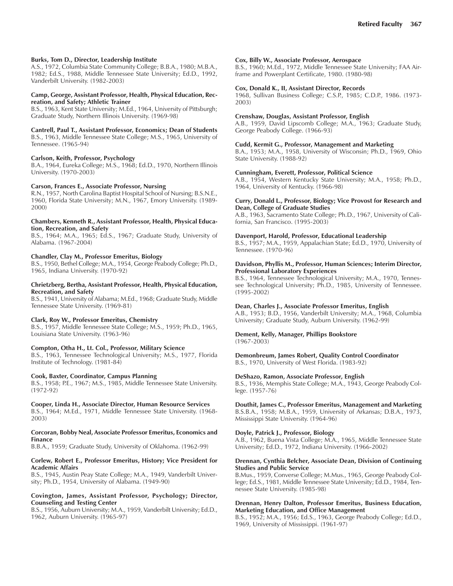### **Burks, Tom D., Director, Leadership Institute**

A.S., 1972, Columbia State Community College; B.B.A., 1980; M.B.A., 1982; Ed.S., 1988, Middle Tennessee State University; Ed.D., 1992, Vanderbilt University. (1982-2003)

#### **Camp, George, Assistant Professor, Health, Physical Education, Recreation, and Safety; Athletic Trainer**

B.S., 1963, Kent State University; M.Ed., 1964, University of Pittsburgh; Graduate Study, Northern Illinois University. (1969-98)

**Cantrell, Paul T., Assistant Professor, Economics; Dean of Students** B.S., 1963, Middle Tennessee State College; M.S., 1965, University of Tennessee. (1965-94)

### **Carlson, Keith, Professor, Psychology**

B.A., 1964, Eureka College; M.S., 1968; Ed.D., 1970, Northern Illinois University. (1970-2003)

#### **Carson, Frances E., Associate Professor, Nursing**

R.N., 1957, North Carolina Baptist Hospital School of Nursing; B.S.N.E., 1960, Florida State University; M.N., 1967, Emory University. (1989- 2000)

#### **Chambers, Kenneth R., Assistant Professor, Health, Physical Education, Recreation, and Safety**

B.S., 1964; M.A., 1965; Ed.S., 1967; Graduate Study, University of Alabama. (1967-2004)

### **Chandler, Clay M., Professor Emeritus, Biology**

B.S., 1950, Bethel College; M.A., 1954, George Peabody College; Ph.D., 1965, Indiana University. (1970-92)

#### **Chrietzberg, Bertha, Assistant Professor, Health, Physical Education, Recreation, and Safety**

B.S., 1941, University of Alabama; M.Ed., 1968; Graduate Study, Middle Tennessee State University. (1969-81)

#### **Clark, Roy W., Professor Emeritus, Chemistry**

B.S., 1957, Middle Tennessee State College; M.S., 1959; Ph.D., 1965, Louisiana State University. (1963-96)

### **Compton, Otha H., Lt. Col., Professor, Military Science**

B.S., 1963, Tennessee Technological University; M.S., 1977, Florida Institute of Technology. (1981-84)

### **Cook, Baxter, Coordinator, Campus Planning**

B.S., 1958; P.E., 1967; M.S., 1985, Middle Tennessee State University. (1972-92)

### **Cooper, Linda H., Associate Director, Human Resource Services**

B.S., 1964; M.Ed., 1971, Middle Tennessee State University. (1968- 2003)

#### **Corcoran, Bobby Neal, Associate Professor Emeritus, Economics and Finance**

B.B.A., 1959; Graduate Study, University of Oklahoma. (1962-99)

#### **Corlew, Robert E., Professor Emeritus, History; Vice President for Academic Affairs**

B.S., 1945, Austin Peay State College; M.A., 1949, Vanderbilt University; Ph.D., 1954, University of Alabama. (1949-90)

### **Covington, James, Assistant Professor, Psychology; Director, Counseling and Testing Center**

B.S., 1956, Auburn University; M.A., 1959, Vanderbilt University; Ed.D., 1962, Auburn University. (1965-97)

#### **Cox, Billy W., Associate Professor, Aerospace**

B.S., 1960; M.Ed., 1972, Middle Tennessee State University; FAA Airframe and Powerplant Certificate, 1980. (1980-98)

#### **Cox, Donald K., II, Assistant Director, Records**

1968, Sullivan Business College; C.S.P., 1985; C.D.P., 1986. (1973- 2003)

#### **Crenshaw, Douglas, Assistant Professor, English**

A.B., 1959, David Lipscomb College; M.A., 1963; Graduate Study, George Peabody College. (1966-93)

### **Cudd, Kermit G., Professor, Management and Marketing**

B.A., 1953; M.A., 1958, University of Wisconsin; Ph.D., 1969, Ohio State University. (1988-92)

### **Cunningham, Everett, Professor, Political Science**

A.B., 1954, Western Kentucky State University; M.A., 1958; Ph.D., 1964, University of Kentucky. (1966-98)

#### **Curry, Donald L., Professor, Biology; Vice Provost for Research and Dean, College of Graduate Studies**

A.B., 1963, Sacramento State College; Ph.D., 1967, University of California, San Francisco. (1995-2003)

### **Davenport, Harold, Professor, Educational Leadership**

B.S., 1957; M.A., 1959, Appalachian State; Ed.D., 1970, University of Tennessee. (1970-96)

### **Davidson, Phyllis M., Professor, Human Sciences; Interim Director, Professional Laboratory Experiences**

B.S., 1964, Tennessee Technological University; M.A., 1970, Tennessee Technological University; Ph.D., 1985, University of Tennessee. (1995-2002)

### **Dean, Charles J., Associate Professor Emeritus, English**

A.B., 1953; B.D., 1956, Vanderbilt University; M.A., 1968, Columbia University; Graduate Study, Auburn University. (1962-99)

### **Dement, Kelly, Manager, Phillips Bookstore**

(1967-2003)

### **Demonbreum, James Robert, Quality Control Coordinator** B.S., 1970, University of West Florida. (1983-92)

### **DeShazo, Ramon, Associate Professor, English**

B.S., 1936, Memphis State College; M.A., 1943, George Peabody College. (1957-76)

### **Douthit, James C., Professor Emeritus, Management and Marketing**

B.S.B.A., 1958; M.B.A., 1959, University of Arkansas; D.B.A., 1973, Mississippi State University. (1964-96)

### **Doyle, Patrick J., Professor, Biology**

A.B., 1962, Buena Vista College; M.A., 1965, Middle Tennessee State University; Ed.D., 1972, Indiana University. (1966-2002)

#### **Drennan, Cynthia Belcher, Associate Dean, Division of Continuing Studies and Public Service**

B.Mus., 1959, Converse College; M.Mus., 1965, George Peabody College; Ed.S., 1981, Middle Tennessee State University; Ed.D., 1984, Tennessee State University. (1985-98)

#### **Drennan, Henry Dalton, Professor Emeritus, Business Education, Marketing Education, and Office Management**

B.S., 1952; M.A., 1956; Ed.S., 1963, George Peabody College; Ed.D., 1969, University of Mississippi. (1961-97)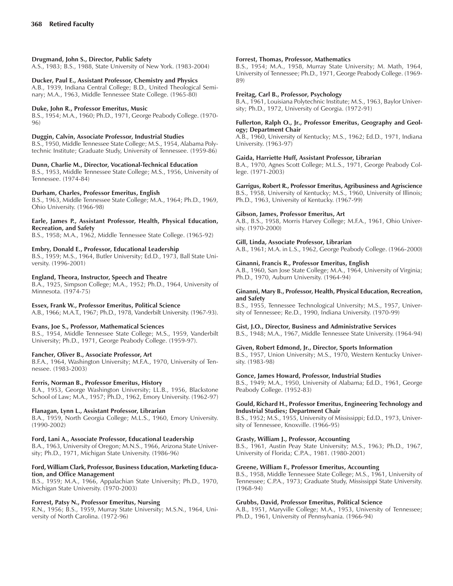### **Drugmand, John S., Director, Public Safety**

A.S., 1983; B.S., 1988, State University of New York. (1983-2004)

### **Ducker, Paul E., Assistant Professor, Chemistry and Physics**

A.B., 1939, Indiana Central College; B.D., United Theological Seminary; M.A., 1963, Middle Tennessee State College. (1965-80)

### **Duke, John R., Professor Emeritus, Music**

B.S., 1954; M.A., 1960; Ph.D., 1971, George Peabody College. (1970- 96)

### **Duggin, Calvin, Associate Professor, Industrial Studies**

B.S., 1950, Middle Tennessee State College; M.S., 1954, Alabama Polytechnic Institute; Graduate Study, University of Tennessee. (1959-86)

### **Dunn, Charlie M., Director, Vocational-Technical Education**

B.S., 1953, Middle Tennessee State College; M.S., 1956, University of Tennessee. (1974-84)

### **Durham, Charles, Professor Emeritus, English**

B.S., 1963, Middle Tennessee State College; M.A., 1964; Ph.D., 1969, Ohio University. (1966-98)

#### **Earle, James P., Assistant Professor, Health, Physical Education, Recreation, and Safety**

B.S., 1958; M.A., 1962, Middle Tennessee State College. (1965-92)

### **Embry, Donald E., Professor, Educational Leadership**

B.S., 1959; M.S., 1964, Butler University; Ed.D., 1973, Ball State University. (1996-2001)

### **England, Theora, Instructor, Speech and Theatre**

B.A., 1925, Simpson College; M.A., 1952; Ph.D., 1964, University of Minnesota. (1974-75)

### **Essex, Frank W., Professor Emeritus, Political Science**

A.B., 1966; M.A.T., 1967; Ph.D., 1978, Vanderbilt University. (1967-93).

### **Evans, Joe S., Professor, Mathematical Sciences**

B.S., 1954, Middle Tennessee State College; M.S., 1959, Vanderbilt University; Ph.D., 1971, George Peabody College. (1959-97).

### **Fancher, Oliver B., Associate Professor, Art**

B.F.A., 1964, Washington University; M.F.A., 1970, University of Tennessee. (1983-2003)

### **Ferris, Norman B., Professor Emeritus, History**

B.A., 1953, George Washington University; LL.B., 1956, Blackstone School of Law; M.A., 1957; Ph.D., 1962, Emory University. (1962-97)

### **Flanagan, Lynn L., Assistant Professor, Librarian**

B.A., 1959, North Georgia College; M.L.S., 1960, Emory University. (1990-2002)

### **Ford, Lani A., Associate Professor, Educational Leadership**

B.A., 1963, University of Oregon; M.N.S., 1966, Arizona State University; Ph.D., 1971, Michigan State University. (1986-96)

### **Ford, William Clark, Professor, Business Education, Marketing Education, and Office Management**

B.S., 1959; M.A., 1966, Appalachian State University; Ph.D., 1970, Michigan State University. (1970-2003)

### **Forrest, Patsy N., Professor Emeritus, Nursing**

R.N., 1956; B.S., 1959, Murray State University; M.S.N., 1964, University of North Carolina. (1972-96)

### **Forrest, Thomas, Professor, Mathematics**

B.S., 1954; M.A., 1958, Murray State University; M. Math, 1964, University of Tennessee; Ph.D., 1971, George Peabody College. (1969- 89)

### **Freitag, Carl B., Professor, Psychology**

B.A., 1961, Louisiana Polytechnic Institute; M.S., 1963, Baylor University; Ph.D., 1972, University of Georgia. (1972-91)

### **Fullerton, Ralph O., Jr., Professor Emeritus, Geography and Geology; Department Chair**

A.B., 1960, University of Kentucky; M.S., 1962; Ed.D., 1971, Indiana University. (1963-97)

### **Gaida, Harriette Huff, Assistant Professor, Librarian**

B.A., 1970, Agnes Scott College; M.L.S., 1971, George Peabody College. (1971-2003)

**Garrigus, Robert R., Professor Emeritus, Agribusiness and Agriscience**

B.S., 1958, University of Kentucky; M.S., 1960, University of Illinois; Ph.D., 1963, University of Kentucky. (1967-99)

### **Gibson, James, Professor Emeritus, Art**

A.B., B.S., 1958, Morris Harvey College; M.F.A., 1961, Ohio University. (1970-2000)

### **Gill, Linda, Associate Professor, Librarian**

A.B., 1961; M.A. in L.S., 1962, George Peabody College. (1966-2000)

### **Ginanni, Francis R., Professor Emeritus, English**

A.B., 1960, San Jose State College; M.A., 1964, University of Virginia; Ph.D., 1970, Auburn University. (1964-94)

### **Ginanni, Mary B., Professor, Health, Physical Education, Recreation, and Safety**

B.S., 1955, Tennessee Technological University; M.S., 1957, University of Tennessee; Re.D., 1990, Indiana University. (1970-99)

### **Gist, J.O., Director, Business and Administrative Services**

B.S., 1948; M.A., 1967, Middle Tennessee State University. (1964-94)

### **Given, Robert Edmond, Jr., Director, Sports Information**

B.S., 1957, Union University; M.S., 1970, Western Kentucky University. (1983-98)

### **Gonce, James Howard, Professor, Industrial Studies**

B.S., 1949; M.A., 1950, University of Alabama; Ed.D., 1961, George Peabody College. (1952-83)

### **Gould, Richard H., Professor Emeritus, Engineering Technology and Industrial Studies; Department Chair**

B.S., 1952; M.S., 1955, University of Mississippi; Ed.D., 1973, University of Tennessee, Knoxville. (1966-95)

### **Grasty, William J., Professor, Accounting**

B.S., 1961, Austin Peay State University; M.S., 1963; Ph.D., 1967, University of Florida; C.P.A., 1981. (1980-2001)

### **Greene, William F., Professor Emeritus, Accounting**

B.S., 1958, Middle Tennessee State College; M.S., 1961, University of Tennessee; C.P.A., 1973; Graduate Study, Mississippi State University. (1968-94)

### **Grubbs, David, Professor Emeritus, Political Science**

A.B., 1951, Maryville College; M.A., 1953, University of Tennessee; Ph.D., 1961, University of Pennsylvania. (1966-94)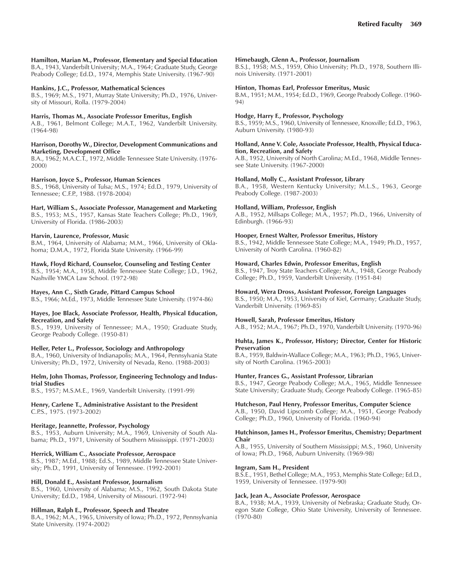### **Hamilton, Marian M., Professor, Elementary and Special Education**

B.A., 1943, Vanderbilt University; M.A., 1964; Graduate Study, George Peabody College; Ed.D., 1974, Memphis State University. (1967-90)

### **Hankins, J.C., Professor, Mathematical Sciences**

B.S., 1969; M.S., 1971, Murray State University; Ph.D., 1976, University of Missouri, Rolla. (1979-2004)

### **Harris, Thomas M., Associate Professor Emeritus, English**

A.B., 1961, Belmont College; M.A.T., 1962, Vanderbilt University. (1964-98)

#### **Harrison, Dorothy W., Director, Development Communications and Marketing, Development Office**

B.A., 1962; M.A.C.T., 1972, Middle Tennessee State University. (1976- 2000)

### **Harrison, Joyce S., Professor, Human Sciences**

B.S., 1968, University of Tulsa; M.S., 1974; Ed.D., 1979, University of Tennessee; C.F.P., 1988. (1978-2004)

### **Hart, William S., Associate Professor, Management and Marketing**

B.S., 1953; M.S., 1957, Kansas State Teachers College; Ph.D., 1969, University of Florida. (1986-2003)

### **Harvin, Laurence, Professor, Music**

B.M., 1964, University of Alabama; M.M., 1966, University of Oklahoma; D.M.A., 1972, Florida State University. (1966-99)

### **Hawk, Floyd Richard, Counselor, Counseling and Testing Center**

B.S., 1954; M.A., 1958, Middle Tennessee State College; J.D., 1962, Nashville YMCA Law School. (1972-98)

### **Hayes, Ann C., Sixth Grade, Pittard Campus School**

B.S., 1966; M.Ed., 1973, Middle Tennessee State University. (1974-86)

### **Hayes, Joe Black, Associate Professor, Health, Physical Education, Recreation, and Safety**

B.S., 1939, University of Tennessee; M.A., 1950; Graduate Study, George Peabody College. (1950-81)

### **Heller, Peter L., Professor, Sociology and Anthropology**

B.A., 1960, University of Indianapolis; M.A., 1964, Pennsylvania State University; Ph.D., 1972, University of Nevada, Reno. (1988-2003)

### **Helm, John Thomas, Professor, Engineering Technology and Industrial Studies**

B.S., 1957; M.S.M.E., 1969, Vanderbilt University. (1991-99)

### **Henry, Carlene T., Administrative Assistant to the President** C.P.S., 1975. (1973-2002)

### **Heritage, Jeannette, Professor, Psychology**

B.S., 1953, Auburn University; M.A., 1969, University of South Alabama; Ph.D., 1971, University of Southern Mississippi. (1971-2003)

### **Herrick, William C., Associate Professor, Aerospace**

B.S., 1987; M.Ed., 1988; Ed.S., 1989, Middle Tennessee State University; Ph.D., 1991, University of Tennessee. (1992-2001)

### **Hill, Donald E., Assistant Professor, Journalism**

B.S., 1960, University of Alabama; M.S., 1962, South Dakota State University; Ed.D., 1984, University of Missouri. (1972-94)

### **Hillman, Ralph E., Professor, Speech and Theatre**

B.A., 1962; M.A., 1965, University of Iowa; Ph.D., 1972, Pennsylvania State University. (1974-2002)

### **Himebaugh, Glenn A., Professor, Journalism**

B.S.J., 1958; M.S., 1959, Ohio University; Ph.D., 1978, Southern Illinois University. (1971-2001)

### **Hinton, Thomas Earl, Professor Emeritus, Music**

B.M., 1951; M.M., 1954; Ed.D., 1969, George Peabody College. (1960- 94)

### **Hodge, Harry F., Professor, Psychology**

B.S., 1959; M.S., 1960, University of Tennessee, Knoxville; Ed.D., 1963, Auburn University. (1980-93)

#### **Holland, Anne V. Cole, Associate Professor, Health, Physical Education, Recreation, and Safety**

A.B., 1952, University of North Carolina; M.Ed., 1968, Middle Tennessee State University. (1967-2000)

### **Holland, Molly C., Assistant Professor, Library**

B.A., 1958, Western Kentucky University; M.L.S., 1963, George Peabody College. (1987-2003)

### **Holland, William, Professor, English**

A.B., 1952, Millsaps College; M.A., 1957; Ph.D., 1966, University of Edinburgh. (1966-93)

### **Hooper, Ernest Walter, Professor Emeritus, History**

B.S., 1942, Middle Tennessee State College; M.A., 1949; Ph.D., 1957, University of North Carolina. (1960-82)

### **Howard, Charles Edwin, Professor Emeritus, English**

B.S., 1947, Troy State Teachers College; M.A., 1948, George Peabody College; Ph.D., 1959, Vanderbilt University. (1951-84)

### **Howard, Wera Dross, Assistant Professor, Foreign Languages**

B.S., 1950; M.A., 1953, University of Kiel, Germany; Graduate Study, Vanderbilt University. (1969-85)

### **Howell, Sarah, Professor Emeritus, History**

A.B., 1952; M.A., 1967; Ph.D., 1970, Vanderbilt University. (1970-96)

#### **Huhta, James K., Professor, History; Director, Center for Historic Preservation**

B.A., 1959, Baldwin-Wallace College; M.A., 1963; Ph.D., 1965, University of North Carolina. (1965-2003)

### **Hunter, Frances G., Assistant Professor, Librarian**

B.S., 1947, George Peabody College; M.A., 1965, Middle Tennessee State University; Graduate Study, George Peabody College. (1965-85)

### **Hutcheson, Paul Henry, Professor Emeritus, Computer Science**

A.B., 1950, David Lipscomb College; M.A., 1951, George Peabody College; Ph.D., 1960, University of Florida. (1960-94)

#### **Hutchinson, James H., Professor Emeritus, Chemistry; Department Chair**

A.B., 1955, University of Southern Mississippi; M.S., 1960, University of Iowa; Ph.D., 1968, Auburn University. (1969-98)

### **Ingram, Sam H., President**

B.S.E., 1951, Bethel College; M.A., 1953, Memphis State College; Ed.D., 1959, University of Tennessee. (1979-90)

### **Jack, Jean A., Associate Professor, Aerospace**

B.A., 1938; M.A., 1939, University of Nebraska; Graduate Study, Oregon State College, Ohio State University, University of Tennessee. (1970-80)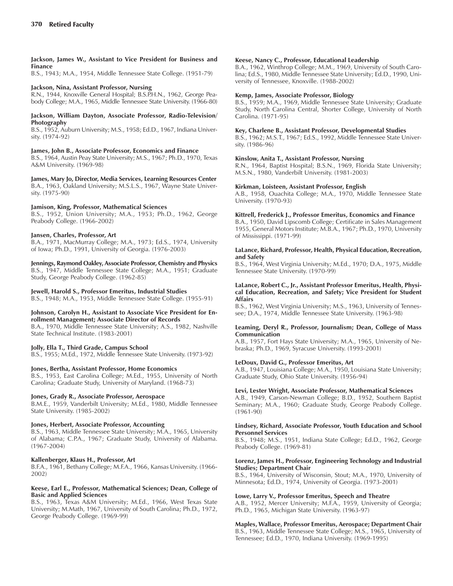### **Jackson, James W., Assistant to Vice President for Business and Finance**

B.S., 1943; M.A., 1954, Middle Tennessee State College. (1951-79)

### **Jackson, Nina, Assistant Professor, Nursing**

R.N., 1944, Knoxville General Hospital; B.S.P.H.N., 1962, George Peabody College; M.A., 1965, Middle Tennessee State University. (1966-80)

### **Jackson, William Dayton, Associate Professor, Radio-Television/ Photography**

B.S., 1952, Auburn University; M.S., 1958; Ed.D., 1967, Indiana University. (1974-92)

### **James, John B., Associate Professor, Economics and Finance**

B.S., 1964, Austin Peay State University; M.S., 1967; Ph.D., 1970, Texas A&M University. (1969-98)

**James, Mary Jo, Director, Media Services, Learning Resources Center** B.A., 1963, Oakland University; M.S.L.S., 1967, Wayne State University. (1975-90)

### **Jamison, King, Professor, Mathematical Sciences**

B.S., 1952, Union University; M.A., 1953; Ph.D., 1962, George Peabody College. (1966-2002)

### **Jansen, Charles, Professor, Art**

B.A., 1971, MacMurray College; M.A., 1973; Ed.S., 1974, University of Iowa; Ph.D., 1991, University of Georgia. (1976-2003)

**Jennings, Raymond Oakley, Associate Professor, Chemistry and Physics** B.S., 1947, Middle Tennessee State College; M.A., 1951; Graduate Study, George Peabody College. (1962-85)

### **Jewell, Harold S., Professor Emeritus, Industrial Studies**

B.S., 1948; M.A., 1953, Middle Tennessee State College. (1955-91)

### **Johnson, Carolyn H., Assistant to Associate Vice President for Enrollment Management; Associate Director of Records**

B.A., 1970, Middle Tennessee State University; A.S., 1982, Nashville State Technical Institute. (1983-2001)

### **Jolly, Ella T., Third Grade, Campus School**

B.S., 1955; M.Ed., 1972, Middle Tennessee State University. (1973-92)

### **Jones, Bertha, Assistant Professor, Home Economics**

B.S., 1953, East Carolina College; M.Ed., 1955, University of North Carolina; Graduate Study, University of Maryland. (1968-73)

### **Jones, Grady R., Associate Professor, Aerospace**

B.M.E., 1959, Vanderbilt University; M.Ed., 1980, Middle Tennessee State University. (1985-2002)

### **Jones, Herbert, Associate Professor, Accounting**

B.S., 1963, Middle Tennessee State University; M.A., 1965, University of Alabama; C.P.A., 1967; Graduate Study, University of Alabama. (1967-2004)

### **Kallenberger, Klaus H., Professor, Art**

B.F.A., 1961, Bethany College; M.F.A., 1966, Kansas University. (1966- 2002)

### **Keese, Earl E., Professor, Mathematical Sciences; Dean, College of Basic and Applied Sciences**

B.S., 1963, Texas A&M University; M.Ed., 1966, West Texas State University; M.Math, 1967, University of South Carolina; Ph.D., 1972, George Peabody College. (1969-99)

### **Keese, Nancy C., Professor, Educational Leadership**

B.A., 1962, Winthrop College; M.M., 1969, University of South Carolina; Ed.S., 1980, Middle Tennessee State University; Ed.D., 1990, University of Tennessee, Knoxville. (1988-2002)

### **Kemp, James, Associate Professor, Biology**

B.S., 1959; M.A., 1969, Middle Tennessee State University; Graduate Study, North Carolina Central, Shorter College, University of North Carolina. (1971-95)

### **Key, Charlene B., Assistant Professor, Developmental Studies**

B.S., 1962; M.S.T., 1967; Ed.S., 1992, Middle Tennessee State University. (1986-96)

### **Kinslow, Anita T., Assistant Professor, Nursing**

R.N., 1964, Baptist Hospital; B.S.N., 1969, Florida State University; M.S.N., 1980, Vanderbilt University. (1981-2003)

### **Kirkman, Loisteen, Assistant Professor, English**

A.B., 1958, Ouachita College; M.A., 1970, Middle Tennessee State University. (1970-93)

### **Kittrell, Frederick J., Professor Emeritus, Economics and Finance**

B.A., 1950, David Lipscomb College; Certificate in Sales Management 1955, General Motors Institute; M.B.A., 1967; Ph.D., 1970, University of Mississippi. (1971-99)

### **LaLance, Richard, Professor, Health, Physical Education, Recreation, and Safety**

B.S., 1964, West Virginia University; M.Ed., 1970; D.A., 1975, Middle Tennessee State University. (1970-99)

#### **LaLance, Robert C., Jr., Assistant Professor Emeritus, Health, Physical Education, Recreation, and Safety; Vice President for Student Affairs**

B.S., 1962, West Virginia University; M.S., 1963, University of Tennessee; D.A., 1974, Middle Tennessee State University. (1963-98)

### **Leaming, Deryl R., Professor, Journalism; Dean, College of Mass Communication**

A.B., 1957, Fort Hays State University; M.A., 1965, University of Nebraska; Ph.D., 1969, Syracuse University. (1993-2001)

### **LeDoux, David G., Professor Emeritus, Art**

A.B., 1947, Louisiana College; M.A., 1950, Louisiana State University; Graduate Study, Ohio State University. (1956-94)

### **Levi, Lester Wright, Associate Professor, Mathematical Sciences**

A.B., 1949, Carson-Newman College; B.D., 1952, Southern Baptist Seminary; M.A., 1960; Graduate Study, George Peabody College. (1961-90)

### **Lindsey, Richard, Associate Professor, Youth Education and School Personnel Services**

B.S., 1948; M.S., 1951, Indiana State College; Ed.D., 1962, George Peabody College. (1969-81)

### **Lorenz, James H., Professor, Engineering Technology and Industrial Studies; Department Chair**

B.S., 1964, University of Wisconsin, Stout; M.A., 1970, University of Minnesota; Ed.D., 1974, University of Georgia. (1973-2001)

### **Lowe, Larry V., Professor Emeritus, Speech and Theatre**

A.B., 1952, Mercer University; M.F.A., 1959, University of Georgia; Ph.D., 1965, Michigan State University. (1963-97)

**Maples, Wallace, Professor Emeritus, Aerospace; Department Chair** B.S., 1963, Middle Tennessee State College; M.S., 1965, University of Tennessee; Ed.D., 1970, Indiana University. (1969-1995)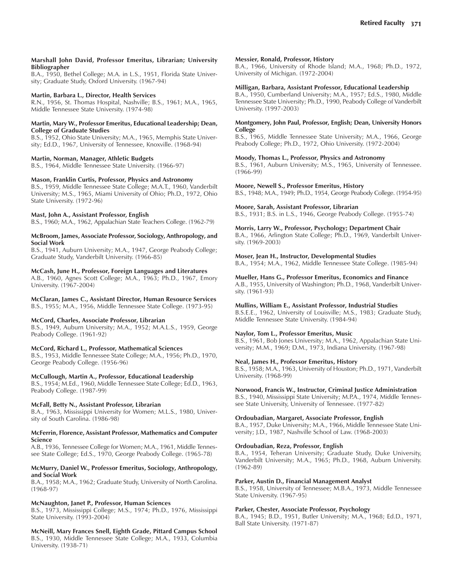#### **Marshall John David, Professor Emeritus, Librarian; University Bibliographer**

B.A., 1950, Bethel College; M.A. in L.S., 1951, Florida State University; Graduate Study, Oxford University. (1967-94)

### **Martin, Barbara L., Director, Health Services**

R.N., 1956, St. Thomas Hospital, Nashville; B.S., 1961; M.A., 1965, Middle Tennessee State University. (1974-98)

#### **Martin, Mary W., Professor Emeritus, Educational Leadership; Dean, College of Graduate Studies**

B.S., 1952, Ohio State University; M.A., 1965, Memphis State University; Ed.D., 1967, University of Tennessee, Knoxville. (1968-94)

### **Martin, Norman, Manager, Athletic Budgets**

B.S., 1964, Middle Tennessee State University. (1966-97)

### **Mason, Franklin Curtis, Professor, Physics and Astronomy**

B.S., 1959, Middle Tennessee State College; M.A.T., 1960, Vanderbilt University; M.S., 1965, Miami University of Ohio; Ph.D., 1972, Ohio State University. (1972-96)

### **Mast, John A., Assistant Professor, English**

B.S., 1960; M.A., 1962, Appalachian State Teachers College. (1962-79)

### **McBroom, James, Associate Professor, Sociology, Anthropology, and Social Work**

B.S., 1941, Auburn University; M.A., 1947, George Peabody College; Graduate Study, Vanderbilt University. (1966-85)

### **McCash, June H., Professor, Foreign Languages and Literatures**

A.B., 1960, Agnes Scott College; M.A., 1963; Ph.D., 1967, Emory University. (1967-2004)

# **McClaran, James C., Assistant Director, Human Resource Services**

B.S., 1955; M.A., 1956, Middle Tennessee State College. (1973-95)

### **McCord, Charles, Associate Professor, Librarian**

B.S., 1949, Auburn University; M.A., 1952; M.A.L.S., 1959, George Peabody College. (1961-92)

### **McCord, Richard L., Professor, Mathematical Sciences**

B.S., 1953, Middle Tennessee State College; M.A., 1956; Ph.D., 1970, George Peabody College. (1956-96)

### **McCullough, Martin A., Professor, Educational Leadership**

B.S., 1954; M.Ed., 1960, Middle Tennessee State College; Ed.D., 1963, Peabody College. (1987-99)

### **McFall, Betty N., Assistant Professor, Librarian**

B.A., 1963, Mississippi University for Women; M.L.S., 1980, University of South Carolina. (1986-98)

#### **McFerrin, Florence, Assistant Professor, Mathematics and Computer Science**

A.B., 1936, Tennessee College for Women; M.A., 1961, Middle Tennessee State College; Ed.S., 1970, George Peabody College. (1965-78)

### **McMurry, Daniel W., Professor Emeritus, Sociology, Anthropology, and Social Work**

B.A., 1958; M.A., 1962; Graduate Study, University of North Carolina. (1968-97)

### **McNaughton, Janet P., Professor, Human Sciences**

B.S., 1973, Mississippi College; M.S., 1974; Ph.D., 1976, Mississippi State University. (1993-2004)

**McNeill, Mary Frances Snell, Eighth Grade, Pittard Campus School** B.S., 1930, Middle Tennessee State College; M.A., 1933, Columbia University. (1938-71)

### **Messier, Ronald, Professor, History**

B.A., 1966, University of Rhode Island; M.A., 1968; Ph.D., 1972, University of Michigan. (1972-2004)

### **Milligan, Barbara, Assistant Professor, Educational Leadership**

B.A., 1950, Cumberland University; M.A., 1957; Ed.S., 1980, Middle Tennessee State University; Ph.D., 1990, Peabody College of Vanderbilt University. (1997-2003)

### **Montgomery, John Paul, Professor, English; Dean, University Honors College**

B.S., 1965, Middle Tennessee State University; M.A., 1966, George Peabody College; Ph.D., 1972, Ohio University. (1972-2004)

### **Moody, Thomas L., Professor, Physics and Astronomy**

B.S., 1961, Auburn University; M.S., 1965, University of Tennessee. (1966-99)

### **Moore, Newell S., Professor Emeritus, History**

B.S., 1948; M.A., 1949; Ph.D., 1954, George Peabody College. (1954-95)

### **Moore, Sarah, Assistant Professor, Librarian**

B.S., 1931; B.S. in L.S., 1946, George Peabody College. (1955-74)

### **Morris, Larry W., Professor, Psychology; Department Chair**

B.A., 1966, Arlington State College; Ph.D., 1969, Vanderbilt University. (1969-2003)

### **Moser, Jean H., Instructor, Developmental Studies**

B.A., 1954; M.A., 1962, Middle Tennessee State College. (1985-94)

### **Mueller, Hans G., Professor Emeritus, Economics and Finance**

A.B., 1955, University of Washington; Ph.D., 1968, Vanderbilt University. (1961-93)

### **Mullins, William E., Assistant Professor, Industrial Studies**

B.S.E.E., 1962, University of Louisville; M.S., 1983; Graduate Study, Middle Tennessee State University. (1984-94)

### **Naylor, Tom L., Professor Emeritus, Music**

B.S., 1961, Bob Jones University; M.A., 1962, Appalachian State University; M.M., 1969; D.M., 1973, Indiana University. (1967-98)

### **Neal, James H., Professor Emeritus, History**

B.S., 1958; M.A., 1963, University of Houston; Ph.D., 1971, Vanderbilt University. (1968-99)

### **Norwood, Francis W., Instructor, Criminal Justice Administration**

B.S., 1940, Mississippi State University; M.P.A., 1974, Middle Tennessee State University, University of Tennessee. (1977-82)

### **Ordoubadian, Margaret, Associate Professor, English**

B.A., 1957, Duke University; M.A., 1966, Middle Tennessee State University; J.D., 1987, Nashville School of Law. (1968-2003)

### **Ordoubadian, Reza, Professor, English**

B.A., 1954, Teheran University; Graduate Study, Duke University, Vanderbilt University; M.A., 1965; Ph.D., 1968, Auburn University. (1962-89)

### **Parker, Austin D., Financial Management Analyst**

B.S., 1958, University of Tennessee; M.B.A., 1973, Middle Tennessee State University. (1967-95)

### **Parker, Chester, Associate Professor, Psychology**

B.A., 1945; B.D., 1951, Butler University; M.A., 1968; Ed.D., 1971, Ball State University. (1971-87)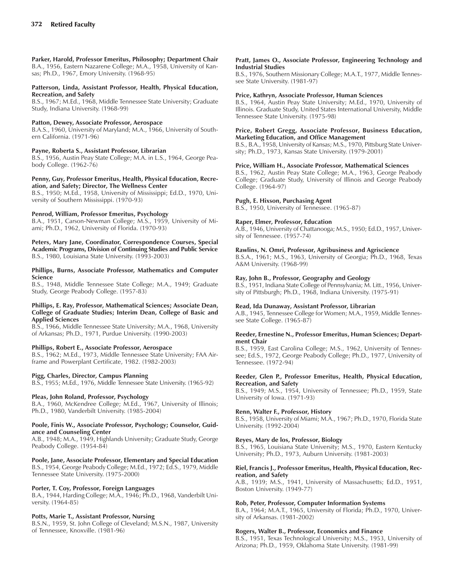**Parker, Harold, Professor Emeritus, Philosophy; Department Chair** B.A., 1956, Eastern Nazarene College; M.A., 1958, University of Kansas; Ph.D., 1967, Emory University. (1968-95)

### **Patterson, Linda, Assistant Professor, Health, Physical Education, Recreation, and Safety**

B.S., 1967; M.Ed., 1968, Middle Tennessee State University; Graduate Study, Indiana University. (1968-99)

### **Patton, Dewey, Associate Professor, Aerospace**

B.A.S., 1960, University of Maryland; M.A., 1966, University of Southern California. (1971-96)

### **Payne, Roberta S., Assistant Professor, Librarian**

B.S., 1956, Austin Peay State College; M.A. in L.S., 1964, George Peabody College. (1962-76)

#### **Penny, Guy, Professor Emeritus, Health, Physical Education, Recreation, and Safety; Director, The Wellness Center**

B.S., 1950; M.Ed., 1958, University of Mississippi; Ed.D., 1970, University of Southern Mississippi. (1970-93)

### **Penrod, William, Professor Emeritus, Psychology**

B.A., 1951, Carson-Newman College; M.S., 1959, University of Miami; Ph.D., 1962, University of Florida. (1970-93)

**Peters, Mary Jane, Coordinator, Correspondence Courses, Special Academic Programs, Division of Continuing Studies and Public Service** B.S., 1980, Louisiana State University. (1993-2003)

#### **Phillips, Burns, Associate Professor, Mathematics and Computer Science**

B.S., 1948, Middle Tennessee State College; M.A., 1949; Graduate Study, George Peabody College. (1957-83)

#### **Phillips, E. Ray, Professor, Mathematical Sciences; Associate Dean, College of Graduate Studies; Interim Dean, College of Basic and Applied Sciences**

B.S., 1966, Middle Tennessee State University; M.A., 1968, University of Arkansas; Ph.D., 1971, Purdue University. (1990-2003)

### **Phillips, Robert E., Associate Professor, Aerospace**

B.S., 1962; M.Ed., 1973, Middle Tennessee State University; FAA Airframe and Powerplant Certificate, 1982. (1982-2003)

### **Pigg, Charles, Director, Campus Planning**

B.S., 1955; M.Ed., 1976, Middle Tennessee State University. (1965-92)

### **Pleas, John Roland, Professor, Psychology**

B.A., 1960, McKendree College; M.Ed., 1967, University of Illinois; Ph.D., 1980, Vanderbilt University. (1985-2004)

#### **Poole, Finis W., Associate Professor, Psychology; Counselor, Guidance and Counseling Center**

A.B., 1948; M.A., 1949, Highlands University; Graduate Study, George Peabody College. (1954-84)

**Poole, Jane, Associate Professor, Elementary and Special Education** B.S., 1954, George Peabody College; M.Ed., 1972; Ed.S., 1979, Middle Tennessee State University. (1975-2000)

### **Porter, T. Coy, Professor, Foreign Languages**

B.A., 1944, Harding College; M.A., 1946; Ph.D., 1968, Vanderbilt University. (1964-85)

### **Potts, Marie T., Assistant Professor, Nursing**

B.S.N., 1959, St. John College of Cleveland; M.S.N., 1987, University of Tennessee, Knoxville. (1981-96)

#### **Pratt, James O., Associate Professor, Engineering Technology and Industrial Studies**

B.S., 1976, Southern Missionary College; M.A.T., 1977, Middle Tennessee State University. (1981-97)

### **Price, Kathryn, Associate Professor, Human Sciences**

B.S., 1964, Austin Peay State University; M.Ed., 1970, University of Illinois. Graduate Study, United States International University, Middle Tennessee State University. (1975-98)

#### **Price, Robert Gregg, Associate Professor, Business Education, Marketing Education, and Office Management**

B.S., B.A., 1958, University of Kansas; M.S., 1970, Pittsburg State University; Ph.D., 1973, Kansas State University. (1979-2001)

### **Price, William H., Associate Professor, Mathematical Sciences**

B.S., 1962, Austin Peay State College; M.A., 1963, George Peabody College; Graduate Study, University of Illinois and George Peabody College. (1964-97)

### **Pugh, E. Hixson, Purchasing Agent**

B.S., 1950, University of Tennessee. (1965-87)

### **Raper, Elmer, Professor, Education**

A.B., 1946, University of Chattanooga; M.S., 1950; Ed.D., 1957, University of Tennessee. (1957-74)

### **Rawlins, N. Omri, Professor, Agribusiness and Agriscience**

B.S.A., 1961; M.S., 1963, University of Georgia; Ph.D., 1968, Texas A&M University. (1968-99)

### **Ray, John B., Professor, Geography and Geology**

B.S., 1951, Indiana State College of Pennsylvania; M. Litt., 1956, University of Pittsburgh; Ph.D., 1968, Indiana University. (1975-91)

### **Read, Ida Dunaway, Assistant Professor, Librarian**

A.B., 1945, Tennessee College for Women; M.A., 1959, Middle Tennessee State College. (1965-87)

#### **Reeder, Ernestine N., Professor Emeritus, Human Sciences; Department Chair**

B.S., 1959, East Carolina College; M.S., 1962, University of Tennessee; Ed.S., 1972, George Peabody College; Ph.D., 1977, University of Tennessee. (1972-94)

#### **Reeder, Glen P., Professor Emeritus, Health, Physical Education, Recreation, and Safety**

B.S., 1949; M.S., 1954, University of Tennessee; Ph.D., 1959, State University of Iowa. (1971-93)

#### **Renn, Walter F., Professor, History**

B.S., 1958, University of Miami; M.A., 1967; Ph.D., 1970, Florida State University. (1992-2004)

### **Reyes, Mary de los, Professor, Biology**

B.S., 1965, Louisiana State University; M.S., 1970, Eastern Kentucky University; Ph.D., 1973, Auburn University. (1981-2003)

#### **Riel, Francis J., Professor Emeritus, Health, Physical Education, Recreation, and Safety**

A.B., 1939; M.S., 1941, University of Massachusetts; Ed.D., 1951, Boston University. (1949-77)

#### **Rob, Peter, Professor, Computer Information Systems**

B.A., 1964; M.A.T., 1965, University of Florida; Ph.D., 1970, University of Arkansas. (1981-2002)

#### **Rogers, Walter B., Professor, Economics and Finance**

B.S., 1951, Texas Technological University; M.S., 1953, University of Arizona; Ph.D., 1959, Oklahoma State University. (1981-99)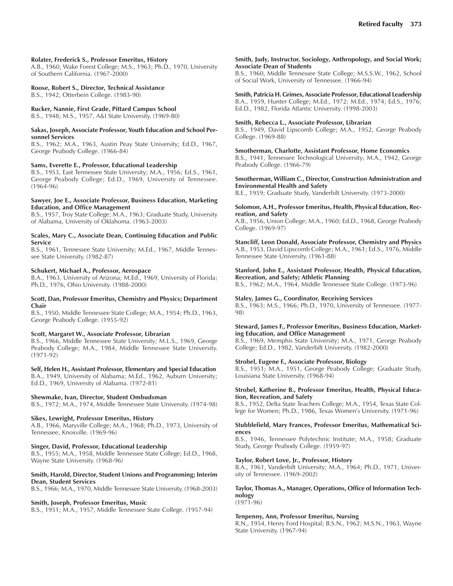#### **Rolater, Frederick S., Professor Emeritus, History**

A.B., 1960, Wake Forest College; M.S., 1963; Ph.D., 1970, University of Southern California. (1967-2000)

#### **Roose, Robert S., Director, Technical Assistance**

B.S., 1942, Otterbein College. (1983-90)

### **Rucker, Nannie, First Grade, Pittard Campus School**

B.S., 1948; M.S., 1957, A&I State University. (1969-80)

#### **Sakas, Joseph, Associate Professor, Youth Education and School Personnel Services**

B.S., 1962; M.A., 1963, Austin Peay State University; Ed.D., 1967, George Peabody College. (1966-84)

#### **Sams, Everette E., Professor, Educational Leadership**

B.S., 1953, East Tennessee State University; M.A., 1956; Ed.S., 1961, George Peabody College; Ed.D., 1969, University of Tennessee. (1964-96)

#### **Sawyer, Joe E., Associate Professor, Business Education, Marketing Education, and Office Management**

B.S., 1957, Troy State College; M.A., 1963; Graduate Study, University of Alabama, University of Oklahoma. (1963-2003)

#### **Scales, Mary C., Associate Dean, Continuing Education and Public Service**

B.S., 1961, Tennessee State University; M.Ed., 1967, Middle Tennessee State University. (1982-87)

#### **Schukert, Michael A., Professor, Aerospace**

B.A., 1963, University of Arizona; M.Ed., 1969, University of Florida; Ph.D., 1976, Ohio University. (1988-2000)

#### **Scott, Dan, Professor Emeritus, Chemistry and Physics; Department Chair**

B.S., 1950, Middle Tennessee State College; M.A., 1954; Ph.D., 1963, George Peabody College. (1955-92)

#### **Scott, Margaret W., Associate Professor, Librarian**

B.S., 1966, Middle Tennessee State University; M.L.S., 1969, George Peabody College; M.A., 1984, Middle Tennessee State University. (1971-92)

#### **Self, Helen H., Assistant Professor, Elementary and Special Education**

B.A., 1949, University of Alabama; M.Ed., 1962, Auburn University; Ed.D., 1969, University of Alabama. (1972-81)

#### **Shewmake, Ivan, Director, Student Ombudsman**

B.S., 1972; M.A., 1974, Middle Tennessee State University. (1974-98)

### **Sikes, Lewright, Professor Emeritus, History**

A.B., 1966, Maryville College; M.A., 1968; Ph.D., 1973, University of Tennessee, Knoxville. (1969-96)

#### **Singer, David, Professor, Educational Leadership**

B.S., 1955; M.A., 1958, Middle Tennessee State College; Ed.D., 1968, Wayne State University. (1968-96)

#### **Smith, Harold, Director, Student Unions and Programming; Interim Dean, Student Services**

B.S., 1966; M.A., 1970, Middle Tennessee State University. (1968-2003)

#### **Smith, Joseph, Professor Emeritus, Music**

B.S., 1951; M.A., 1957, Middle Tennessee State College. (1957-94)

#### **Smith, Judy, Instructor, Sociology, Anthropology, and Social Work; Associate Dean of Students**

B.S., 1960, Middle Tennessee State College; M.S.S.W., 1962, School of Social Work, University of Tennessee. (1966-94)

### **Smith, Patricia H. Grimes, Associate Professor, Educational Leadership**

B.A., 1959, Hunter College; M.Ed., 1972; M.Ed., 1974; Ed.S., 1976; Ed.D., 1982, Florida Atlantic University. (1998-2003)

#### **Smith, Rebecca L., Associate Professor, Librarian**

B.S., 1949, David Lipscomb College; M.A., 1952, George Peabody College. (1969-88)

#### **Smotherman, Charlotte, Assistant Professor, Home Economics**

B.S., 1941, Tennessee Technological University; M.A., 1942, George Peabody College. (1966-79)

#### **Smotherman, William C., Director, Construction Administration and Environmental Health and Safety**

B.E., 1959; Graduate Study, Vanderbilt University. (1973-2000)

#### **Solomon, A.H., Professor Emeritus, Health, Physical Education, Recreation, and Safety**

A.B., 1956, Union College; M.A., 1960; Ed.D., 1968, George Peabody College. (1969-97)

### **Stancliff, Leon Donald, Associate Professor, Chemistry and Physics**

A.B., 1953, David Lipscomb College; M.A., 1961; Ed.S., 1976, Middle Tennessee State University. (1961-88)

### **Stanford, John E., Assistant Professor, Health, Physical Education, Recreation, and Safety; Athletic Planning**

B.S., 1962; M.A., 1964, Middle Tennessee State College. (1973-96)

### **Staley, James G., Coordinator, Receiving Services**

B.S., 1963; M.S., 1966; Ph.D., 1970, University of Tennessee. (1977- 98)

#### **Steward, James F., Professor Emeritus, Business Education, Marketing Education, and Office Management**

B.S., 1969, Memphis State University; M.A., 1971, George Peabody College; Ed.D., 1982, Vanderbilt University. (1982-2000)

#### **Strobel, Eugene F., Associate Professor, Biology**

B.S., 1951; M.A., 1951, George Peabody College; Graduate Study, Louisiana State University. (1968-94)

#### **Strobel, Katherine B., Professor Emeritus, Health, Physical Education, Recreation, and Safety**

B.S., 1952, Delta State Teachers College; M.A., 1954, Texas State College for Women; Ph.D., 1986, Texas Women's University. (1971-96)

#### **Stubblefield, Mary Frances, Professor Emeritus, Mathematical Sciences**

B.S., 1946, Tennessee Polytechnic Institute; M.A., 1958; Graduate Study, George Peabody College. (1959-97)

#### **Taylor, Robert Love, Jr., Professor, History**

B.A., 1961, Vanderbilt University; M.A., 1964; Ph.D., 1971, University of Tennessee. (1969-2002)

### **Taylor, Thomas A., Manager, Operations, Office of Information Technology**

 $(1971-96)$ 

#### **Tenpenny, Ann, Professor Emeritus, Nursing**

R.N., 1954, Henry Ford Hospital; B.S.N., 1962; M.S.N., 1963, Wayne State University. (1967-94)